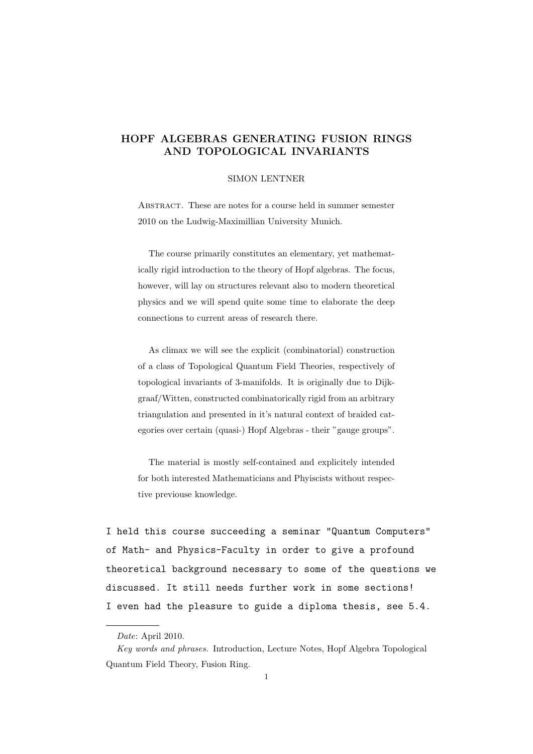# HOPF ALGEBRAS GENERATING FUSION RINGS AND TOPOLOGICAL INVARIANTS

### SIMON LENTNER

ABSTRACT. These are notes for a course held in summer semester 2010 on the Ludwig-Maximillian University Munich.

The course primarily constitutes an elementary, yet mathematically rigid introduction to the theory of Hopf algebras. The focus, however, will lay on structures relevant also to modern theoretical physics and we will spend quite some time to elaborate the deep connections to current areas of research there.

As climax we will see the explicit (combinatorial) construction of a class of Topological Quantum Field Theories, respectively of topological invariants of 3-manifolds. It is originally due to Dijkgraaf/Witten, constructed combinatorically rigid from an arbitrary triangulation and presented in it's natural context of braided categories over certain (quasi-) Hopf Algebras - their "gauge groups".

The material is mostly self-contained and explicitely intended for both interested Mathematicians and Phyiscists without respective previouse knowledge.

I held this course succeeding a seminar "Quantum Computers" of Math- and Physics-Faculty in order to give a profound theoretical background necessary to some of the questions we discussed. It still needs further work in some sections! I even had the pleasure to guide a diploma thesis, see 5.4.

Date: April 2010.

Key words and phrases. Introduction, Lecture Notes, Hopf Algebra Topological Quantum Field Theory, Fusion Ring.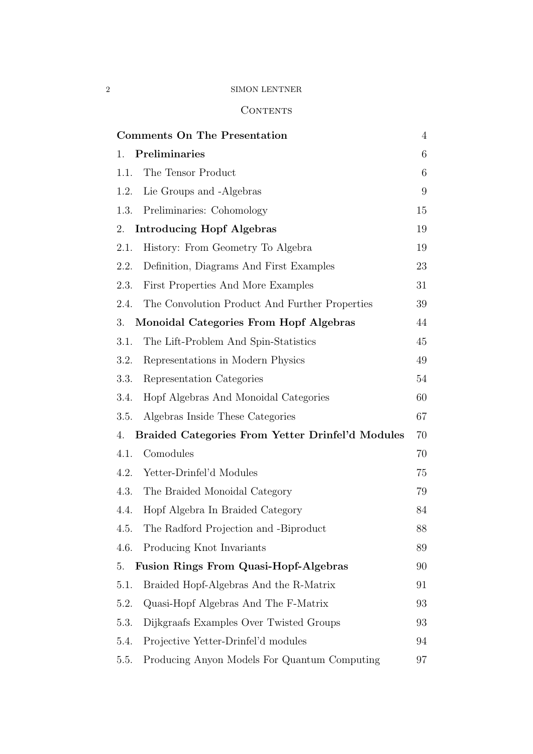# **CONTENTS**

| <b>Comments On The Presentation</b>                    | $\overline{4}$ |
|--------------------------------------------------------|----------------|
| Preliminaries<br>1.                                    | 6              |
| The Tensor Product<br>1.1.                             | 6              |
| Lie Groups and -Algebras<br>1.2.                       | 9              |
| Preliminaries: Cohomology<br>1.3.                      | 15             |
| <b>Introducing Hopf Algebras</b><br>2.                 | 19             |
| History: From Geometry To Algebra<br>2.1.              | 19             |
| Definition, Diagrams And First Examples<br>2.2.        | 23             |
| First Properties And More Examples<br>2.3.             | 31             |
| The Convolution Product And Further Properties<br>2.4. | 39             |
| Monoidal Categories From Hopf Algebras<br>3.           | 44             |
| 3.1.<br>The Lift-Problem And Spin-Statistics           | 45             |
| Representations in Modern Physics<br>3.2.              | 49             |
| Representation Categories<br>3.3.                      | 54             |
| Hopf Algebras And Monoidal Categories<br>3.4.          | 60             |
| Algebras Inside These Categories<br>3.5.               | 67             |
| Braided Categories From Yetter Drinfel'd Modules<br>4. | 70             |
| Comodules<br>4.1.                                      | 70             |
| Yetter-Drinfel'd Modules<br>4.2.                       | 75             |
| 4.3.<br>The Braided Monoidal Category                  | 79             |
| Hopf Algebra In Braided Category<br>4.4.               | 84             |
| The Radford Projection and -Biproduct<br>4.5.          | 88             |
| Producing Knot Invariants<br>4.6.                      | 89             |
| <b>Fusion Rings From Quasi-Hopf-Algebras</b><br>5.     | 90             |
| Braided Hopf-Algebras And the R-Matrix<br>5.1.         | 91             |
| Quasi-Hopf Algebras And The F-Matrix<br>5.2.           | 93             |
| Dijkgraafs Examples Over Twisted Groups<br>5.3.        | 93             |
| Projective Yetter-Drinfel'd modules<br>5.4.            | 94             |
| Producing Anyon Models For Quantum Computing<br>5.5.   | 97             |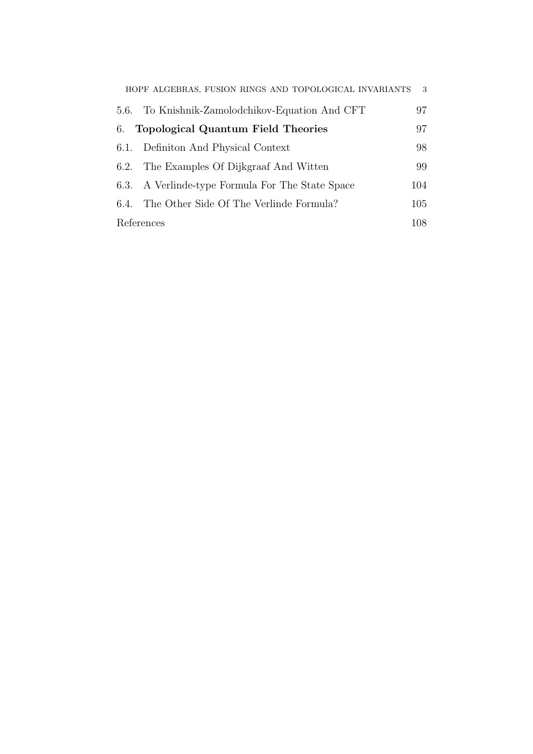|      | HOPF ALGEBRAS, FUSION RINGS AND TOPOLOGICAL INVARIANTS | 3   |
|------|--------------------------------------------------------|-----|
| 5.6. | To Knishnik-Zamolodchikov-Equation And CFT             | 97  |
| 6.   | <b>Topological Quantum Field Theories</b>              | 97  |
|      | 6.1. Definition And Physical Context                   | 98  |
| 6.2. | The Examples Of Dijkgraaf And Witten                   | 99  |
|      | 6.3. A Verlinde-type Formula For The State Space       | 104 |
| 6.4. | The Other Side Of The Verlinde Formula?                | 105 |
|      | References                                             | 108 |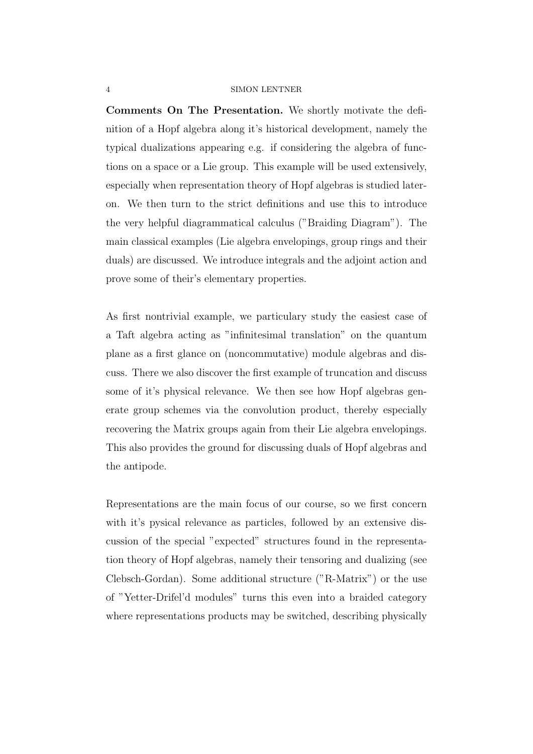Comments On The Presentation. We shortly motivate the definition of a Hopf algebra along it's historical development, namely the typical dualizations appearing e.g. if considering the algebra of functions on a space or a Lie group. This example will be used extensively, especially when representation theory of Hopf algebras is studied lateron. We then turn to the strict definitions and use this to introduce the very helpful diagrammatical calculus ("Braiding Diagram"). The main classical examples (Lie algebra envelopings, group rings and their duals) are discussed. We introduce integrals and the adjoint action and prove some of their's elementary properties.

As first nontrivial example, we particulary study the easiest case of a Taft algebra acting as "infinitesimal translation" on the quantum plane as a first glance on (noncommutative) module algebras and discuss. There we also discover the first example of truncation and discuss some of it's physical relevance. We then see how Hopf algebras generate group schemes via the convolution product, thereby especially recovering the Matrix groups again from their Lie algebra envelopings. This also provides the ground for discussing duals of Hopf algebras and the antipode.

Representations are the main focus of our course, so we first concern with it's pysical relevance as particles, followed by an extensive discussion of the special "expected" structures found in the representation theory of Hopf algebras, namely their tensoring and dualizing (see Clebsch-Gordan). Some additional structure ("R-Matrix") or the use of "Yetter-Drifel'd modules" turns this even into a braided category where representations products may be switched, describing physically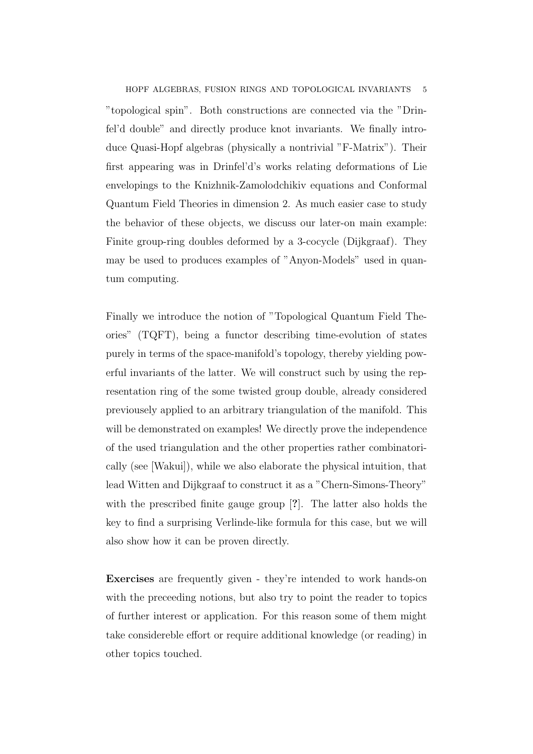## HOPF ALGEBRAS, FUSION RINGS AND TOPOLOGICAL INVARIANTS

"topological spin". Both constructions are connected via the "Drinfel'd double" and directly produce knot invariants. We finally introduce Quasi-Hopf algebras (physically a nontrivial "F-Matrix"). Their first appearing was in Drinfel'd's works relating deformations of Lie envelopings to the Knizhnik-Zamolodchikiv equations and Conformal Quantum Field Theories in dimension 2. As much easier case to study the behavior of these objects, we discuss our later-on main example: Finite group-ring doubles deformed by a 3-cocycle (Dijkgraaf). They may be used to produces examples of "Anyon-Models" used in quantum computing.

Finally we introduce the notion of "Topological Quantum Field Theories" (TQFT), being a functor describing time-evolution of states purely in terms of the space-manifold's topology, thereby yielding powerful invariants of the latter. We will construct such by using the representation ring of the some twisted group double, already considered previousely applied to an arbitrary triangulation of the manifold. This will be demonstrated on examples! We directly prove the independence of the used triangulation and the other properties rather combinatorically (see [Wakui]), while we also elaborate the physical intuition, that lead Witten and Dijkgraaf to construct it as a "Chern-Simons-Theory" with the prescribed finite gauge group [?]. The latter also holds the key to find a surprising Verlinde-like formula for this case, but we will also show how it can be proven directly.

Exercises are frequently given - they're intended to work hands-on with the preceeding notions, but also try to point the reader to topics of further interest or application. For this reason some of them might take considereble effort or require additional knowledge (or reading) in other topics touched.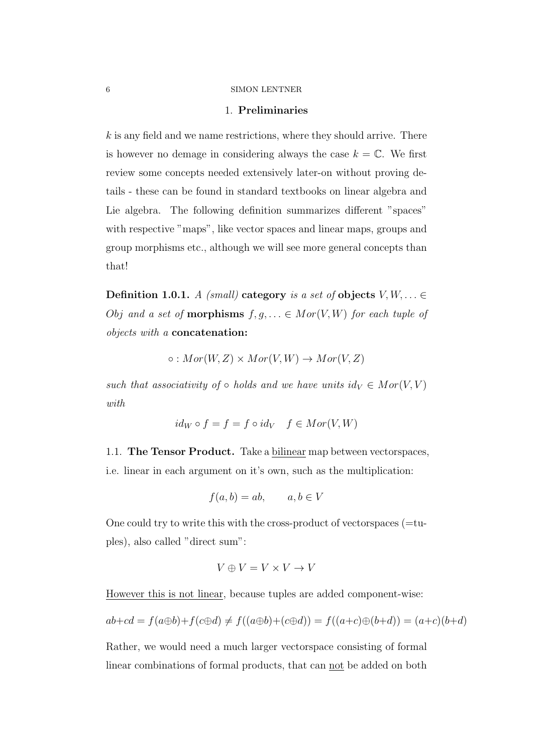## 1. Preliminaries

 $k$  is any field and we name restrictions, where they should arrive. There is however no demage in considering always the case  $k = \mathbb{C}$ . We first review some concepts needed extensively later-on without proving details - these can be found in standard textbooks on linear algebra and Lie algebra. The following definition summarizes different "spaces" with respective "maps", like vector spaces and linear maps, groups and group morphisms etc., although we will see more general concepts than that!

Definition 1.0.1. A (small) category is a set of objects  $V, W, \ldots \in$ *Obj* and a set of **morphisms**  $f, g, \ldots \in Mor(V, W)$  for each tuple of objects with a concatenation:

$$
\circ: Mor(W,Z) \times Mor(V,W) \rightarrow Mor(V,Z)
$$

such that associativity of  $\circ$  holds and we have units  $id_V \in Mor(V, V)$ with

$$
id_W \circ f = f = f \circ id_V \quad f \in Mor(V, W)
$$

1.1. The Tensor Product. Take a bilinear map between vectorspaces, i.e. linear in each argument on it's own, such as the multiplication:

$$
f(a, b) = ab, \qquad a, b \in V
$$

One could try to write this with the cross-product of vector spaces  $(=$ tuples), also called "direct sum":

$$
V \oplus V = V \times V \to V
$$

However this is not linear, because tuples are added component-wise:

$$
ab + cd = f(a \oplus b) + f(c \oplus d) \neq f((a \oplus b) + (c \oplus d)) = f((a+c) \oplus (b+d)) = (a+c)(b+d)
$$

Rather, we would need a much larger vectorspace consisting of formal linear combinations of formal products, that can not be added on both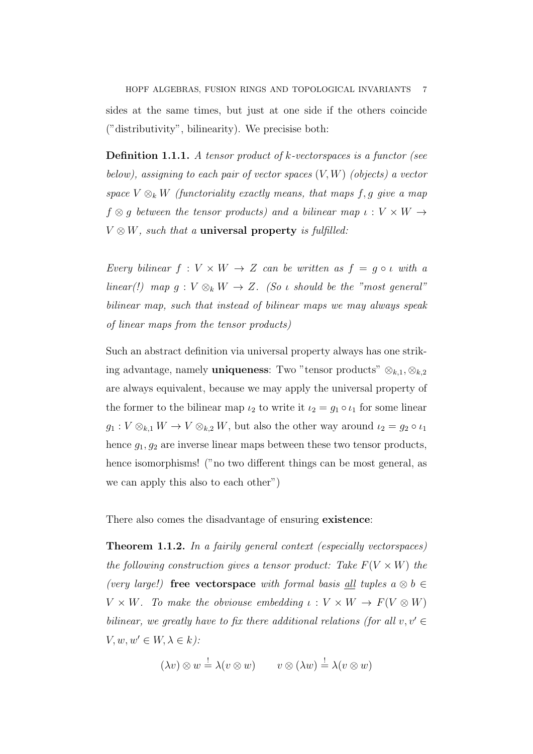HOPF ALGEBRAS, FUSION RINGS AND TOPOLOGICAL INVARIANTS sides at the same times, but just at one side if the others coincide ("distributivity", bilinearity). We precisise both:

**Definition 1.1.1.** A tensor product of  $k$ -vectorspaces is a functor (see below), assigning to each pair of vector spaces  $(V, W)$  (objects) a vector space  $V \otimes_k W$  (functoriality exactly means, that maps f, g give a map  $f \otimes g$  between the tensor products) and a bilinear map  $\iota : V \times W \rightarrow$  $V \otimes W$ , such that a **universal property** is fulfilled:

Every bilinear  $f: V \times W \rightarrow Z$  can be written as  $f = g \circ \iota$  with a linear(!) map  $g: V \otimes_k W \to Z$ . (So  $\iota$  should be the "most general" bilinear map, such that instead of bilinear maps we may always speak of linear maps from the tensor products)

Such an abstract definition via universal property always has one striking advantage, namely **uniqueness**: Two "tensor products"  $\otimes_{k,1}, \otimes_{k,2}$ are always equivalent, because we may apply the universal property of the former to the bilinear map  $\iota_2$  to write it  $\iota_2 = g_1 \circ \iota_1$  for some linear  $g_1: V \otimes_{k,1} W \to V \otimes_{k,2} W$ , but also the other way around  $\iota_2 = g_2 \circ \iota_1$ hence  $g_1, g_2$  are inverse linear maps between these two tensor products, hence isomorphisms! ("no two different things can be most general, as we can apply this also to each other")

There also comes the disadvantage of ensuring **existence**:

Theorem 1.1.2. In a fairily general context (especially vectorspaces) the following construction gives a tensor product: Take  $F(V \times W)$  the (very large!) free vectorspace with formal basis all tuples  $a \otimes b \in$  $V \times W$ . To make the obviouse embedding  $\iota : V \times W \to F(V \otimes W)$ bilinear, we greatly have to fix there additional relations (for all  $v, v' \in$  $V, w, w' \in W, \lambda \in k$ :

$$
(\lambda v) \otimes w \stackrel{!}{=} \lambda (v \otimes w) \qquad v \otimes (\lambda w) \stackrel{!}{=} \lambda (v \otimes w)
$$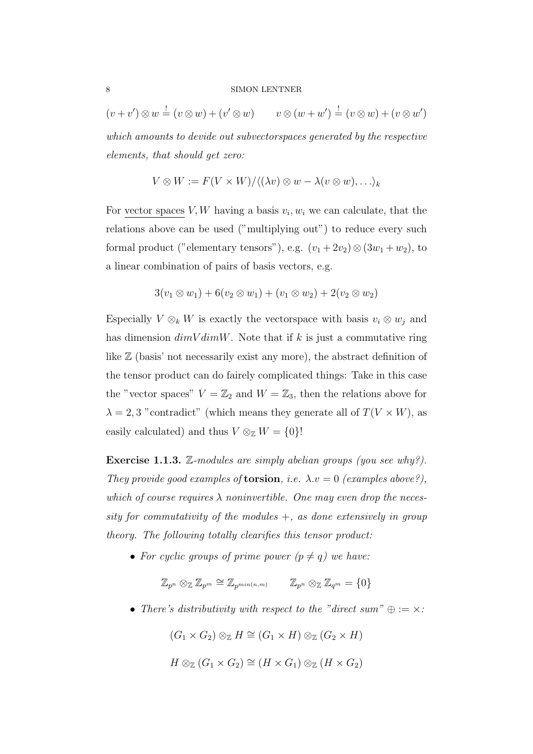$(v + v') \otimes w = (v \otimes w) + (v' \otimes w)$   $v \otimes (w + w') = (v \otimes w) + (v \otimes w')$ which amounts to devide out subvectorspaces generated by the respective elements, that should get zero:

$$
V \otimes W := F(V \times W) / \langle (\lambda v) \otimes w - \lambda (v \otimes w), \ldots \rangle_k
$$

For vector spaces  $V, W$  having a basis  $v_i, w_i$  we can calculate, that the relations above can be used ("multiplying out") to reduce every such formal product ("elementary tensors"), e.g.  $(v_1 + 2v_2) \otimes (3w_1 + w_2)$ , to a linear combination of pairs of basis vectors, e.g.

$$
3(v_1 \otimes w_1) + 6(v_2 \otimes w_1) + (v_1 \otimes w_2) + 2(v_2 \otimes w_2)
$$

Especially  $V \otimes_k W$  is exactly the vectorspace with basis  $v_i \otimes w_j$  and has dimension  $dimV dimW$ . Note that if k is just a commutative ring like Z (basis' not necessarily exist any more), the abstract definition of the tensor product can do fairely complicated things: Take in this case the "vector spaces"  $V = \mathbb{Z}_2$  and  $W = \mathbb{Z}_3$ , then the relations above for  $\lambda = 2, 3$  "contradict" (which means they generate all of  $T(V \times W)$ , as easily calculated) and thus  $V \otimes_{\mathbb{Z}} W = \{0\}!$ 

**Exercise 1.1.3.** Z-modules are simply abelian groups (you see why?). They provide good examples of **torsion**, i.e.  $\lambda \cdot v = 0$  (examples above?), which of course requires  $\lambda$  noninvertible. One may even drop the necessity for commutativity of the modules  $+$ , as done extensively in group theory. The following totally clearifies this tensor product:

• For cyclic groups of prime power  $(p \neq q)$  we have:

 $\mathbb{Z}_{n^n} \otimes_{\mathbb{Z}} \mathbb{Z}_{n^m} \cong \mathbb{Z}_{n^m} \otimes_{\mathbb{Z}} \mathbb{Z}_{n^m} = \{0\}$ 

• There's distributivity with respect to the "direct sum"  $\oplus := \times$ :

```
(G_1 \times G_2) \otimes_{\mathbb{Z}} H \cong (G_1 \times H) \otimes_{\mathbb{Z}} (G_2 \times H)
```

$$
H \otimes_{\mathbb{Z}} (G_1 \times G_2) \cong (H \times G_1) \otimes_{\mathbb{Z}} (H \times G_2)
$$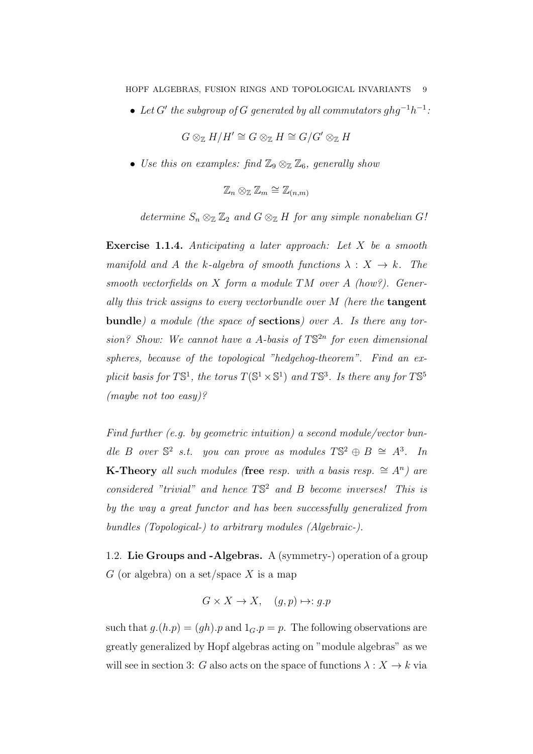• Let G' the subgroup of G generated by all commutators  $ghg^{-1}h^{-1}$ :

$$
G\otimes_{\mathbb{Z}} H/H'\cong G\otimes_{\mathbb{Z}} H\cong G/G'\otimes_{\mathbb{Z}} H
$$

• Use this on examples: find  $\mathbb{Z}_9 \otimes_{\mathbb{Z}} \mathbb{Z}_6$ , generally show

$$
\mathbb{Z}_n \otimes_{\mathbb{Z}} \mathbb{Z}_m \cong \mathbb{Z}_{(n,m)}
$$

determine  $S_n \otimes_{\mathbb{Z}} \mathbb{Z}_2$  and  $G \otimes_{\mathbb{Z}} H$  for any simple nonabelian  $G!$ 

Exercise 1.1.4. Anticipating a later approach: Let X be a smooth manifold and A the k-algebra of smooth functions  $\lambda : X \to k$ . The smooth vectorfields on X form a module  $TM$  over A (how?). Generally this trick assigns to every vectorbundle over  $M$  (here the **tangent** bundle) a module (the space of sections) over A. Is there any torsion? Show: We cannot have a A-basis of  $T\mathbb{S}^{2n}$  for even dimensional spheres, because of the topological "hedgehog-theorem". Find an explicit basis for  $T\mathbb{S}^1$ , the torus  $T(\mathbb{S}^1 \times \mathbb{S}^1)$  and  $T\mathbb{S}^3$ . Is there any for  $T\mathbb{S}^5$ (maybe not too easy)?

Find further (e.g. by geometric intuition) a second module/vector bundle B over  $\mathbb{S}^2$  s.t. you can prove as modules  $T\mathbb{S}^2 \oplus B \cong A^3$ . In **K-Theory** all such modules (free resp. with a basis resp.  $\cong A^n$ ) are considered "trivial" and hence  $TS^2$  and B become inverses! This is by the way a great functor and has been successfully generalized from bundles (Topological-) to arbitrary modules (Algebraic-).

1.2. Lie Groups and -Algebras. A (symmetry-) operation of a group G (or algebra) on a set/space X is a map

$$
G \times X \to X, \quad (g, p) \mapsto g.p
$$

such that  $g(h,p) = (gh)$ . p and  $1_G.p = p$ . The following observations are greatly generalized by Hopf algebras acting on "module algebras" as we will see in section 3: G also acts on the space of functions  $\lambda : X \to k$  via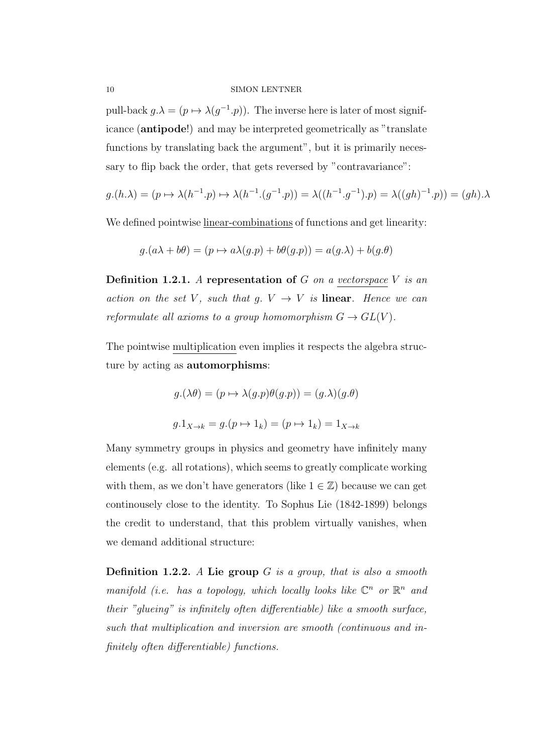pull-back  $g.\lambda = (p \mapsto \lambda(g^{-1}.p)).$  The inverse here is later of most significance (antipode!) and may be interpreted geometrically as "translate functions by translating back the argument", but it is primarily necessary to flip back the order, that gets reversed by "contravariance":

$$
g.(h.\lambda) = (p \mapsto \lambda(h^{-1}.p) \mapsto \lambda(h^{-1}.(g^{-1}.p)) = \lambda((h^{-1}.g^{-1}).p) = \lambda((gh)^{-1}.p)) = (gh).\lambda
$$

We defined pointwise linear-combinations of functions and get linearity:

$$
g.(a\lambda + b\theta) = (p \mapsto a\lambda(g.p) + b\theta(g.p)) = a(g.\lambda) + b(g.\theta)
$$

**Definition 1.2.1.** A representation of G on a vector space V is an action on the set V, such that g.  $V \rightarrow V$  is linear. Hence we can reformulate all axioms to a group homomorphism  $G \to GL(V)$ .

The pointwise multiplication even implies it respects the algebra structure by acting as automorphisms:

$$
g.(\lambda \theta) = (p \mapsto \lambda(g.p)\theta(g.p)) = (g.\lambda)(g.\theta)
$$
  

$$
g.1_{X \to k} = g.(p \mapsto 1_k) = (p \mapsto 1_k) = 1_{X \to k}
$$

Many symmetry groups in physics and geometry have infinitely many elements (e.g. all rotations), which seems to greatly complicate working with them, as we don't have generators (like  $1 \in \mathbb{Z}$ ) because we can get continousely close to the identity. To Sophus Lie (1842-1899) belongs the credit to understand, that this problem virtually vanishes, when we demand additional structure:

**Definition 1.2.2.** A Lie group  $G$  is a group, that is also a smooth manifold (i.e. has a topology, which locally looks like  $\mathbb{C}^n$  or  $\mathbb{R}^n$  and their "glueing" is infinitely often differentiable) like a smooth surface, such that multiplication and inversion are smooth (continuous and infinitely often differentiable) functions.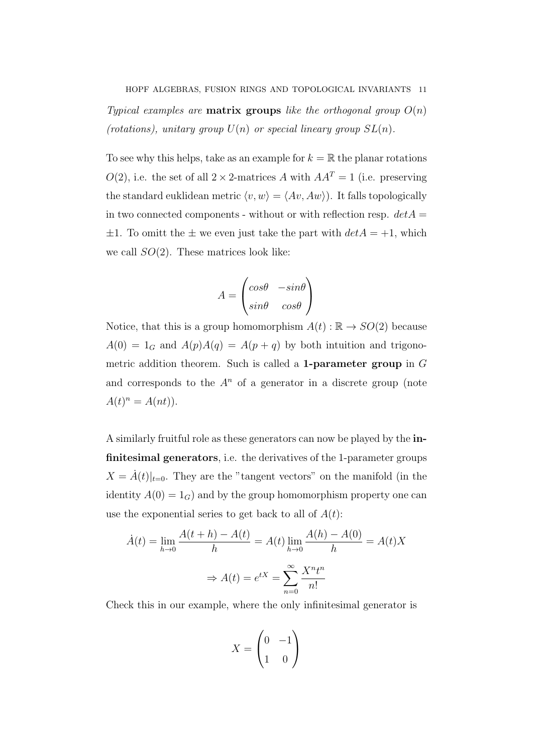Typical examples are **matrix groups** like the orthogonal group  $O(n)$ (rotations), unitary group  $U(n)$  or special lineary group  $SL(n)$ .

To see why this helps, take as an example for  $k = \mathbb{R}$  the planar rotations  $O(2)$ , i.e. the set of all  $2 \times 2$ -matrices A with  $AA<sup>T</sup> = 1$  (i.e. preserving the standard euklidean metric  $\langle v, w \rangle = \langle Av, Aw \rangle$ . It falls topologically in two connected components - without or with reflection resp.  $det A =$  $\pm 1$ . To omitt the  $\pm$  we even just take the part with  $det A = +1$ , which we call  $SO(2)$ . These matrices look like:

$$
A = \begin{pmatrix} \cos\theta & -\sin\theta \\ \sin\theta & \cos\theta \end{pmatrix}
$$

Notice, that this is a group homomorphism  $A(t) : \mathbb{R} \to SO(2)$  because  $A(0) = 1_G$  and  $A(p)A(q) = A(p+q)$  by both intuition and trigonometric addition theorem. Such is called a **1-parameter group** in  $G$ and corresponds to the  $A<sup>n</sup>$  of a generator in a discrete group (note  $A(t)^n = A(nt)$ .

A similarly fruitful role as these generators can now be played by the infinitesimal generators, i.e. the derivatives of the 1-parameter groups  $X = \dot{A}(t)|_{t=0}$ . They are the "tangent vectors" on the manifold (in the identity  $A(0) = 1_G$  and by the group homomorphism property one can use the exponential series to get back to all of  $A(t)$ :

$$
\dot{A}(t) = \lim_{h \to 0} \frac{A(t+h) - A(t)}{h} = A(t) \lim_{h \to 0} \frac{A(h) - A(0)}{h} = A(t)X
$$

$$
\Rightarrow A(t) = e^{tX} = \sum_{n=0}^{\infty} \frac{X^n t^n}{n!}
$$

Check this in our example, where the only infinitesimal generator is

$$
X = \begin{pmatrix} 0 & -1 \\ 1 & 0 \end{pmatrix}
$$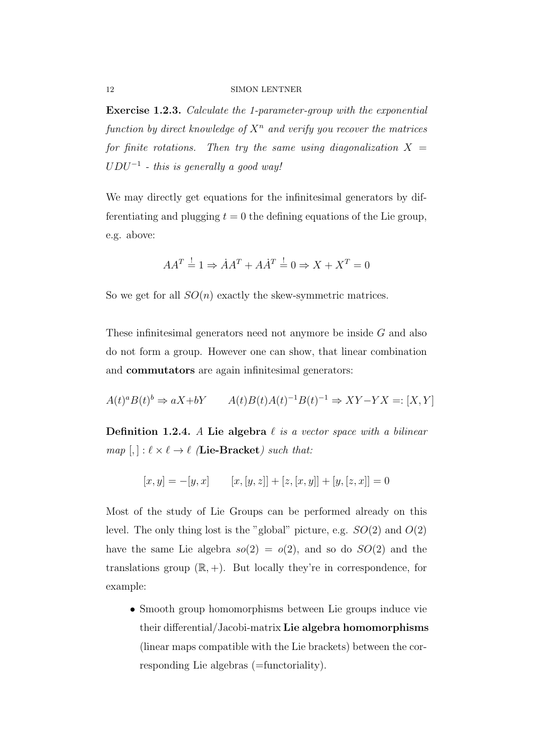Exercise 1.2.3. Calculate the 1-parameter-group with the exponential function by direct knowledge of  $X<sup>n</sup>$  and verify you recover the matrices for finite rotations. Then try the same using diagonalization  $X =$  $U D U^{-1}$  - this is generally a good way!

We may directly get equations for the infinitesimal generators by differentiating and plugging  $t = 0$  the defining equations of the Lie group, e.g. above:

$$
AA^T \stackrel{!}{=} 1 \Rightarrow \dot{A}A^T + A\dot{A}^T \stackrel{!}{=} 0 \Rightarrow X + X^T = 0
$$

So we get for all  $SO(n)$  exactly the skew-symmetric matrices.

These infinitesimal generators need not anymore be inside G and also do not form a group. However one can show, that linear combination and commutators are again infinitesimal generators:

$$
A(t)^a B(t)^b \Rightarrow aX + bY \qquad A(t)B(t)A(t)^{-1}B(t)^{-1} \Rightarrow XY - YX =: [X, Y]
$$

**Definition 1.2.4.** A Lie algebra  $\ell$  is a vector space with a bilinear  $map [, ]: \ell \times \ell \rightarrow \ell$  (Lie-Bracket) such that:

$$
[x, y] = -[y, x] \qquad [x, [y, z]] + [z, [x, y]] + [y, [z, x]] = 0
$$

Most of the study of Lie Groups can be performed already on this level. The only thing lost is the "global" picture, e.g.  $SO(2)$  and  $O(2)$ have the same Lie algebra  $so(2) = o(2)$ , and so do  $SO(2)$  and the translations group  $(\mathbb{R}, +)$ . But locally they're in correspondence, for example:

• Smooth group homomorphisms between Lie groups induce vie their differential/Jacobi-matrix Lie algebra homomorphisms (linear maps compatible with the Lie brackets) between the corresponding Lie algebras (=functoriality).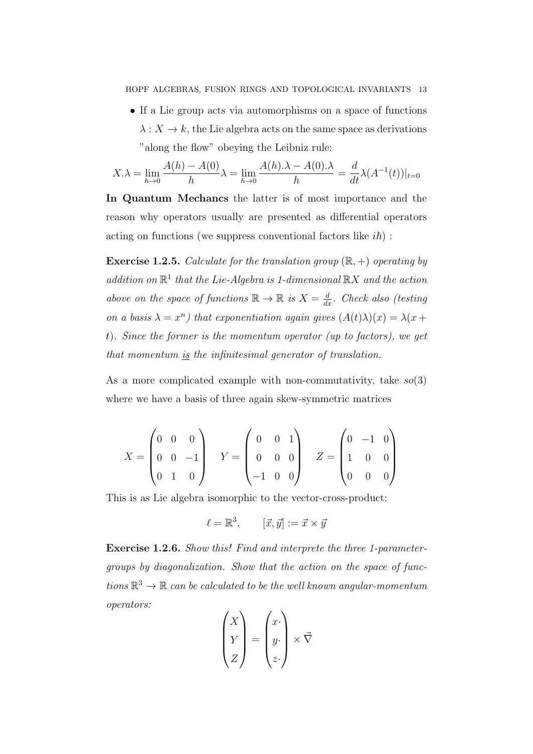HOPF ALGEBRAS, FUSION RINGS AND TOPOLOGICAL INVARIANTS 13

• If a Lie group acts via automorphisms on a space of functions  $\lambda: X \to k$ , the Lie algebra acts on the same space as derivations "along the flow" obeying the Leibniz rule:

$$
X.\lambda = \lim_{h \to 0} \frac{A(h) - A(0)}{h} \lambda = \lim_{h \to 0} \frac{A(h).\lambda - A(0).\lambda}{h} = \frac{d}{dt} \lambda(A^{-1}(t))|_{t=0}
$$

In Quantum Mechancs the latter is of most importance and the reason why operators usually are presented as differential operators acting on functions (we suppress conventional factors like  $i\hbar$ ):

**Exercise 1.2.5.** Calculate for the translation group  $(\mathbb{R}, +)$  operating by addition on  $\mathbb{R}^1$  that the Lie-Algebra is 1-dimensional  $\mathbb{R}X$  and the action above on the space of functions  $\mathbb{R} \to \mathbb{R}$  is  $X = \frac{d}{dx}$ . Check also (testing on a basis  $\lambda = x^n$ ) that exponentiation again gives  $(A(t)\lambda)(x) = \lambda(x +$ t). Since the former is the momentum operator (up to factors), we get that momentum <u>is</u> the infinitesimal generator of translation.

As a more complicated example with non-commutativity, take  $so(3)$ where we have a basis of three again skew-symmetric matrices

$$
X = \begin{pmatrix} 0 & 0 & 0 \\ 0 & 0 & -1 \\ 0 & 1 & 0 \end{pmatrix} \quad Y = \begin{pmatrix} 0 & 0 & 1 \\ 0 & 0 & 0 \\ -1 & 0 & 0 \end{pmatrix} \quad Z = \begin{pmatrix} 0 & -1 & 0 \\ 1 & 0 & 0 \\ 0 & 0 & 0 \end{pmatrix}
$$

This is as Lie algebra isomorphic to the vector-cross-product:

$$
\ell = \mathbb{R}^3, \qquad [\vec{x}, \vec{y}] := \vec{x} \times \vec{y}
$$

Exercise 1.2.6. Show this! Find and interprete the three 1-parametergroups by diagonalization. Show that the action on the space of functions  $\mathbb{R}^3 \to \mathbb{R}$  can be calculated to be the well known angular-momentum operators:  $\Delta$ 

$$
\begin{pmatrix} X \\ Y \\ Z \end{pmatrix} = \begin{pmatrix} x \\ y \\ z \end{pmatrix} \times \vec{\nabla}
$$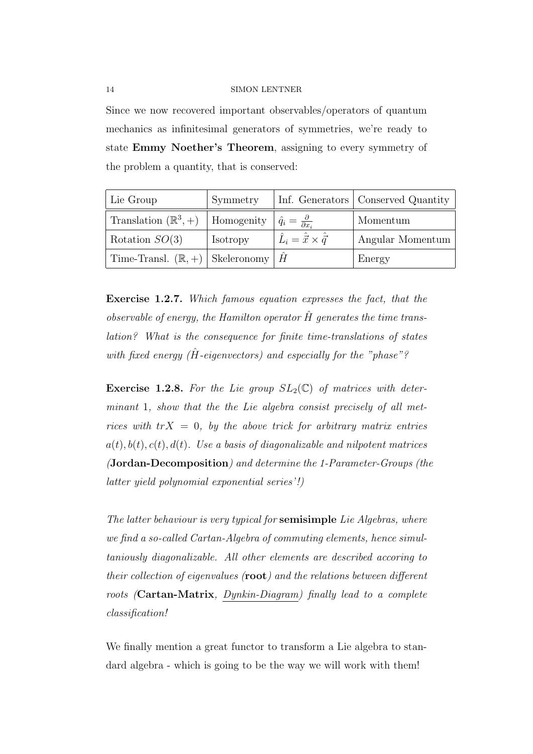Since we now recovered important observables/operators of quantum mechanics as infinitesimal generators of symmetries, we're ready to state Emmy Noether's Theorem, assigning to every symmetry of the problem a quantity, that is conserved:

| Lie Group                                                | Symmetry |                                                  | Inf. Generators Conserved Quantity |
|----------------------------------------------------------|----------|--------------------------------------------------|------------------------------------|
| Translation $(\mathbb{R}^3, +)$   Homogenity             |          | $\hat{q}_i = \frac{\partial}{\partial x_i}$      | Momentum                           |
| Rotation $SO(3)$                                         | Isotropy | $\hat{L}_i = \hat{\vec{x}} \times \hat{\vec{q}}$ | Angular Momentum                   |
| Time-Transl. $(\mathbb{R}, +)$   Skeleronomy   $\hat{H}$ |          |                                                  | Energy                             |

Exercise 1.2.7. Which famous equation expresses the fact, that the observable of energy, the Hamilton operator  $\hat{H}$  generates the time translation? What is the consequence for finite time-translations of states with fixed energy  $(H$ -eigenvectors) and especially for the "phase"?

**Exercise 1.2.8.** For the Lie group  $SL_2(\mathbb{C})$  of matrices with determinant 1, show that the the Lie algebra consist precisely of all metrices with  $trX = 0$ , by the above trick for arbitrary matrix entries  $a(t), b(t), c(t), d(t)$ . Use a basis of diagonalizable and nilpotent matrices (Jordan-Decomposition) and determine the 1-Parameter-Groups (the latter yield polynomial exponential series'!)

The latter behaviour is very typical for semisimple Lie Algebras, where we find a so-called Cartan-Algebra of commuting elements, hence simultaniously diagonalizable. All other elements are described accoring to their collection of eigenvalues  $(root)$  and the relations between different roots (Cartan-Matrix, Dynkin-Diagram) finally lead to a complete classification!

We finally mention a great functor to transform a Lie algebra to standard algebra - which is going to be the way we will work with them!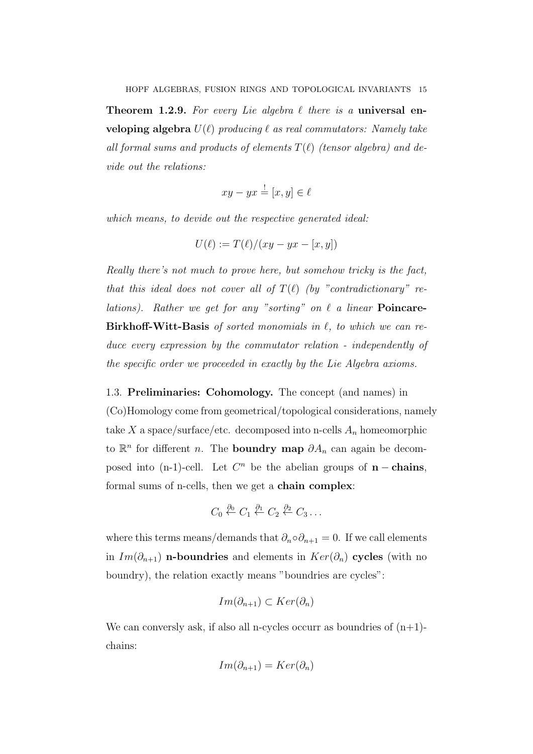**Theorem 1.2.9.** For every Lie algebra  $\ell$  there is a universal enveloping algebra  $U(\ell)$  producing  $\ell$  as real commutators: Namely take all formal sums and products of elements  $T(\ell)$  (tensor algebra) and devide out the relations:

$$
xy - yx \stackrel{!}{=} [x, y] \in \ell
$$

which means, to devide out the respective generated ideal:

$$
U(\ell) := T(\ell)/(xy - yx - [x, y])
$$

Really there's not much to prove here, but somehow tricky is the fact, that this ideal does not cover all of  $T(\ell)$  (by "contradictionary" relations). Rather we get for any "sorting" on  $\ell$  a linear **Poincare-**Birkhoff-Witt-Basis of sorted monomials in  $\ell$ , to which we can reduce every expression by the commutator relation - independently of the specific order we proceeded in exactly by the Lie Algebra axioms.

1.3. Preliminaries: Cohomology. The concept (and names) in (Co)Homology come from geometrical/topological considerations, namely take X a space/surface/etc. decomposed into n-cells  $A_n$  homeomorphic to  $\mathbb{R}^n$  for different *n*. The **boundry map**  $\partial A_n$  can again be decomposed into  $(n-1)$ -cell. Let  $C<sup>n</sup>$  be the abelian groups of **n** – chains, formal sums of n-cells, then we get a chain complex:

$$
C_0 \stackrel{\partial_0}{\leftarrow} C_1 \stackrel{\partial_1}{\leftarrow} C_2 \stackrel{\partial_2}{\leftarrow} C_3 \ldots
$$

where this terms means/demands that  $\partial_n \circ \partial_{n+1} = 0$ . If we call elements in  $Im(\partial_{n+1})$  n-boundries and elements in  $Ker(\partial_n)$  cycles (with no boundry), the relation exactly means "boundries are cycles":

$$
Im(\partial_{n+1}) \subset Ker(\partial_n)
$$

We can conversly ask, if also all n-cycles occurr as boundries of  $(n+1)$ chains:

$$
Im(\partial_{n+1}) = Ker(\partial_n)
$$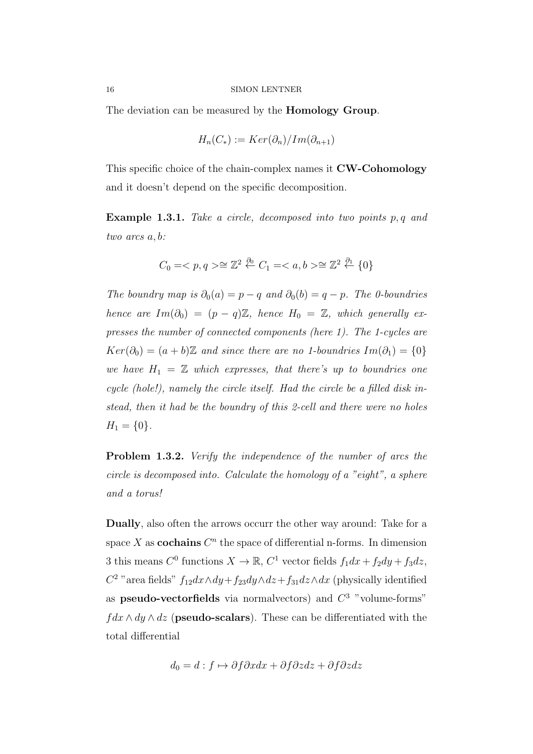The deviation can be measured by the Homology Group.

$$
H_n(C_*) := Ker(\partial_n)/Im(\partial_{n+1})
$$

This specific choice of the chain-complex names it **CW-Cohomology** and it doesn't depend on the specific decomposition.

Example 1.3.1. Take a circle, decomposed into two points p, q and two arcs a, b:

$$
C_0 = \langle p, q \rangle \cong \mathbb{Z}^2 \stackrel{\partial_0}{\leftarrow} C_1 = \langle a, b \rangle \cong \mathbb{Z}^2 \stackrel{\partial_1}{\leftarrow} \{0\}
$$

The boundry map is  $\partial_0(a) = p - q$  and  $\partial_0(b) = q - p$ . The 0-boundries hence are  $Im(\partial_0) = (p-q)\mathbb{Z}$ , hence  $H_0 = \mathbb{Z}$ , which generally expresses the number of connected components (here 1). The 1-cycles are  $Ker(\partial_0) = (a + b)\mathbb{Z}$  and since there are no 1-boundries  $Im(\partial_1) = \{0\}$ we have  $H_1 = \mathbb{Z}$  which expresses, that there's up to boundries one cycle (hole!), namely the circle itself. Had the circle be a filled disk instead, then it had be the boundry of this 2-cell and there were no holes  $H_1 = \{0\}.$ 

Problem 1.3.2. Verify the independence of the number of arcs the circle is decomposed into. Calculate the homology of a "eight", a sphere and a torus!

Dually, also often the arrows occurr the other way around: Take for a space X as **cochains**  $C^n$  the space of differential n-forms. In dimension 3 this means  $C^0$  functions  $X \to \mathbb{R}$ ,  $C^1$  vector fields  $f_1 dx + f_2 dy + f_3 dz$ ,  $C^2$  "area fields"  $f_{12}dx \wedge dy + f_{23}dy \wedge dz + f_{31}dz \wedge dx$  (physically identified as pseudo-vectorfields via normalvectors) and  $C^3$  "volume-forms"  $fdx \wedge dy \wedge dz$  (**pseudo-scalars**). These can be differentiated with the total differential

$$
d_0 = d : f \mapsto \partial f \partial x dx + \partial f \partial z dz + \partial f \partial z dz
$$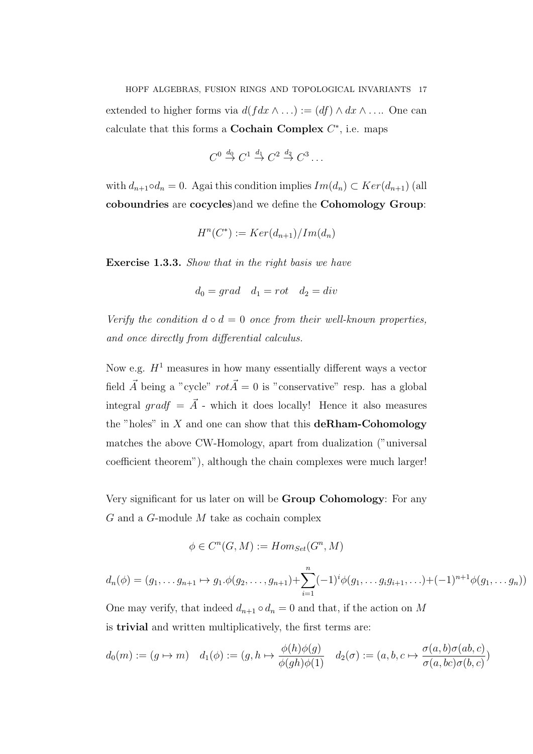HOPF ALGEBRAS, FUSION RINGS AND TOPOLOGICAL INVARIANTS 17 extended to higher forms via  $d(f dx \wedge ...) := (df) \wedge dx \wedge ...$  One can calculate that this forms a **Cochain Complex**  $C^*$ , i.e. maps

$$
C^0 \stackrel{d_0}{\rightarrow} C^1 \stackrel{d_1}{\rightarrow} C^2 \stackrel{d_2}{\rightarrow} C^3 \dots
$$

with  $d_{n+1} \circ d_n = 0$ . Agai this condition implies  $Im(d_n) \subset Ker(d_{n+1})$  (all coboundries are cocycles)and we define the Cohomology Group:

$$
H^n(C^*) := Ker(d_{n+1})/Im(d_n)
$$

Exercise 1.3.3. Show that in the right basis we have

$$
d_0 = grad \quad d_1 = rot \quad d_2 = div
$$

Verify the condition  $d \circ d = 0$  once from their well-known properties, and once directly from differential calculus.

Now e.g.  $H^1$  measures in how many essentially different ways a vector field  $\vec{A}$  being a "cycle"  $rot\vec{A} = 0$  is "conservative" resp. has a global integral gradf =  $\vec{A}$  - which it does locally! Hence it also measures the "holes" in  $X$  and one can show that this **deRham-Cohomology** matches the above CW-Homology, apart from dualization ("universal coefficient theorem"), although the chain complexes were much larger!

Very significant for us later on will be Group Cohomology: For any G and a G-module M take as cochain complex

$$
\phi \in C^n(G, M) := Hom_{Set}(G^n, M)
$$

$$
d_n(\phi) = (g_1, \ldots g_{n+1} \mapsto g_1 \cdot \phi(g_2, \ldots, g_{n+1}) + \sum_{i=1}^n (-1)^i \phi(g_1, \ldots g_i g_{i+1}, \ldots) + (-1)^{n+1} \phi(g_1, \ldots g_n))
$$

One may verify, that indeed  $d_{n+1} \circ d_n = 0$  and that, if the action on M is trivial and written multiplicatively, the first terms are:

$$
d_0(m) := (g \mapsto m) \quad d_1(\phi) := (g, h \mapsto \frac{\phi(h)\phi(g)}{\phi(gh)\phi(1)} \quad d_2(\sigma) := (a, b, c \mapsto \frac{\sigma(a, b)\sigma(ab, c)}{\sigma(a, bc)\sigma(b, c)})
$$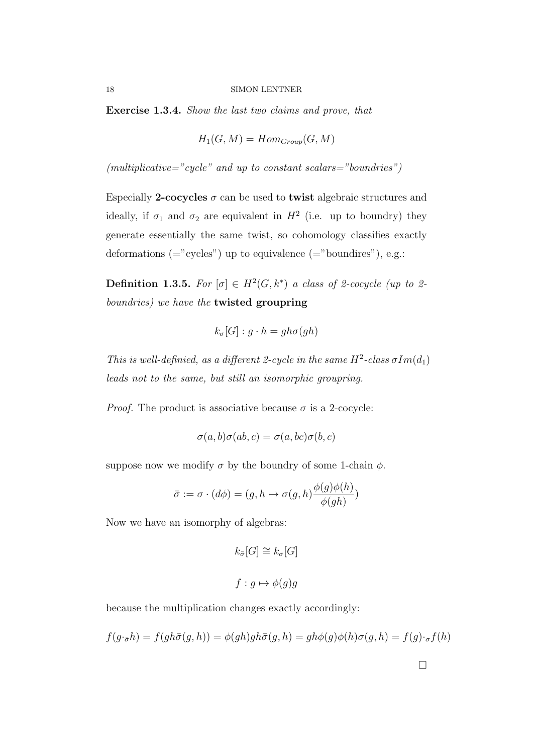Exercise 1.3.4. Show the last two claims and prove, that

$$
H_1(G, M) = Hom_{Group}(G, M)
$$

 $(multiplicative='cycle" and up to constant scalars='boundries")$ 

Especially 2-cocycles  $\sigma$  can be used to twist algebraic structures and ideally, if  $\sigma_1$  and  $\sigma_2$  are equivalent in  $H^2$  (i.e. up to boundry) they generate essentially the same twist, so cohomology classifies exactly deformations  $(=$ "cycles") up to equivalence  $(=$ "boundires"), e.g.:

**Definition 1.3.5.** For  $[\sigma] \in H^2(G, k^*)$  a class of 2-cocycle (up to 2boundries) we have the twisted groupring

$$
k_{\sigma}[G] : g \cdot h = gh\sigma(gh)
$$

This is well-definied, as a different 2-cycle in the same  $H^2$ -class  $\sigma Im(d_1)$ leads not to the same, but still an isomorphic groupring.

*Proof.* The product is associative because  $\sigma$  is a 2-cocycle:

$$
\sigma(a,b)\sigma(ab,c) = \sigma(a,bc)\sigma(b,c)
$$

suppose now we modify  $\sigma$  by the boundry of some 1-chain  $\phi$ .

$$
\bar{\sigma} := \sigma \cdot (d\phi) = (g, h \mapsto \sigma(g, h) \frac{\phi(g)\phi(h)}{\phi(gh)})
$$

Now we have an isomorphy of algebras:

$$
k_{\bar{\sigma}}[G] \cong k_{\sigma}[G]
$$
  

$$
f: g \mapsto \phi(g)g
$$

because the multiplication changes exactly accordingly:

$$
f(g \cdot_{\bar{\sigma}} h) = f(gh\bar{\sigma}(g, h)) = \phi(gh)gh\bar{\sigma}(g, h) = gh\phi(g)\phi(h)\sigma(g, h) = f(g) \cdot_{\sigma} f(h)
$$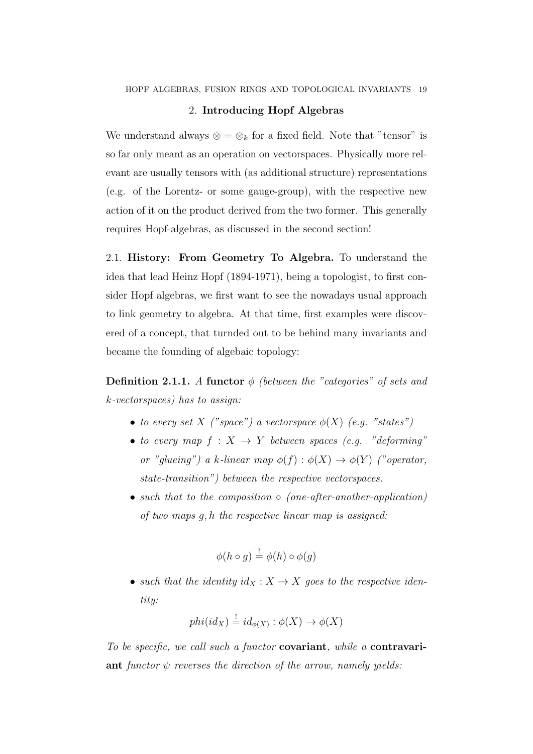## 2. Introducing Hopf Algebras

We understand always  $\otimes = \otimes_k$  for a fixed field. Note that "tensor" is so far only meant as an operation on vectorspaces. Physically more relevant are usually tensors with (as additional structure) representations (e.g. of the Lorentz- or some gauge-group), with the respective new action of it on the product derived from the two former. This generally requires Hopf-algebras, as discussed in the second section!

2.1. History: From Geometry To Algebra. To understand the idea that lead Heinz Hopf (1894-1971), being a topologist, to first consider Hopf algebras, we first want to see the nowadays usual approach to link geometry to algebra. At that time, first examples were discovered of a concept, that turnded out to be behind many invariants and became the founding of algebaic topology:

**Definition 2.1.1.** A functor  $\phi$  (between the "categories" of sets and k-vectorspaces) has to assign:

- to every set X ("space") a vectorspace  $\phi(X)$  (e.g. "states")
- to every map  $f: X \to Y$  between spaces (e.g. "deforming" or "glueing") a k-linear map  $\phi(f) : \phi(X) \to \phi(Y)$  ("operator, state-transition") between the respective vectorspaces.
- such that to the composition ∘ (one-after-another-application) of two maps g, h the respective linear map is assigned:

$$
\phi(h \circ g) \stackrel{!}{=} \phi(h) \circ \phi(g)
$$

• such that the identity  $id_X : X \to X$  goes to the respective identity:

$$
phi(id_X) \stackrel{!}{=} id_{\phi(X)} : \phi(X) \to \phi(X)
$$

To be specific, we call such a functor **covariant**, while a **contravari**ant functor  $\psi$  reverses the direction of the arrow, namely yields: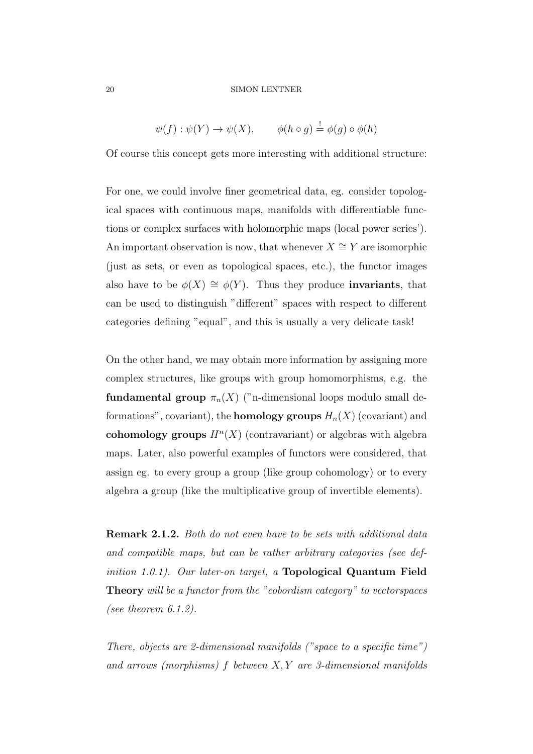$$
\psi(f) : \psi(Y) \to \psi(X), \qquad \phi(h \circ g) \stackrel{!}{=} \phi(g) \circ \phi(h)
$$

Of course this concept gets more interesting with additional structure:

For one, we could involve finer geometrical data, eg. consider topological spaces with continuous maps, manifolds with differentiable functions or complex surfaces with holomorphic maps (local power series'). An important observation is now, that whenever  $X \cong Y$  are isomorphic (just as sets, or even as topological spaces, etc.), the functor images also have to be  $\phi(X) \cong \phi(Y)$ . Thus they produce **invariants**, that can be used to distinguish "different" spaces with respect to different categories defining "equal", and this is usually a very delicate task!

On the other hand, we may obtain more information by assigning more complex structures, like groups with group homomorphisms, e.g. the fundamental group  $\pi_n(X)$  ("n-dimensional loops modulo small deformations", covariant), the **homology groups**  $H_n(X)$  (covariant) and cohomology groups  $H<sup>n</sup>(X)$  (contravariant) or algebras with algebra maps. Later, also powerful examples of functors were considered, that assign eg. to every group a group (like group cohomology) or to every algebra a group (like the multiplicative group of invertible elements).

Remark 2.1.2. Both do not even have to be sets with additional data and compatible maps, but can be rather arbitrary categories (see definition 1.0.1). Our later-on target, a Topological Quantum Field Theory will be a functor from the "cobordism category" to vectorspaces (see theorem 6.1.2).

There, objects are 2-dimensional manifolds ("space to a specific time") and arrows (morphisms)  $f$  between  $X, Y$  are 3-dimensional manifolds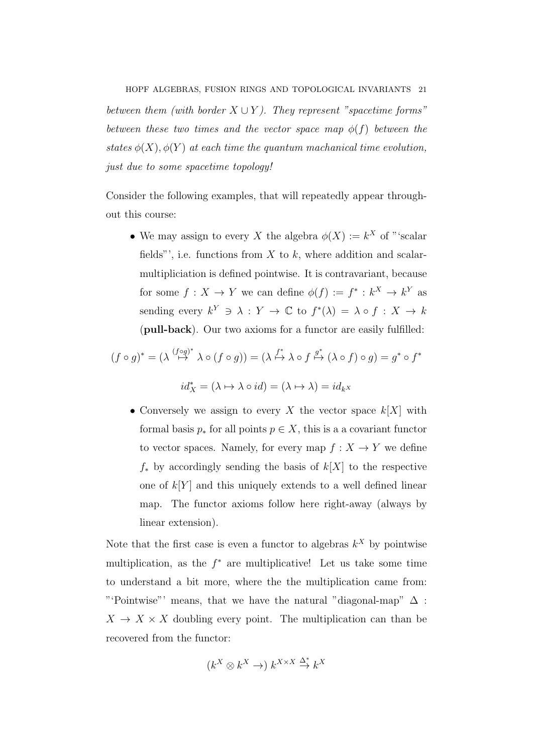between them (with border  $X \cup Y$ ). They represent "spacetime forms" between these two times and the vector space map  $\phi(f)$  between the states  $\phi(X)$ ,  $\phi(Y)$  at each time the quantum machanical time evolution, just due to some spacetime topology!

Consider the following examples, that will repeatedly appear throughout this course:

• We may assign to every X the algebra  $\phi(X) := k^X$  of "'scalar fields"', i.e. functions from  $X$  to  $k$ , where addition and scalarmultipliciation is defined pointwise. It is contravariant, because for some  $f: X \to Y$  we can define  $\phi(f) := f^* : k^X \to k^Y$  as sending every  $k^Y \ni \lambda : Y \to \mathbb{C}$  to  $f^*(\lambda) = \lambda \circ f : X \to k$ (pull-back). Our two axioms for a functor are easily fulfilled:

$$
(f \circ g)^* = (\lambda \stackrel{(f \circ g)^*}{\mapsto} \lambda \circ (f \circ g)) = (\lambda \stackrel{f^*}{\mapsto} \lambda \circ f \stackrel{g^*}{\mapsto} (\lambda \circ f) \circ g) = g^* \circ f^*
$$

$$
id_X^* = (\lambda \mapsto \lambda \circ id) = (\lambda \mapsto \lambda) = id_{kX}
$$

• Conversely we assign to every X the vector space  $k[X]$  with formal basis  $p_*$  for all points  $p \in X$ , this is a a covariant functor to vector spaces. Namely, for every map  $f: X \to Y$  we define  $f_*$  by accordingly sending the basis of  $k[X]$  to the respective one of  $k[Y]$  and this uniquely extends to a well defined linear map. The functor axioms follow here right-away (always by linear extension).

Note that the first case is even a functor to algebras  $k^X$  by pointwise multiplication, as the  $f^*$  are multiplicative! Let us take some time to understand a bit more, where the the multiplication came from: "'Pointwise"' means, that we have the natural "diagonal-map"  $\Delta$ :  $X \to X \times X$  doubling every point. The multiplication can than be recovered from the functor:

$$
(k^X \otimes k^X \to) k^{X \times X} \stackrel{\Delta^*}{\to} k^X
$$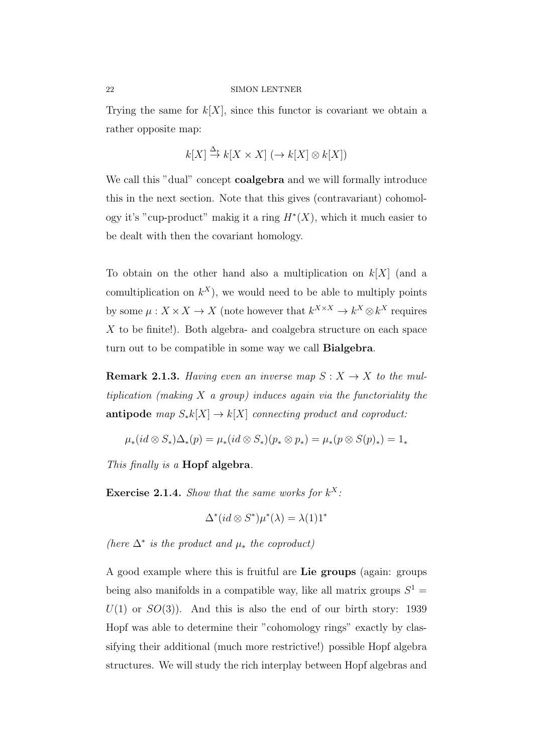Trying the same for  $k[X]$ , since this functor is covariant we obtain a rather opposite map:

$$
k[X] \stackrel{\Delta_*}{\to} k[X \times X] \; (\to k[X] \otimes k[X])
$$

We call this "dual" concept **coalgebra** and we will formally introduce this in the next section. Note that this gives (contravariant) cohomology it's "cup-product" makig it a ring  $H^*(X)$ , which it much easier to be dealt with then the covariant homology.

To obtain on the other hand also a multiplication on  $k[X]$  (and a comultiplication on  $k^X$ ), we would need to be able to multiply points by some  $\mu: X \times X \to X$  (note however that  $k^{X \times X} \to k^X \otimes k^X$  requires X to be finite!). Both algebra- and coalgebra structure on each space turn out to be compatible in some way we call **Bialgebra**.

**Remark 2.1.3.** Having even an inverse map  $S: X \to X$  to the multiplication (making  $X$  a group) induces again via the functoriality the **antipode** map  $S_*k[X] \to k[X]$  connecting product and coproduct:

$$
\mu_*(id \otimes S_*)\Delta_*(p) = \mu_*(id \otimes S_*)(p_* \otimes p_*) = \mu_*(p \otimes S(p)_*) = 1_*
$$

This finally is a **Hopf algebra**.

**Exercise 2.1.4.** Show that the same works for  $k^X$ :

$$
\Delta^*(id \otimes S^*)\mu^*(\lambda) = \lambda(1)1^*
$$

(here  $\Delta^*$  is the product and  $\mu_*$  the coproduct)

A good example where this is fruitful are Lie groups (again: groups being also manifolds in a compatible way, like all matrix groups  $S^1$  =  $U(1)$  or  $SO(3)$ ). And this is also the end of our birth story: 1939 Hopf was able to determine their "cohomology rings" exactly by classifying their additional (much more restrictive!) possible Hopf algebra structures. We will study the rich interplay between Hopf algebras and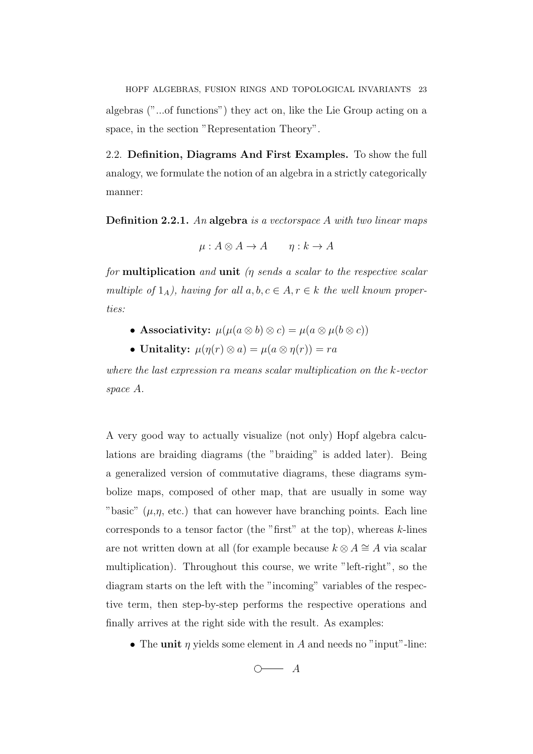HOPF ALGEBRAS, FUSION RINGS AND TOPOLOGICAL INVARIANTS 23 algebras ("...of functions") they act on, like the Lie Group acting on a space, in the section "Representation Theory".

2.2. Definition, Diagrams And First Examples. To show the full analogy, we formulate the notion of an algebra in a strictly categorically manner:

Definition 2.2.1. An algebra is a vector space A with two linear maps

$$
\mu: A \otimes A \to A \qquad \eta: k \to A
$$

for **multiplication** and **unit** ( $\eta$  sends a scalar to the respective scalar multiple of  $1_A$ ), having for all  $a, b, c \in A, r \in k$  the well known properties:

- Associativity:  $\mu(\mu(a \otimes b) \otimes c) = \mu(a \otimes \mu(b \otimes c))$
- Unitality:  $\mu(\eta(r) \otimes a) = \mu(a \otimes \eta(r)) = ra$

where the last expression ra means scalar multiplication on the k-vector space A.

A very good way to actually visualize (not only) Hopf algebra calculations are braiding diagrams (the "braiding" is added later). Being a generalized version of commutative diagrams, these diagrams symbolize maps, composed of other map, that are usually in some way "basic"  $(\mu, \eta, \text{ etc.})$  that can however have branching points. Each line corresponds to a tensor factor (the "first" at the top), whereas  $k$ -lines are not written down at all (for example because  $k \otimes A \cong A$  via scalar multiplication). Throughout this course, we write "left-right", so the diagram starts on the left with the "incoming" variables of the respective term, then step-by-step performs the respective operations and finally arrives at the right side with the result. As examples:

• The unit  $\eta$  yields some element in A and needs no "input"-line:

 $\overline{\bigcirc}$   $A$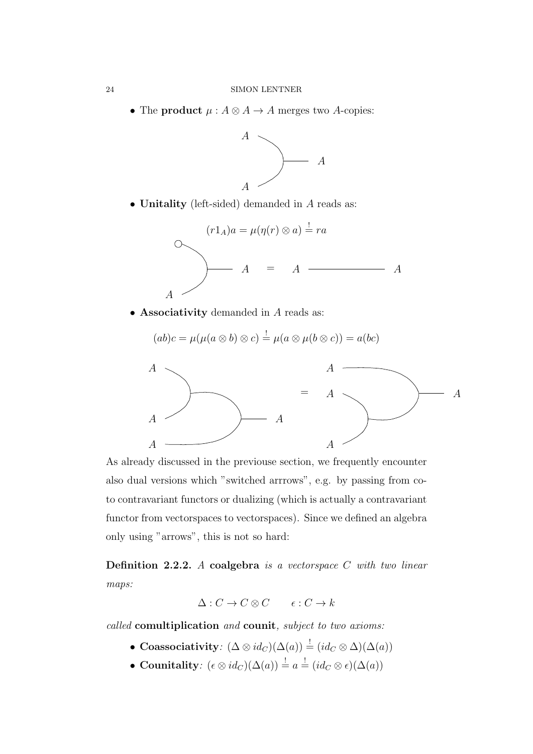• The product  $\mu : A \otimes A \rightarrow A$  merges two A-copies:



• Unitality (left-sided) demanded in A reads as:



• Associativity demanded in A reads as:

$$
(ab)c = \mu(\mu(a \otimes b) \otimes c) \stackrel{!}{=} \mu(a \otimes \mu(b \otimes c)) = a(bc)
$$



As already discussed in the previouse section, we frequently encounter also dual versions which "switched arrrows", e.g. by passing from coto contravariant functors or dualizing (which is actually a contravariant functor from vectorspaces to vectorspaces). Since we defined an algebra only using "arrows", this is not so hard:

Definition 2.2.2. A coalgebra is a vector space  $C$  with two linear maps:

$$
\Delta: C \to C \otimes C \qquad \epsilon: C \to k
$$

called comultiplication and counit, subject to two axioms:

- Coassociativity:  $(\Delta \otimes id_C)(\Delta(a)) = (id_C \otimes \Delta)(\Delta(a))$
- Counitality:  $(\epsilon \otimes id_C)(\Delta(a)) \stackrel{!}{=} a \stackrel{!}{=} (id_C \otimes \epsilon)(\Delta(a))$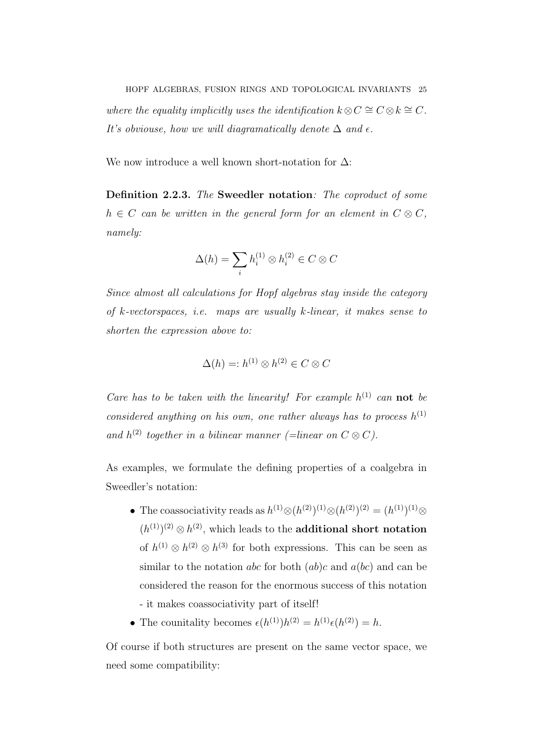HOPF ALGEBRAS, FUSION RINGS AND TOPOLOGICAL INVARIANTS 25 where the equality implicitly uses the identification  $k \otimes C \cong C \otimes k \cong C$ . It's obviouse, how we will diagramatically denote  $\Delta$  and  $\epsilon$ .

We now introduce a well known short-notation for  $\Delta$ :

Definition 2.2.3. The Sweedler notation: The coproduct of some  $h \in C$  can be written in the general form for an element in  $C \otimes C$ , namely:

$$
\Delta(h) = \sum_i h_i^{(1)} \otimes h_i^{(2)} \in C \otimes C
$$

Since almost all calculations for Hopf algebras stay inside the category of k-vectorspaces, i.e. maps are usually k-linear, it makes sense to shorten the expression above to:

$$
\Delta(h) =: h^{(1)} \otimes h^{(2)} \in C \otimes C
$$

Care has to be taken with the linearity! For example  $h^{(1)}$  can not be considered anything on his own, one rather always has to process  $h^{(1)}$ and  $h^{(2)}$  together in a bilinear manner (=linear on  $C \otimes C$ ).

As examples, we formulate the defining properties of a coalgebra in Sweedler's notation:

- The coassociativity reads as  $h^{(1)} \otimes (h^{(2)})^{(1)} \otimes (h^{(2)})^{(2)} = (h^{(1)})^{(1)} \otimes$  $(h^{(1)})^{(2)} \otimes h^{(2)}$ , which leads to the **additional short notation** of  $h^{(1)} \otimes h^{(2)} \otimes h^{(3)}$  for both expressions. This can be seen as similar to the notation *abc* for both  $(ab)c$  and  $a(bc)$  and can be considered the reason for the enormous success of this notation - it makes coassociativity part of itself!
- The counitality becomes  $\epsilon(h^{(1)})h^{(2)} = h^{(1)}\epsilon(h^{(2)}) = h$ .

Of course if both structures are present on the same vector space, we need some compatibility: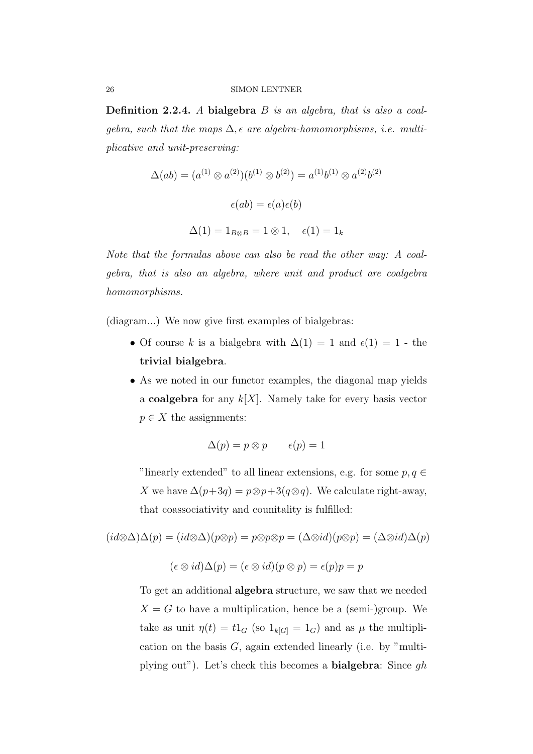Definition 2.2.4. A bialgebra B is an algebra, that is also a coalqebra, such that the maps  $\Delta$ ,  $\epsilon$  are algebra-homomorphisms, *i.e.* multiplicative and unit-preserving:

$$
\Delta(ab) = (a^{(1)} \otimes a^{(2)})(b^{(1)} \otimes b^{(2)}) = a^{(1)}b^{(1)} \otimes a^{(2)}b^{(2)}
$$

$$
\epsilon(ab) = \epsilon(a)\epsilon(b)
$$

$$
\Delta(1) = 1_{B \otimes B} = 1 \otimes 1, \quad \epsilon(1) = 1_k
$$

Note that the formulas above can also be read the other way: A coalgebra, that is also an algebra, where unit and product are coalgebra homomorphisms.

(diagram...) We now give first examples of bialgebras:

- Of course k is a bialgebra with  $\Delta(1) = 1$  and  $\epsilon(1) = 1$  the trivial bialgebra.
- As we noted in our functor examples, the diagonal map yields a **coalgebra** for any  $k[X]$ . Namely take for every basis vector  $p \in X$  the assignments:

$$
\Delta(p) = p \otimes p \qquad \epsilon(p) = 1
$$

"linearly extended" to all linear extensions, e.g. for some  $p, q \in$ X we have  $\Delta(p+3q) = p \otimes p + 3(q \otimes q)$ . We calculate right-away, that coassociativity and counitality is fulfilled:

$$
(id \otimes \Delta)\Delta(p) = (id \otimes \Delta)(p \otimes p) = p \otimes p \otimes p = (\Delta \otimes id)(p \otimes p) = (\Delta \otimes id)\Delta(p)
$$

$$
(\epsilon \otimes id)\Delta(p) = (\epsilon \otimes id)(p \otimes p) = \epsilon(p)p = p
$$

To get an additional algebra structure, we saw that we needed  $X = G$  to have a multiplication, hence be a (semi-)group. We take as unit  $\eta(t) = t1_G$  (so  $1_{k[G]} = 1_G$ ) and as  $\mu$  the multiplication on the basis  $G$ , again extended linearly (i.e. by "multiplying out"). Let's check this becomes a **bialgebra**: Since  $qh$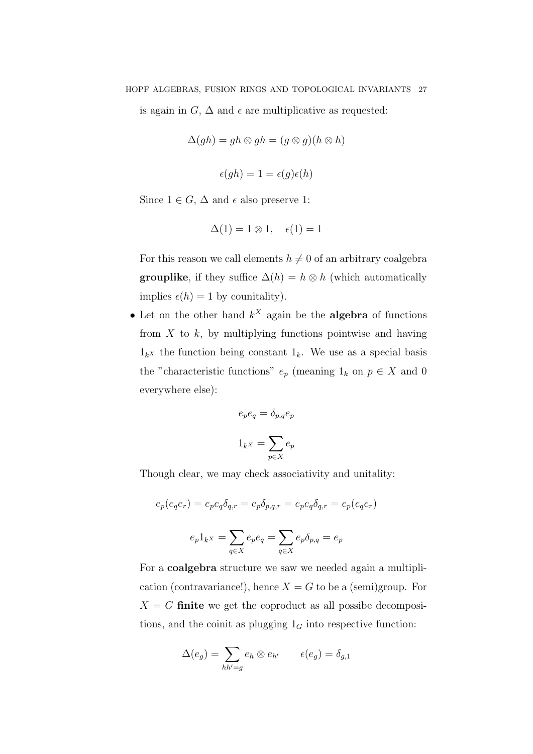is again in  $G, \Delta$  and  $\epsilon$  are multiplicative as requested:

$$
\Delta(gh) = gh \otimes gh = (g \otimes g)(h \otimes h)
$$

$$
\epsilon(gh) = 1 = \epsilon(g)\epsilon(h)
$$

Since  $1 \in G$ ,  $\Delta$  and  $\epsilon$  also preserve 1:

$$
\Delta(1) = 1 \otimes 1, \quad \epsilon(1) = 1
$$

For this reason we call elements  $h \neq 0$  of an arbitrary coalgebra **grouplike**, if they suffice  $\Delta(h) = h \otimes h$  (which automatically implies  $\epsilon(h) = 1$  by counitality).

• Let on the other hand  $k^X$  again be the **algebra** of functions from  $X$  to  $k$ , by multiplying functions pointwise and having  $1_kx$  the function being constant  $1_k$ . We use as a special basis the "characteristic functions"  $e_p$  (meaning  $1_k$  on  $p \in X$  and 0 everywhere else):

$$
e_p e_q = \delta_{p,q} e_p
$$

$$
1_{k} = \sum_{p \in X} e_p
$$

Though clear, we may check associativity and unitality:

$$
e_p(e_qe_r) = e_pe_q\delta_{q,r} = e_p\delta_{p,q,r} = e_pe_q\delta_{q,r} = e_p(e_qe_r)
$$

$$
e_p1_kx = \sum_{q \in X} e_pe_q = \sum_{q \in X} e_p\delta_{p,q} = e_p
$$

For a coalgebra structure we saw we needed again a multiplication (contravariance!), hence  $X = G$  to be a (semi)group. For  $X = G$  finite we get the coproduct as all possibe decompositions, and the coinit as plugging  $1_G$  into respective function:

$$
\Delta(e_g) = \sum_{hh'=g} e_h \otimes e_{h'} \qquad \epsilon(e_g) = \delta_{g,1}
$$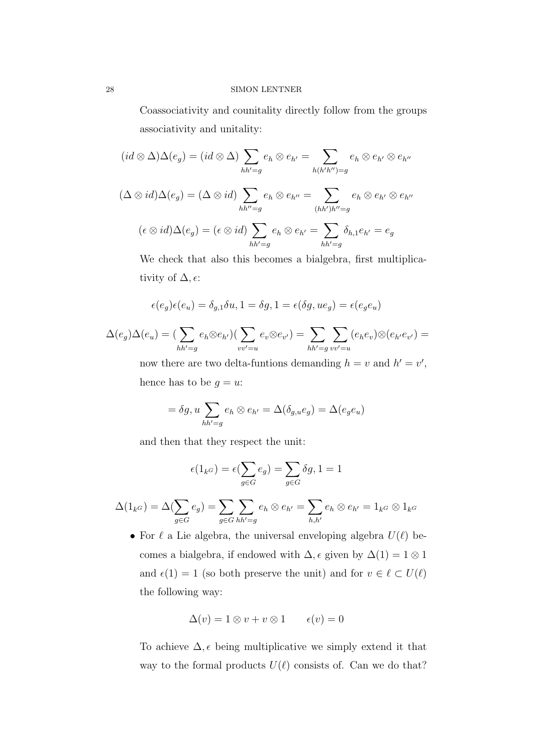Coassociativity and counitality directly follow from the groups associativity and unitality:

$$
(id \otimes \Delta)\Delta(e_g) = (id \otimes \Delta) \sum_{hh'=g} e_h \otimes e_{h'} = \sum_{h(h'h'')=g} e_h \otimes e_{h'} \otimes e_{h''}
$$

$$
(\Delta \otimes id)\Delta(e_g) = (\Delta \otimes id) \sum_{hh'=g} e_h \otimes e_{h''} = \sum_{(hh')h''=g} e_h \otimes e_{h'} \otimes e_{h''}
$$

$$
(\epsilon \otimes id)\Delta(e_g) = (\epsilon \otimes id) \sum_{hh'=g} e_h \otimes e_{h'} = \sum_{hh'=g} \delta_{h,1} e_{h'} = e_g
$$

We check that also this becomes a bialgebra, first multiplicativity of  $\Delta, \epsilon$ :

$$
\epsilon(e_g)\epsilon(e_u)=\delta_{g,1}\delta u, 1=\delta g, 1=\epsilon(\delta g,ue_g)=\epsilon(e_ge_u)
$$

$$
\Delta(e_g)\Delta(e_u) = \left(\sum_{hh'=g} e_h \otimes e_{h'}\right)\left(\sum_{vv'=u} e_v \otimes e_{v'}\right) = \sum_{hh'=g} \sum_{vv'=u} (e_h e_v) \otimes (e_{h'} e_{v'}) =
$$

now there are two delta-funtions demanding  $h = v$  and  $h' = v'$ , hence has to be  $g = u$ :

$$
= \delta g, u \sum_{hh'=g} e_h \otimes e_{h'} = \Delta(\delta_{g,u} e_g) = \Delta(e_g e_u)
$$

and then that they respect the unit:

$$
\epsilon(1_{k^G}) = \epsilon(\sum_{g \in G} e_g) = \sum_{g \in G} \delta g, 1 = 1
$$

$$
\Delta(1_{k^G}) = \Delta(\sum_{g \in G} e_g) = \sum_{g \in G} \sum_{hh'=g} e_h \otimes e_{h'} = \sum_{h,h'} e_h \otimes e_{h'} = 1_{k^G} \otimes 1_{k^G}
$$

• For  $\ell$  a Lie algebra, the universal enveloping algebra  $U(\ell)$  becomes a bialgebra, if endowed with  $\Delta$ ,  $\epsilon$  given by  $\Delta(1) = 1 \otimes 1$ and  $\epsilon(1) = 1$  (so both preserve the unit) and for  $v \in \ell \subset U(\ell)$ the following way:

$$
\Delta(v) = 1 \otimes v + v \otimes 1 \qquad \epsilon(v) = 0
$$

To achieve  $\Delta$ ,  $\epsilon$  being multiplicative we simply extend it that way to the formal products  $U(\ell)$  consists of. Can we do that?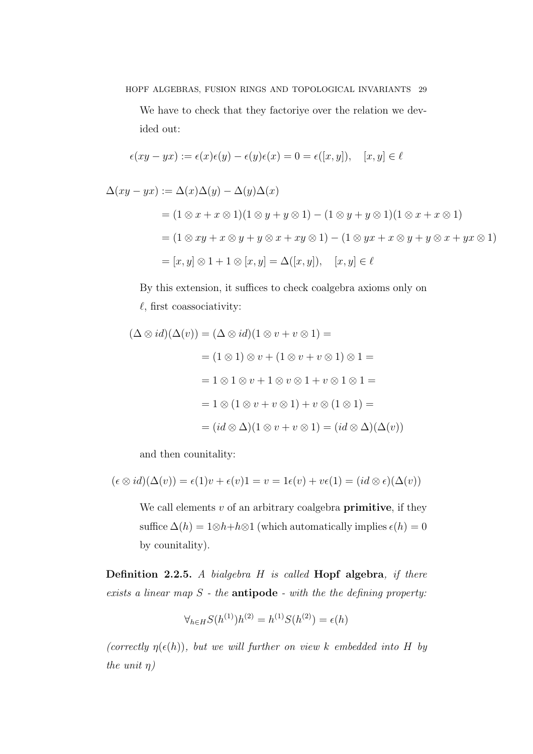HOPF ALGEBRAS, FUSION RINGS AND TOPOLOGICAL INVARIANTS 29

We have to check that they factoriye over the relation we devided out:

$$
\epsilon (xy-yx):=\epsilon(x)\epsilon(y)-\epsilon(y)\epsilon(x)=0=\epsilon([x,y]),\quad [x,y]\in\ell
$$

$$
\Delta(xy - yx) := \Delta(x)\Delta(y) - \Delta(y)\Delta(x)
$$
  
=  $(1 \otimes x + x \otimes 1)(1 \otimes y + y \otimes 1) - (1 \otimes y + y \otimes 1)(1 \otimes x + x \otimes 1)$   
=  $(1 \otimes xy + x \otimes y + y \otimes x + xy \otimes 1) - (1 \otimes yx + x \otimes y + y \otimes x + yx \otimes 1)$   
=  $[x, y] \otimes 1 + 1 \otimes [x, y] = \Delta([x, y]), \quad [x, y] \in \ell$ 

By this extension, it suffices to check coalgebra axioms only on  $\ell$ , first coassociativity:

$$
(\Delta \otimes id)(\Delta(v)) = (\Delta \otimes id)(1 \otimes v + v \otimes 1) =
$$
  
=  $(1 \otimes 1) \otimes v + (1 \otimes v + v \otimes 1) \otimes 1 =$   
=  $1 \otimes 1 \otimes v + 1 \otimes v \otimes 1 + v \otimes 1 \otimes 1 =$   
=  $1 \otimes (1 \otimes v + v \otimes 1) + v \otimes (1 \otimes 1) =$   
=  $(id \otimes \Delta)(1 \otimes v + v \otimes 1) = (id \otimes \Delta)(\Delta(v))$ 

and then counitality:

$$
(\epsilon \otimes id)(\Delta(v)) = \epsilon(1)v + \epsilon(v)1 = v = 1\epsilon(v) + v\epsilon(1) = (id \otimes \epsilon)(\Delta(v))
$$

We call elements  $v$  of an arbitrary coalgebra **primitive**, if they suffice  $\Delta(h) = 1 \otimes h + h \otimes 1$  (which automatically implies  $\epsilon(h) = 0$ by counitality).

Definition 2.2.5. A bialgebra  $H$  is called Hopf algebra, if there exists a linear map  $S$  - the **antipode** - with the the defining property:

$$
\forall_{h \in H} S(h^{(1)}) h^{(2)} = h^{(1)} S(h^{(2)}) = \epsilon(h)
$$

(correctly  $\eta(\epsilon(h))$ , but we will further on view k embedded into H by the unit  $\eta$ )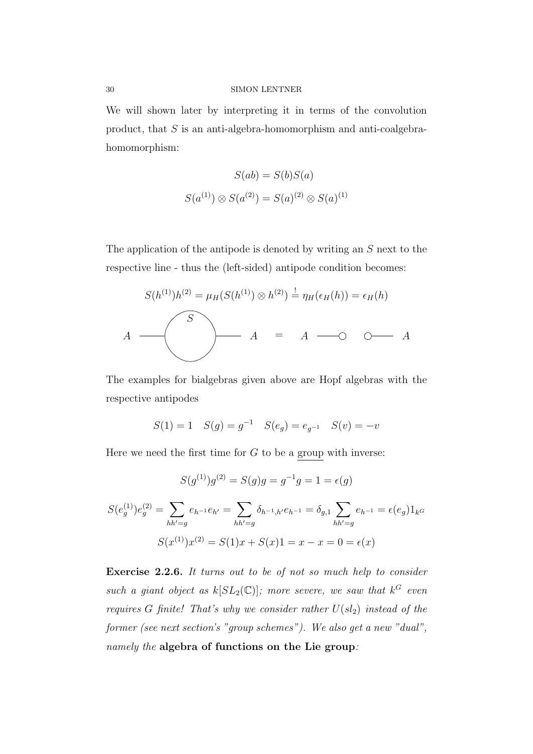We will shown later by interpreting it in terms of the convolution product, that  $S$  is an anti-algebra-homomorphism and anti-coalgebrahomomorphism:

$$
S(ab) = S(b)S(a)
$$
  

$$
S(a^{(1)}) \otimes S(a^{(2)}) = S(a)^{(2)} \otimes S(a)^{(1)}
$$

The application of the antipode is denoted by writing an S next to the respective line - thus the (left-sided) antipode condition becomes:

$$
S(h^{(1)})h^{(2)} = \mu_H(S(h^{(1)}) \otimes h^{(2)}) \stackrel{!}{=} \eta_H(\epsilon_H(h)) = \epsilon_H(h)
$$
  

$$
A = A \longrightarrow \bigcirc A
$$

The examples for bialgebras given above are Hopf algebras with the respective antipodes

$$
S(1) = 1
$$
  $S(g) = g^{-1}$   $S(e_g) = e_{g^{-1}}$   $S(v) = -v$ 

Here we need the first time for  $G$  to be a group with inverse:

$$
S(g^{(1)})g^{(2)} = S(g)g = g^{-1}g = 1 = \epsilon(g)
$$

$$
S(e_g^{(1)})e_g^{(2)} = \sum_{hh'=g} e_{h^{-1}}e_{h'} = \sum_{hh'=g} \delta_{h^{-1},h'}e_{h^{-1}} = \delta_{g,1} \sum_{hh'=g} e_{h^{-1}} = \epsilon(e_g)1_{k}g
$$

$$
S(x^{(1)})x^{(2)} = S(1)x + S(x)1 = x - x = 0 = \epsilon(x)
$$

Exercise 2.2.6. It turns out to be of not so much help to consider such a giant object as  $k[SL_2(\mathbb{C})]$ ; more severe, we saw that  $k^G$  even requires G finite! That's why we consider rather  $U(sl_2)$  instead of the former (see next section's "group schemes"). We also get a new "dual", namely the algebra of functions on the Lie group: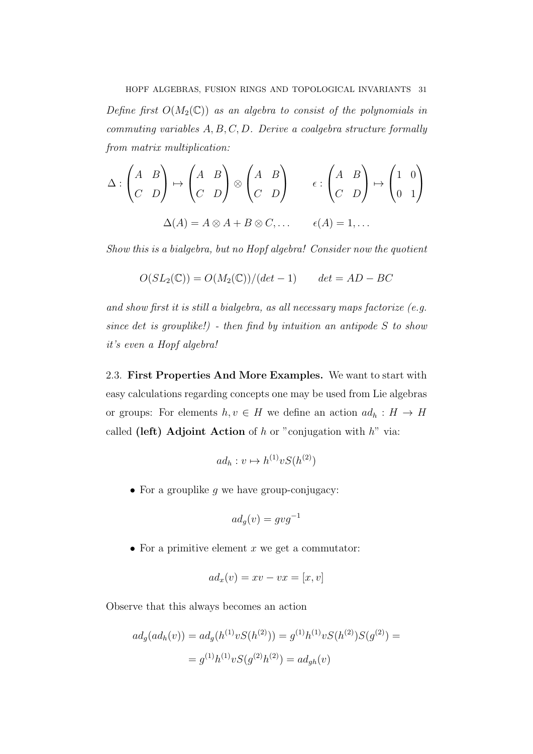Define first  $O(M_2(\mathbb{C}))$  as an algebra to consist of the polynomials in commuting variables  $A, B, C, D$ . Derive a coalgebra structure formally from matrix multiplication:

$$
\Delta : \begin{pmatrix} A & B \\ C & D \end{pmatrix} \mapsto \begin{pmatrix} A & B \\ C & D \end{pmatrix} \otimes \begin{pmatrix} A & B \\ C & D \end{pmatrix} \qquad \epsilon : \begin{pmatrix} A & B \\ C & D \end{pmatrix} \mapsto \begin{pmatrix} 1 & 0 \\ 0 & 1 \end{pmatrix}
$$

$$
\Delta(A) = A \otimes A + B \otimes C, \dots \qquad \epsilon(A) = 1, \dots
$$

Show this is a bialgebra, but no Hopf algebra! Consider now the quotient

$$
O(SL_2(\mathbb{C})) = O(M_2(\mathbb{C})) / (det - 1) \qquad det = AD - BC
$$

and show first it is still a bialgebra, as all necessary maps factorize (e.g. since det is grouplike!) - then find by intuition an antipode  $S$  to show it's even a Hopf algebra!

2.3. First Properties And More Examples. We want to start with easy calculations regarding concepts one may be used from Lie algebras or groups: For elements  $h, v \in H$  we define an action  $ad_h : H \to H$ called (left) Adjoint Action of  $h$  or "conjugation with  $h$ " via:

$$
ad_h: v \mapsto h^{(1)}vS(h^{(2)})
$$

• For a grouplike  $g$  we have group-conjugacy:

$$
ad_g(v) = gvg^{-1}
$$

• For a primitive element  $x$  we get a commutator:

$$
ad_x(v) = xv - vx = [x, v]
$$

Observe that this always becomes an action

$$
ad_g(ad_h(v)) = ad_g(h^{(1)}vS(h^{(2)})) = g^{(1)}h^{(1)}vS(h^{(2)})S(g^{(2)}) =
$$
  
=  $g^{(1)}h^{(1)}vS(g^{(2)}h^{(2)}) = ad_{gh}(v)$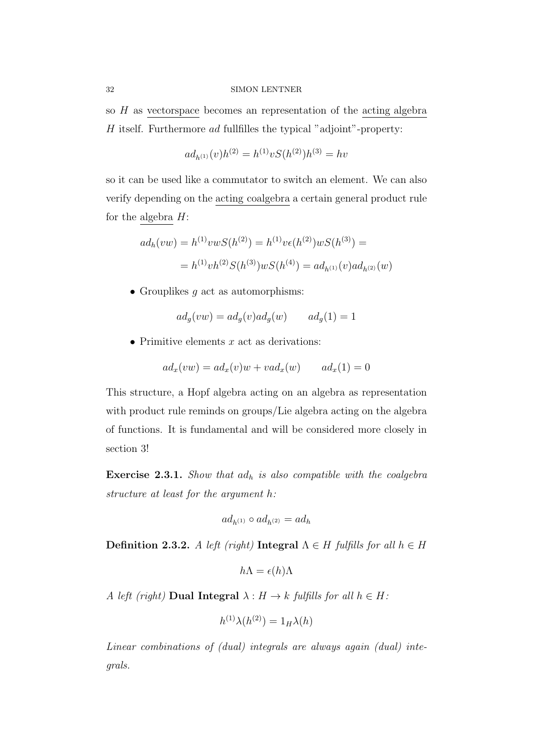so  $H$  as vectorspace becomes an representation of the acting algebra  $H$  itself. Furthermore ad fullfilles the typical "adjoint"-property:

$$
ad_{h^{(1)}}(v)h^{(2)} = h^{(1)}vS(h^{(2)})h^{(3)} = hv
$$

so it can be used like a commutator to switch an element. We can also verify depending on the acting coalgebra a certain general product rule for the algebra  $H$ :

$$
ad_h(vw) = h^{(1)}vwS(h^{(2)}) = h^{(1)}v\epsilon(h^{(2)})wS(h^{(3)}) =
$$
  
= 
$$
h^{(1)}vh^{(2)}S(h^{(3)})wS(h^{(4)}) = ad_{h^{(1)}}(v)ad_{h^{(2)}}(w)
$$

• Grouplikes  $q$  act as automorphisms:

$$
ad_g(vw) = ad_g(v)ad_g(w) \qquad ad_g(1) = 1
$$

• Primitive elements  $x$  act as derivations:

$$
ad_x(vw) = ad_x(v)w + vad_x(w) \qquad ad_x(1) = 0
$$

This structure, a Hopf algebra acting on an algebra as representation with product rule reminds on groups/Lie algebra acting on the algebra of functions. It is fundamental and will be considered more closely in section 3!

**Exercise 2.3.1.** Show that  $ad_h$  is also compatible with the coalgebra structure at least for the argument h:

$$
ad_{h^{(1)}}\circ ad_{h^{(2)}}=ad_h
$$

Definition 2.3.2. A left (right) Integral  $\Lambda \in H$  fulfills for all  $h \in H$ 

$$
h\Lambda = \epsilon(h)\Lambda
$$

A left (right) Dual Integral  $\lambda : H \to k$  fulfills for all  $h \in H$ :

$$
h^{(1)}\lambda(h^{(2)}) = 1_H\lambda(h)
$$

Linear combinations of (dual) integrals are always again (dual) integrals.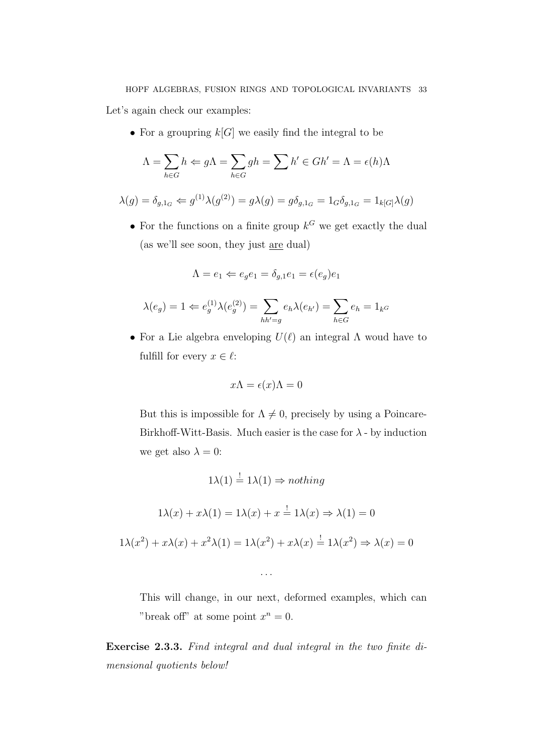Let's again check our examples:

• For a groupring  $k[G]$  we easily find the integral to be

$$
\Lambda = \sum_{h \in G} h \Leftarrow g\Lambda = \sum_{h \in G} gh = \sum h' \in Gh' = \Lambda = \epsilon(h)\Lambda
$$

$$
\lambda(g) = \delta_{g,1_G} \Leftarrow g^{(1)}\lambda(g^{(2)}) = g\lambda(g) = g\delta_{g,1_G} = 1_G\delta_{g,1_G} = 1_{k[G]}\lambda(g)
$$

• For the functions on a finite group  $k^G$  we get exactly the dual (as we'll see soon, they just are dual)

$$
\Lambda = e_1 \Leftarrow e_g e_1 = \delta_{g,1} e_1 = \epsilon(e_g) e_1
$$

$$
\lambda(e_g) = 1 \Leftarrow e_g^{(1)} \lambda(e_g^{(2)}) = \sum_{hh'=g} e_h \lambda(e_{h'}) = \sum_{h \in G} e_h = 1_{k} \sigma
$$

• For a Lie algebra enveloping  $U(\ell)$  an integral  $\Lambda$  woud have to fulfill for every  $x \in \ell$ :

$$
x\Lambda = \epsilon(x)\Lambda = 0
$$

But this is impossible for  $\Lambda \neq 0$ , precisely by using a Poincare-Birkhoff-Witt-Basis. Much easier is the case for  $\lambda$  - by induction we get also  $\lambda = 0$ :

$$
1\lambda(1) \stackrel{!}{=} 1\lambda(1) \Rightarrow nothing
$$
  

$$
1\lambda(x) + x\lambda(1) = 1\lambda(x) + x \stackrel{!}{=} 1\lambda(x) \Rightarrow \lambda(1) = 0
$$
  

$$
1\lambda(x^2) + x\lambda(x) + x^2\lambda(1) = 1\lambda(x^2) + x\lambda(x) \stackrel{!}{=} 1\lambda(x^2) \Rightarrow \lambda(x) = 0
$$

. . .

This will change, in our next, deformed examples, which can "break off" at some point  $x^n = 0$ .

Exercise 2.3.3. Find integral and dual integral in the two finite dimensional quotients below!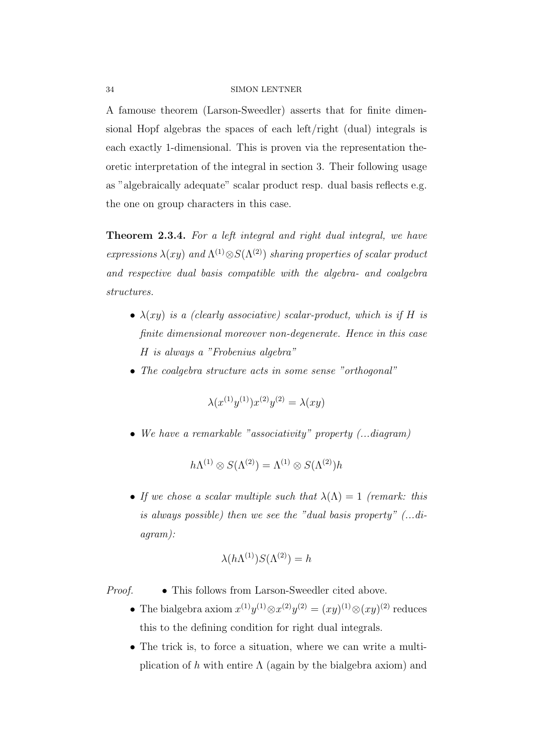A famouse theorem (Larson-Sweedler) asserts that for finite dimensional Hopf algebras the spaces of each left/right (dual) integrals is each exactly 1-dimensional. This is proven via the representation theoretic interpretation of the integral in section 3. Their following usage as "algebraically adequate" scalar product resp. dual basis reflects e.g. the one on group characters in this case.

Theorem 2.3.4. For a left integral and right dual integral, we have expressions  $\lambda(xy)$  and  $\Lambda^{(1)} \otimes S(\Lambda^{(2)})$  sharing properties of scalar product and respective dual basis compatible with the algebra- and coalgebra structures.

- $\lambda(xy)$  is a (clearly associative) scalar-product, which is if H is finite dimensional moreover non-degenerate. Hence in this case H is always a "Frobenius algebra"
- The coalgebra structure acts in some sense "orthogonal"

$$
\lambda(x^{(1)}y^{(1)})x^{(2)}y^{(2)} = \lambda(xy)
$$

• We have a remarkable "associativity" property (...diagram)

$$
h\Lambda^{(1)}\otimes S(\Lambda^{(2)})=\Lambda^{(1)}\otimes S(\Lambda^{(2)})h
$$

• If we chose a scalar multiple such that  $\lambda(\Lambda) = 1$  (remark: this is always possible) then we see the "dual basis property" (...diagram):

$$
\lambda(h\Lambda^{(1)})S(\Lambda^{(2)})=h
$$

Proof. • This follows from Larson-Sweedler cited above.

- The bialgebra axiom  $x^{(1)}y^{(1)} \otimes x^{(2)}y^{(2)} = (xy)^{(1)} \otimes (xy)^{(2)}$  reduces this to the defining condition for right dual integrals.
- The trick is, to force a situation, where we can write a multiplication of h with entire  $\Lambda$  (again by the bialgebra axiom) and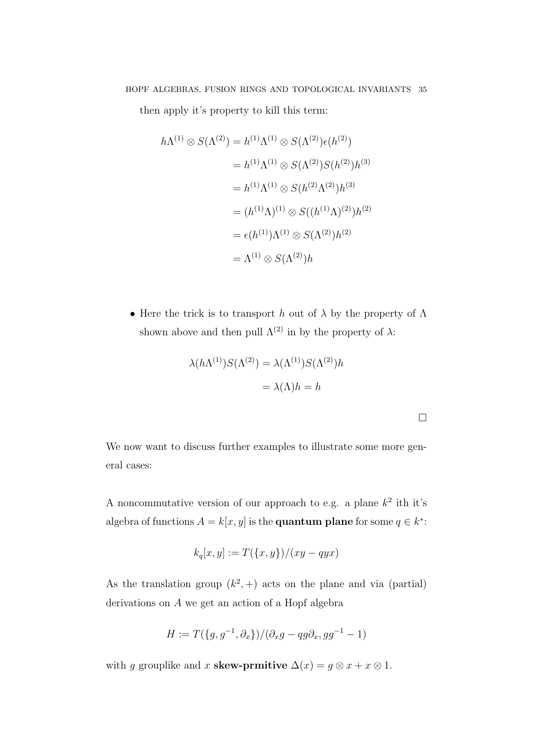then apply it's property to kill this term:

$$
h\Lambda^{(1)} \otimes S(\Lambda^{(2)}) = h^{(1)}\Lambda^{(1)} \otimes S(\Lambda^{(2)})\epsilon(h^{(2)})
$$
  
=  $h^{(1)}\Lambda^{(1)} \otimes S(\Lambda^{(2)})S(h^{(2)})h^{(3)}$   
=  $h^{(1)}\Lambda^{(1)} \otimes S(h^{(2)}\Lambda^{(2)})h^{(3)}$   
=  $(h^{(1)}\Lambda)^{(1)} \otimes S((h^{(1)}\Lambda)^{(2)})h^{(2)}$   
=  $\epsilon(h^{(1)})\Lambda^{(1)} \otimes S(\Lambda^{(2)})h^{(2)}$   
=  $\Lambda^{(1)} \otimes S(\Lambda^{(2)})h$ 

• Here the trick is to transport h out of  $\lambda$  by the property of  $\Lambda$ shown above and then pull  $\Lambda^{(2)}$  in by the property of  $\lambda$ :

$$
\lambda(h\Lambda^{(1)})S(\Lambda^{(2)}) = \lambda(\Lambda^{(1)})S(\Lambda^{(2)})h
$$

$$
= \lambda(\Lambda)h = h
$$

We now want to discuss further examples to illustrate some more general cases:

A noncommutative version of our approach to e.g. a plane  $k^2$  ith it's algebra of functions  $A = k[x, y]$  is the **quantum plane** for some  $q \in k^*$ :

$$
k_q[x, y] := T(\{x, y\})/(xy - qyx)
$$

As the translation group  $(k^2, +)$  acts on the plane and via (partial) derivations on A we get an action of a Hopf algebra

$$
H := T(\{g, g^{-1}, \partial_x\})/(\partial_x g - qg \partial_x, gg^{-1} - 1)
$$

with g grouplike and x skew-prmitive  $\Delta(x) = g \otimes x + x \otimes 1$ .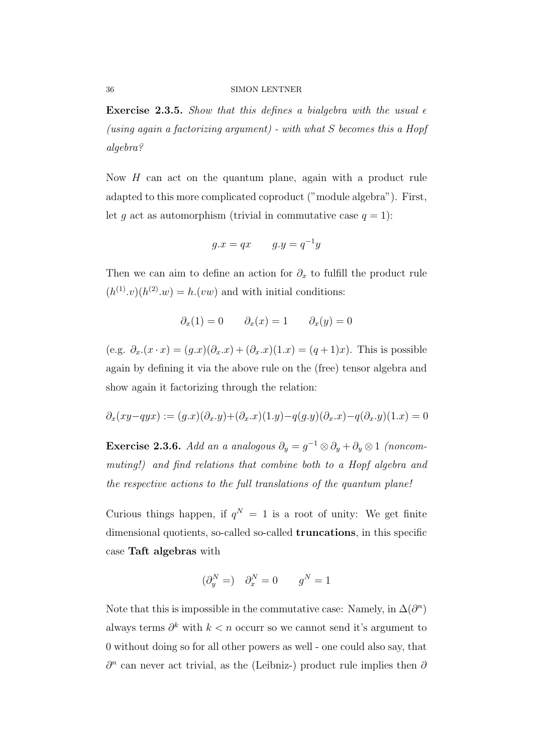**Exercise 2.3.5.** Show that this defines a bialgebra with the usual  $\epsilon$ (using again a factorizing argument) - with what  $S$  becomes this a Hopf algebra?

Now  $H$  can act on the quantum plane, again with a product rule adapted to this more complicated coproduct ("module algebra"). First, let g act as automorphism (trivial in commutative case  $q = 1$ ):

$$
g.x = qx \qquad g.y = q^{-1}y
$$

Then we can aim to define an action for  $\partial_x$  to fulfill the product rule  $(h^{(1)}\cdot v)(h^{(2)}\cdot w) = h\cdot(vw)$  and with initial conditions:

$$
\partial_x(1) = 0 \qquad \partial_x(x) = 1 \qquad \partial_x(y) = 0
$$

(e.g.  $\partial_x(x \cdot x) = (g.x)(\partial_x x) + (\partial_x x)(1.x) = (g+1)x$ ). This is possible again by defining it via the above rule on the (free) tensor algebra and show again it factorizing through the relation:

$$
\partial_x(xy-qyx) := (g.x)(\partial_x \cdot y) + (\partial_x \cdot x)(1 \cdot y) - q(g \cdot y)(\partial_x \cdot x) - q(\partial_x \cdot y)(1 \cdot x) = 0
$$

**Exercise 2.3.6.** Add an a analogous  $\partial_y = g^{-1} \otimes \partial_y + \partial_y \otimes 1$  (noncommuting!) and find relations that combine both to a Hopf algebra and the respective actions to the full translations of the quantum plane!

Curious things happen, if  $q^N = 1$  is a root of unity: We get finite dimensional quotients, so-called so-called truncations, in this specific case Taft algebras with

$$
(\partial_y^N =) \quad \partial_x^N = 0 \qquad g^N = 1
$$

Note that this is impossible in the commutative case: Namely, in  $\Delta(\partial^n)$ always terms  $\partial^k$  with  $k < n$  occurr so we cannot send it's argument to 0 without doing so for all other powers as well - one could also say, that  $\partial^n$  can never act trivial, as the (Leibniz-) product rule implies then  $\partial$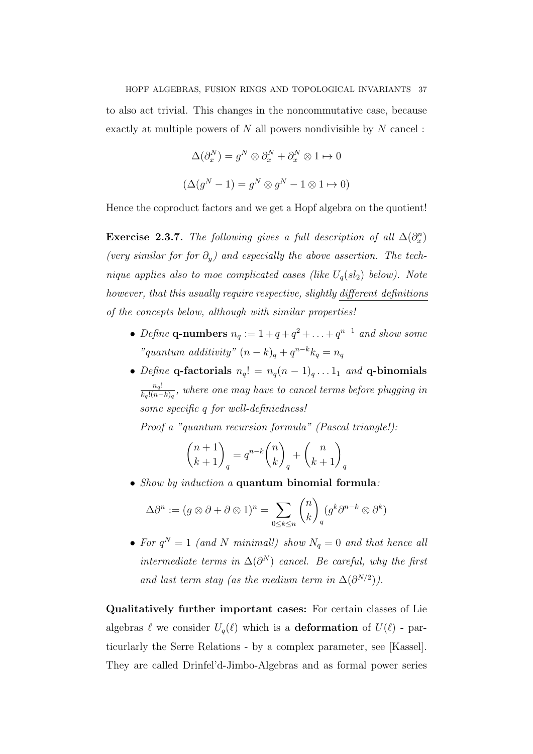to also act trivial. This changes in the noncommutative case, because exactly at multiple powers of  $N$  all powers nondivisible by  $N$  cancel:

$$
\Delta(\partial_x^N) = g^N \otimes \partial_x^N + \partial_x^N \otimes 1 \mapsto 0
$$
  

$$
(\Delta(g^N - 1) = g^N \otimes g^N - 1 \otimes 1 \mapsto 0)
$$

Hence the coproduct factors and we get a Hopf algebra on the quotient!

**Exercise 2.3.7.** The following gives a full description of all  $\Delta(\partial_x^n)$ (very similar for for  $\partial_y$ ) and especially the above assertion. The technique applies also to moe complicated cases (like  $U_q(sl_2)$  below). Note however, that this usually require respective, slightly different definitions of the concepts below, although with similar properties!

- Define q-numbers  $n_q := 1 + q + q^2 + \ldots + q^{n-1}$  and show some "quantum additivity"  $(n-k)_q + q^{n-k}k_q = n_q$
- Define q-factorials  $n_q! = n_q(n-1)_q \dots 1_1$  and q-binomials  $n_q!$  $\frac{n_q!}{k_q!(n-k)_q}$ , where one may have to cancel terms before plugging in some specific q for well-definiedness!

Proof a "quantum recursion formula" (Pascal triangle!):

$$
\binom{n+1}{k+1}_q = q^{n-k} \binom{n}{k}_q + \binom{n}{k+1}_q
$$

• Show by induction a quantum binomial formula:

$$
\Delta \partial^n := (g \otimes \partial + \partial \otimes 1)^n = \sum_{0 \le k \le n} \binom{n}{k}_q (g^k \partial^{n-k} \otimes \partial^k)
$$

• For  $q^N = 1$  (and N minimal!) show  $N_q = 0$  and that hence all intermediate terms in  $\Delta(\partial^N)$  cancel. Be careful, why the first and last term stay (as the medium term in  $\Delta(\partial^{N/2})$ ).

Qualitatively further important cases: For certain classes of Lie algebras  $\ell$  we consider  $U_q(\ell)$  which is a **deformation** of  $U(\ell)$  - particurlarly the Serre Relations - by a complex parameter, see [Kassel]. They are called Drinfel'd-Jimbo-Algebras and as formal power series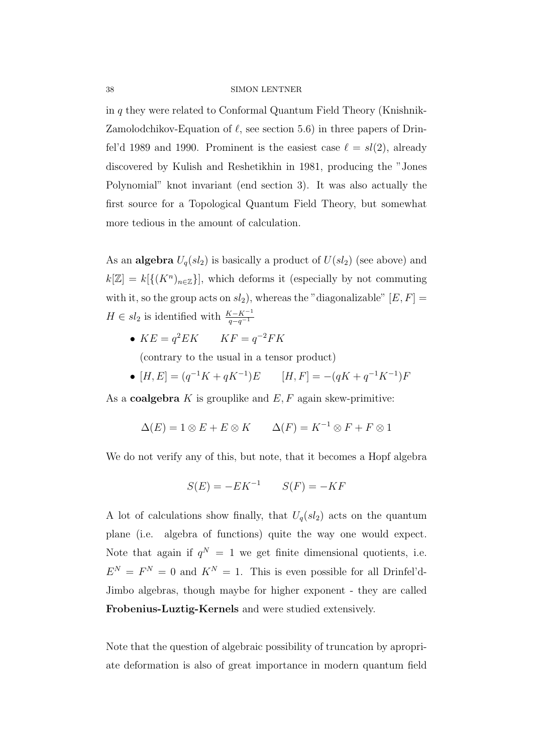in q they were related to Conformal Quantum Field Theory (Knishnik-Zamolodchikov-Equation of  $\ell$ , see section 5.6) in three papers of Drinfel'd 1989 and 1990. Prominent is the easiest case  $\ell = sl(2)$ , already discovered by Kulish and Reshetikhin in 1981, producing the "Jones Polynomial" knot invariant (end section 3). It was also actually the first source for a Topological Quantum Field Theory, but somewhat more tedious in the amount of calculation.

As an **algebra**  $U_q(sl_2)$  is basically a product of  $U(sl_2)$  (see above) and  $k[\mathbb{Z}] = k[\{(K^n)_{n \in \mathbb{Z}}\}]$ , which deforms it (especially by not commuting with it, so the group acts on  $sl_2$ ), whereas the "diagonalizable"  $[E, F] =$  $H \in sl_2$  is identified with  $\frac{K-K^{-1}}{q-q^{-1}}$ 

•  $KE = q^2 EK$   $KF = q^{-2}FK$ 

(contrary to the usual in a tensor product)

•  $[H, E] = (q^{-1}K + qK^{-1})E$   $[H, F] = -(qK + q^{-1}K^{-1})F$ 

As a **coalgebra** K is grouplike and  $E$ , F again skew-primitive:

$$
\Delta(E) = 1 \otimes E + E \otimes K \qquad \Delta(F) = K^{-1} \otimes F + F \otimes 1
$$

We do not verify any of this, but note, that it becomes a Hopf algebra

$$
S(E) = -EK^{-1} \qquad S(F) = -KF
$$

A lot of calculations show finally, that  $U_q(sl_2)$  acts on the quantum plane (i.e. algebra of functions) quite the way one would expect. Note that again if  $q^N = 1$  we get finite dimensional quotients, i.e.  $E^N = F^N = 0$  and  $K^N = 1$ . This is even possible for all Drinfel'd-Jimbo algebras, though maybe for higher exponent - they are called Frobenius-Luztig-Kernels and were studied extensively.

Note that the question of algebraic possibility of truncation by apropriate deformation is also of great importance in modern quantum field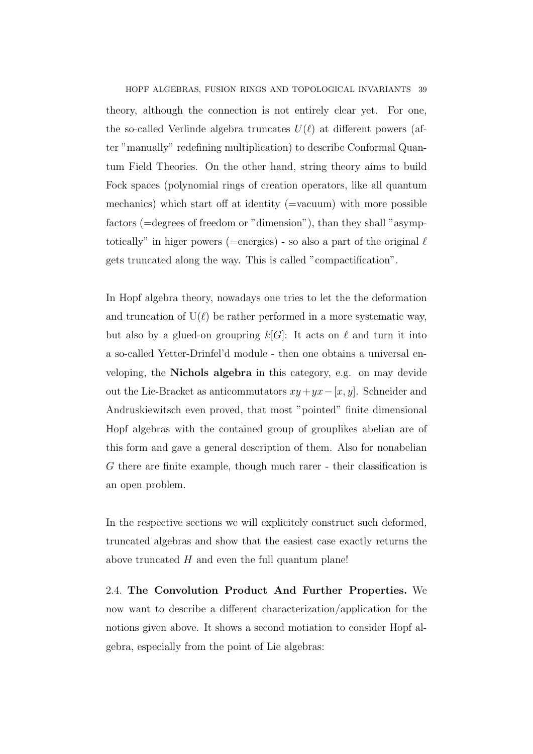HOPF ALGEBRAS, FUSION RINGS AND TOPOLOGICAL INVARIANTS 39 theory, although the connection is not entirely clear yet. For one, the so-called Verlinde algebra truncates  $U(\ell)$  at different powers (after "manually" redefining multiplication) to describe Conformal Quantum Field Theories. On the other hand, string theory aims to build Fock spaces (polynomial rings of creation operators, like all quantum mechanics) which start off at identity (=vacuum) with more possible factors (=degrees of freedom or "dimension"), than they shall "asymptotically" in higer powers (=energies) - so also a part of the original  $\ell$ gets truncated along the way. This is called "compactification".

In Hopf algebra theory, nowadays one tries to let the the deformation and truncation of  $U(\ell)$  be rather performed in a more systematic way, but also by a glued-on groupring  $k[G]$ : It acts on  $\ell$  and turn it into a so-called Yetter-Drinfel'd module - then one obtains a universal enveloping, the Nichols algebra in this category, e.g. on may devide out the Lie-Bracket as anticommutators  $xy+yx-[x, y]$ . Schneider and Andruskiewitsch even proved, that most "pointed" finite dimensional Hopf algebras with the contained group of grouplikes abelian are of this form and gave a general description of them. Also for nonabelian G there are finite example, though much rarer - their classification is an open problem.

In the respective sections we will explicitely construct such deformed, truncated algebras and show that the easiest case exactly returns the above truncated  $H$  and even the full quantum plane!

2.4. The Convolution Product And Further Properties. We now want to describe a different characterization/application for the notions given above. It shows a second motiation to consider Hopf algebra, especially from the point of Lie algebras: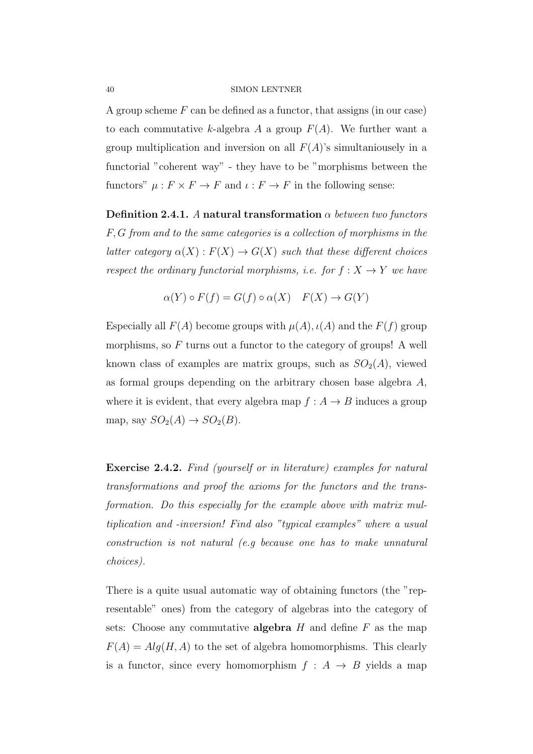A group scheme  $F$  can be defined as a functor, that assigns (in our case) to each commutative k-algebra A a group  $F(A)$ . We further want a group multiplication and inversion on all  $F(A)$ 's simultaniousely in a functorial "coherent way" - they have to be "morphisms between the functors"  $\mu : F \times F \to F$  and  $\iota : F \to F$  in the following sense:

Definition 2.4.1. A natural transformation  $\alpha$  between two functors F, G from and to the same categories is a collection of morphisms in the latter category  $\alpha(X) : F(X) \to G(X)$  such that these different choices respect the ordinary functorial morphisms, i.e. for  $f : X \to Y$  we have

$$
\alpha(Y) \circ F(f) = G(f) \circ \alpha(X) \quad F(X) \to G(Y)
$$

Especially all  $F(A)$  become groups with  $\mu(A)$ ,  $\iota(A)$  and the  $F(f)$  group morphisms, so  $F$  turns out a functor to the category of groups! A well known class of examples are matrix groups, such as  $SO_2(A)$ , viewed as formal groups depending on the arbitrary chosen base algebra A, where it is evident, that every algebra map  $f : A \to B$  induces a group map, say  $SO_2(A) \to SO_2(B)$ .

Exercise 2.4.2. Find (yourself or in literature) examples for natural transformations and proof the axioms for the functors and the transformation. Do this especially for the example above with matrix multiplication and -inversion! Find also "typical examples" where a usual construction is not natural (e.g because one has to make unnatural choices).

There is a quite usual automatic way of obtaining functors (the "representable" ones) from the category of algebras into the category of sets: Choose any commutative **algebra**  $H$  and define  $F$  as the map  $F(A) = Alg(H, A)$  to the set of algebra homomorphisms. This clearly is a functor, since every homomorphism  $f : A \rightarrow B$  yields a map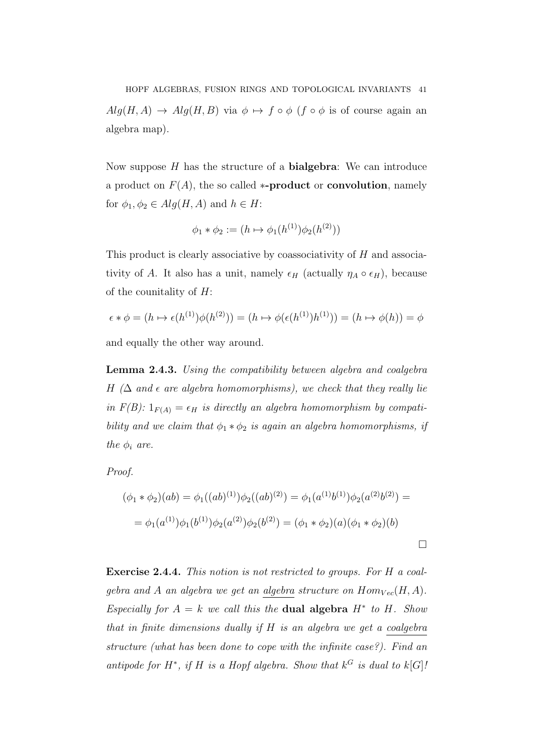HOPF ALGEBRAS, FUSION RINGS AND TOPOLOGICAL INVARIANTS 41  $Alg(H, A) \rightarrow Alg(H, B)$  via  $\phi \mapsto f \circ \phi$  (f  $\circ \phi$  is of course again an algebra map).

Now suppose  $H$  has the structure of a **bialgebra**: We can introduce a product on  $F(A)$ , the so called **\*-product** or **convolution**, namely for  $\phi_1, \phi_2 \in Alg(H, A)$  and  $h \in H$ :

$$
\phi_1 * \phi_2 := (h \mapsto \phi_1(h^{(1)})\phi_2(h^{(2)}))
$$

This product is clearly associative by coassociativity of H and associativity of A. It also has a unit, namely  $\epsilon_H$  (actually  $\eta_A \circ \epsilon_H$ ), because of the counitality of  $H$ :

$$
\epsilon * \phi = (h \mapsto \epsilon(h^{(1)})\phi(h^{(2)})) = (h \mapsto \phi(\epsilon(h^{(1)})h^{(1)})) = (h \mapsto \phi(h)) = \phi
$$

and equally the other way around.

Lemma 2.4.3. Using the compatibility between algebra and coalgebra H ( $\Delta$  and  $\epsilon$  are algebra homomorphisms), we check that they really lie in  $F(B)$ :  $1_{F(A)} = \epsilon_H$  is directly an algebra homomorphism by compatibility and we claim that  $\phi_1 * \phi_2$  is again an algebra homomorphisms, if the  $\phi_i$  are.

Proof.

$$
(\phi_1 * \phi_2)(ab) = \phi_1((ab)^{(1)})\phi_2((ab)^{(2)}) = \phi_1(a^{(1)}b^{(1)})\phi_2(a^{(2)}b^{(2)}) =
$$
  
=  $\phi_1(a^{(1)})\phi_1(b^{(1)})\phi_2(a^{(2)})\phi_2(b^{(2)}) = (\phi_1 * \phi_2)(a)(\phi_1 * \phi_2)(b)$ 

Exercise 2.4.4. This notion is not restricted to groups. For H a coalgebra and A an algebra we get an algebra structure on  $Hom_{Vec}(H, A)$ . Especially for  $A = k$  we call this the **dual algebra**  $H^*$  to  $H$ . Show that in finite dimensions dually if H is an algebra we get a coalgebra structure (what has been done to cope with the infinite case?). Find an antipode for  $H^*$ , if H is a Hopf algebra. Show that  $k^G$  is dual to  $k[G]$ .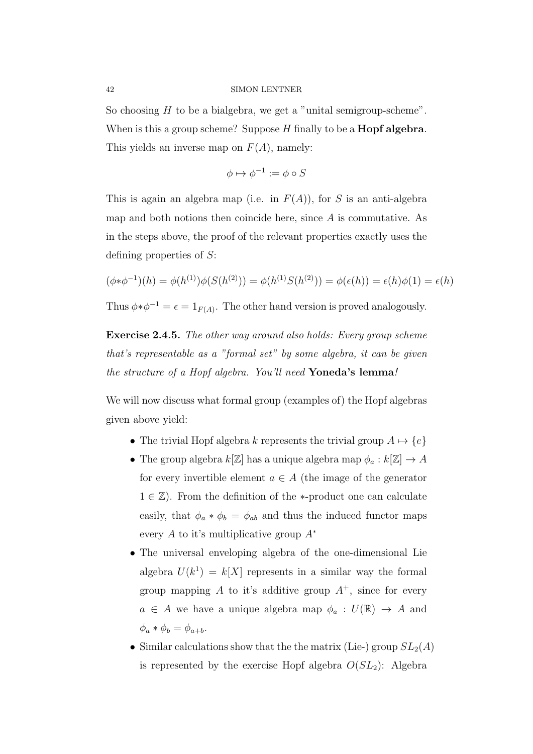So choosing  $H$  to be a bialgebra, we get a "unital semigroup-scheme". When is this a group scheme? Suppose  $H$  finally to be a **Hopf algebra**. This yields an inverse map on  $F(A)$ , namely:

$$
\phi \mapsto \phi^{-1} := \phi \circ S
$$

This is again an algebra map (i.e. in  $F(A)$ ), for S is an anti-algebra map and both notions then coincide here, since A is commutative. As in the steps above, the proof of the relevant properties exactly uses the defining properties of S:

$$
(\phi * \phi^{-1})(h) = \phi(h^{(1)})\phi(S(h^{(2)})) = \phi(h^{(1)}S(h^{(2)})) = \phi(\epsilon(h)) = \epsilon(h)\phi(1) = \epsilon(h)
$$

Thus  $\phi * \phi^{-1} = \epsilon = 1_{F(A)}$ . The other hand version is proved analogously.

Exercise 2.4.5. The other way around also holds: Every group scheme that's representable as a "formal set" by some algebra, it can be given the structure of a Hopf algebra. You'll need Yoneda's lemma!

We will now discuss what formal group (examples of) the Hopf algebras given above yield:

- The trivial Hopf algebra k represents the trivial group  $A \mapsto \{e\}$
- The group algebra  $k[\mathbb{Z}]$  has a unique algebra map  $\phi_a : k[\mathbb{Z}] \to A$ for every invertible element  $a \in A$  (the image of the generator  $1 \in \mathbb{Z}$ ). From the definition of the \*-product one can calculate easily, that  $\phi_a * \phi_b = \phi_{ab}$  and thus the induced functor maps every A to it's multiplicative group  $A^*$
- The universal enveloping algebra of the one-dimensional Lie algebra  $U(k^1) = k[X]$  represents in a similar way the formal group mapping A to it's additive group  $A^+$ , since for every  $a \in A$  we have a unique algebra map  $\phi_a: U(\mathbb{R}) \to A$  and  $\phi_a * \phi_b = \phi_{a+b}.$
- Similar calculations show that the the matrix (Lie-) group  $SL_2(A)$ is represented by the exercise Hopf algebra  $O(SL_2)$ : Algebra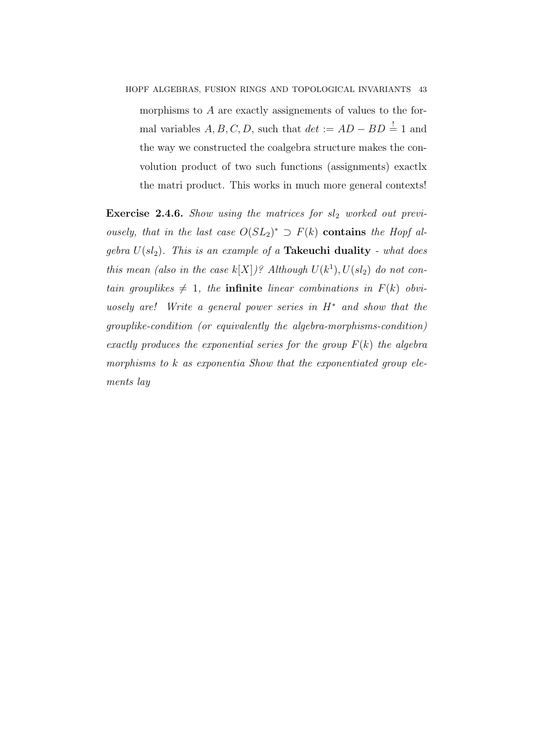HOPF ALGEBRAS, FUSION RINGS AND TOPOLOGICAL INVARIANTS 43 morphisms to A are exactly assignements of values to the formal variables  $A, B, C, D$ , such that  $det := AD - BD = 1$  and the way we constructed the coalgebra structure makes the convolution product of two such functions (assignments) exactlx the matri product. This works in much more general contexts!

**Exercise 2.4.6.** Show using the matrices for  $sl_2$  worked out previousely, that in the last case  $O(SL_2)^* \supset F(k)$  contains the Hopf algebra  $U(sl_2)$ . This is an example of a Takeuchi duality - what does this mean (also in the case  $k[X]/\mathcal{E}$  Although  $U(k^1), U(sl_2)$  do not contain grouplikes  $\neq 1$ , the **infinite** linear combinations in  $F(k)$  obviuosely are! Write a general power series in  $H^*$  and show that the grouplike-condition (or equivalently the algebra-morphisms-condition) exactly produces the exponential series for the group  $F(k)$  the algebra morphisms to k as exponentia Show that the exponentiated group elements lay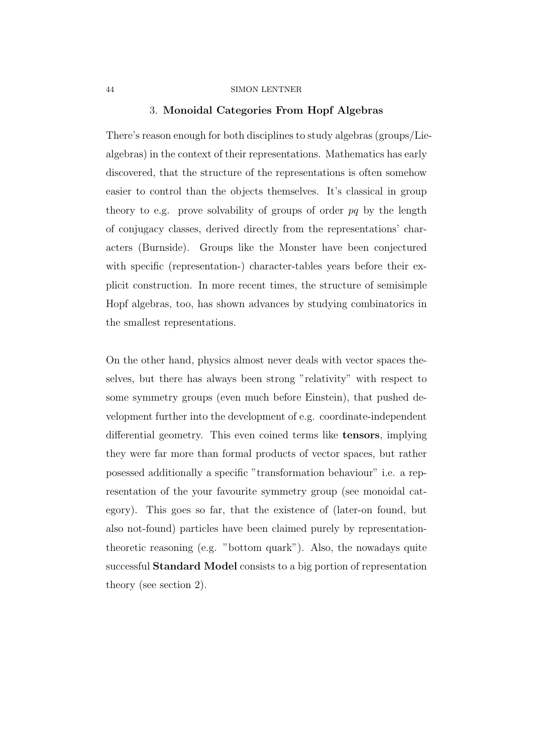# 3. Monoidal Categories From Hopf Algebras

There's reason enough for both disciplines to study algebras (groups/Liealgebras) in the context of their representations. Mathematics has early discovered, that the structure of the representations is often somehow easier to control than the objects themselves. It's classical in group theory to e.g. prove solvability of groups of order  $pq$  by the length of conjugacy classes, derived directly from the representations' characters (Burnside). Groups like the Monster have been conjectured with specific (representation-) character-tables years before their explicit construction. In more recent times, the structure of semisimple Hopf algebras, too, has shown advances by studying combinatorics in the smallest representations.

On the other hand, physics almost never deals with vector spaces theselves, but there has always been strong "relativity" with respect to some symmetry groups (even much before Einstein), that pushed development further into the development of e.g. coordinate-independent differential geometry. This even coined terms like tensors, implying they were far more than formal products of vector spaces, but rather posessed additionally a specific "transformation behaviour" i.e. a representation of the your favourite symmetry group (see monoidal category). This goes so far, that the existence of (later-on found, but also not-found) particles have been claimed purely by representationtheoretic reasoning (e.g. "bottom quark"). Also, the nowadays quite successful Standard Model consists to a big portion of representation theory (see section 2).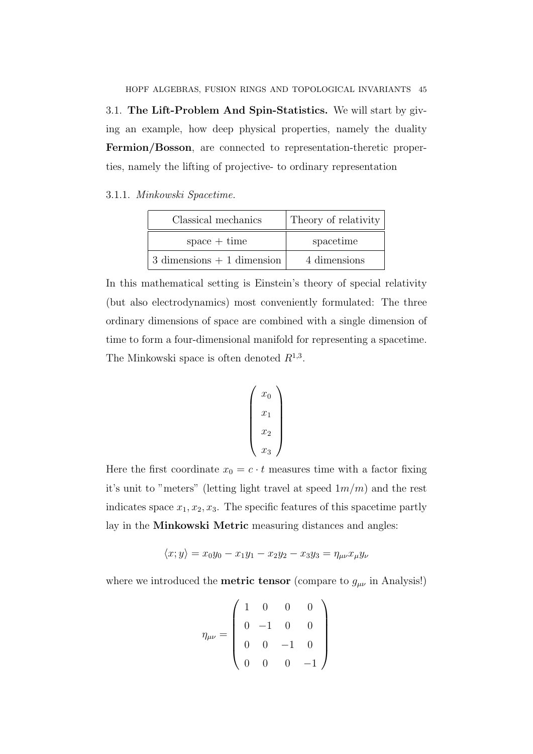HOPF ALGEBRAS, FUSION RINGS AND TOPOLOGICAL INVARIANTS 45 3.1. The Lift-Problem And Spin-Statistics. We will start by giving an example, how deep physical properties, namely the duality Fermion/Bosson, are connected to representation-theretic properties, namely the lifting of projective- to ordinary representation

3.1.1. Minkowski Spacetime.

| Classical mechanics           | Theory of relativity |
|-------------------------------|----------------------|
| $space + time$                | spacetime            |
| $3$ dimensions $+1$ dimension | 4 dimensions         |

In this mathematical setting is Einstein's theory of special relativity (but also electrodynamics) most conveniently formulated: The three ordinary dimensions of space are combined with a single dimension of time to form a four-dimensional manifold for representing a spacetime. The Minkowski space is often denoted  $R^{1,3}$ .

$$
\begin{pmatrix}\nx_0 \\
x_1 \\
x_2 \\
x_3\n\end{pmatrix}
$$

Here the first coordinate  $x_0 = c \cdot t$  measures time with a factor fixing it's unit to "meters" (letting light travel at speed  $1m/m$ ) and the rest indicates space  $x_1, x_2, x_3$ . The specific features of this spacetime partly lay in the Minkowski Metric measuring distances and angles:

$$
\langle x, y \rangle = x_0 y_0 - x_1 y_1 - x_2 y_2 - x_3 y_3 = \eta_{\mu\nu} x_{\mu} y_{\nu}
$$

where we introduced the **metric tensor** (compare to  $g_{\mu\nu}$  in Analysis!)

$$
\eta_{\mu\nu} = \begin{pmatrix} 1 & 0 & 0 & 0 \\ 0 & -1 & 0 & 0 \\ 0 & 0 & -1 & 0 \\ 0 & 0 & 0 & -1 \end{pmatrix}
$$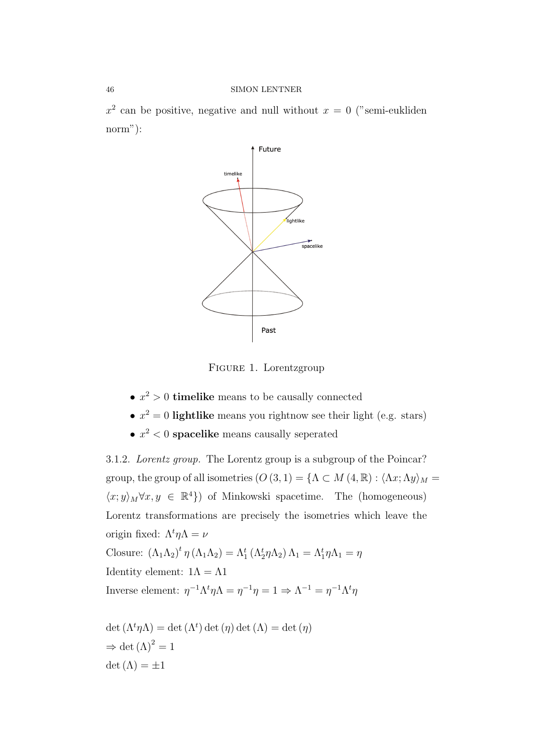$x^2$  can be positive, negative and null without  $x = 0$  ("semi-eukliden norm"):



Figure 1. Lorentzgroup

- $x^2 > 0$  timelike means to be causally connected
- $x^2 = 0$  lightlike means you rightnow see their light (e.g. stars)
- $x^2$  < 0 spacelike means causally seperated

3.1.2. Lorentz group. The Lorentz group is a subgroup of the Poincar? group, the group of all isometries  $(O(3, 1) = {\Lambda \subset M(4, \mathbb{R}) : \langle \Lambda x, \Lambda y \rangle_M}$  $\langle x; y \rangle_M \forall x, y \in \mathbb{R}^4$ ) of Minkowski spacetime. The (homogeneous) Lorentz transformations are precisely the isometries which leave the origin fixed:  $\Lambda^t \eta \Lambda = \nu$ Closure:  $(\Lambda_1 \Lambda_2)^t \eta (\Lambda_1 \Lambda_2) = \Lambda_1^t (\Lambda_2^t \eta \Lambda_2) \Lambda_1 = \Lambda_1^t \eta \Lambda_1 = \eta$ Identity element:  $1\Lambda = \Lambda 1$ Inverse element:  $\eta^{-1} \Lambda^t \eta \Lambda = \eta^{-1} \eta = 1 \Rightarrow \Lambda^{-1} = \eta^{-1} \Lambda^t \eta$ 

det  $(\Lambda^t \eta \Lambda) = \det(\Lambda^t) \det(\eta) \det(\Lambda) = \det(\eta)$  $\Rightarrow$  det  $(\Lambda)^2 = 1$  $\det(\Lambda) = \pm 1$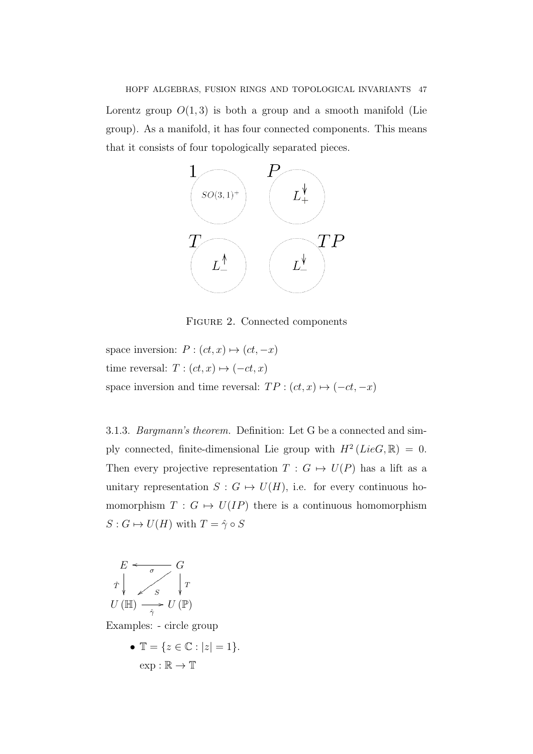# HOPF ALGEBRAS, FUSION RINGS AND TOPOLOGICAL INVARIANTS 47 Lorentz group  $O(1, 3)$  is both a group and a smooth manifold (Lie group). As a manifold, it has four connected components. This means that it consists of four topologically separated pieces.



Figure 2. Connected components

space inversion:  $P : (ct, x) \mapsto (ct, -x)$ time reversal:  $T : (ct, x) \mapsto (-ct, x)$ space inversion and time reversal:  $TP : (ct, x) \mapsto (-ct, -x)$ 

3.1.3. Bargmann's theorem. Definition: Let G be a connected and simply connected, finite-dimensional Lie group with  $H^2(LieG, \mathbb{R}) = 0$ . Then every projective representation  $T : G \mapsto U(P)$  has a lift as a unitary representation  $S : G \mapsto U(H)$ , i.e. for every continuous homomorphism  $T : G \mapsto U(IP)$  there is a continuous homomorphism  $S: G \mapsto U(H)$  with  $T = \hat{\gamma} \circ S$ 



Examples: - circle group

•  $\mathbb{T} = \{ z \in \mathbb{C} : |z| = 1 \}.$  $ext{exp}: \mathbb{R} \to \mathbb{T}$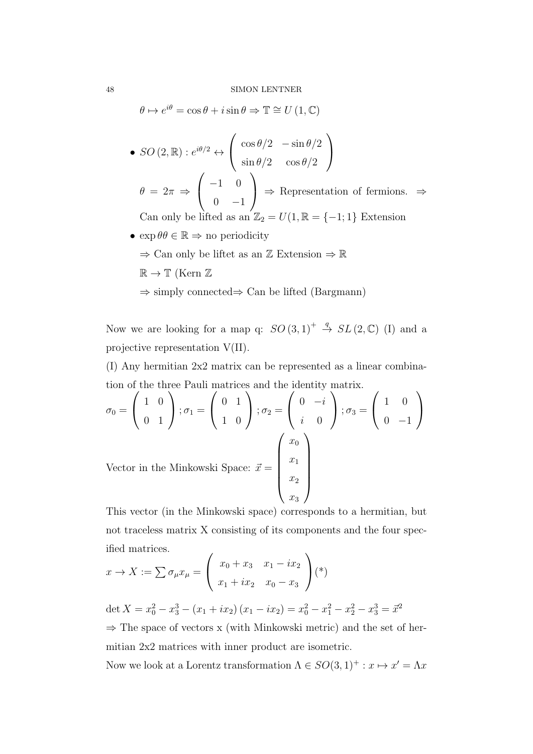$\theta \mapsto e^{i\theta} = \cos \theta + i \sin \theta \Rightarrow \mathbb{T} \cong U(1, \mathbb{C})$ 

• 
$$
SO(2,\mathbb{R}): e^{i\theta/2} \leftrightarrow \begin{pmatrix} \cos \theta/2 & -\sin \theta/2 \\ \sin \theta/2 & \cos \theta/2 \end{pmatrix}
$$
  
\n $\theta = 2\pi \Rightarrow \begin{pmatrix} -1 & 0 \\ 0 & -1 \end{pmatrix} \Rightarrow \text{Representation of fermions.} \Rightarrow$   
\nCan only be lifted as an  $\mathbb{Z}: = U(1, \mathbb{R}) = \{-1:1\}$ . Extension

Can only be lifted as an  $\mathbb{Z}_2 = U(1, \mathbb{R} = \{-1, 1\}$  Extension

- $\exp \theta \theta \in \mathbb{R} \Rightarrow$  no periodicity
	- $\Rightarrow$  Can only be liftet as an  $\mathbb Z$  Extension  $\Rightarrow \mathbb R$
	- $\mathbb{R} \to \mathbb{T}$  (Kern  $\mathbb{Z}$
	- ⇒ simply connected⇒ Can be lifted (Bargmann)

Now we are looking for a map q:  $SO(3,1)^+ \stackrel{q}{\rightarrow} SL(2,\mathbb{C})$  (I) and a projective representation V(II).

(I) Any hermitian 2x2 matrix can be represented as a linear combination of the three Pauli matrices and the identity matrix.

$$
\sigma_0 = \begin{pmatrix} 1 & 0 \\ 0 & 1 \end{pmatrix}; \sigma_1 = \begin{pmatrix} 0 & 1 \\ 1 & 0 \end{pmatrix}; \sigma_2 = \begin{pmatrix} 0 & -i \\ i & 0 \end{pmatrix}; \sigma_3 = \begin{pmatrix} 1 & 0 \\ 0 & -1 \end{pmatrix}
$$
  
Vector in the Minkowski Space:  $\vec{x} = \begin{pmatrix} x_0 \\ x_1 \\ x_2 \\ x_3 \end{pmatrix}$ 

This vector (in the Minkowski space) corresponds to a hermitian, but not traceless matrix X consisting of its components and the four specified matrices.

$$
x \to X := \sum \sigma_{\mu} x_{\mu} = \begin{pmatrix} x_0 + x_3 & x_1 - ix_2 \\ x_1 + ix_2 & x_0 - x_3 \end{pmatrix} (*)
$$

det  $X = x_0^2 - x_3^3 - (x_1 + ix_2)(x_1 - ix_2) = x_0^2 - x_1^2 - x_2^2 - x_3^3 = \bar{x}^2$ 

 $\Rightarrow$  The space of vectors x (with Minkowski metric) and the set of hermitian 2x2 matrices with inner product are isometric.

Now we look at a Lorentz transformation  $\Lambda \in SO(3,1)^{+} : x \mapsto x' = \Lambda x$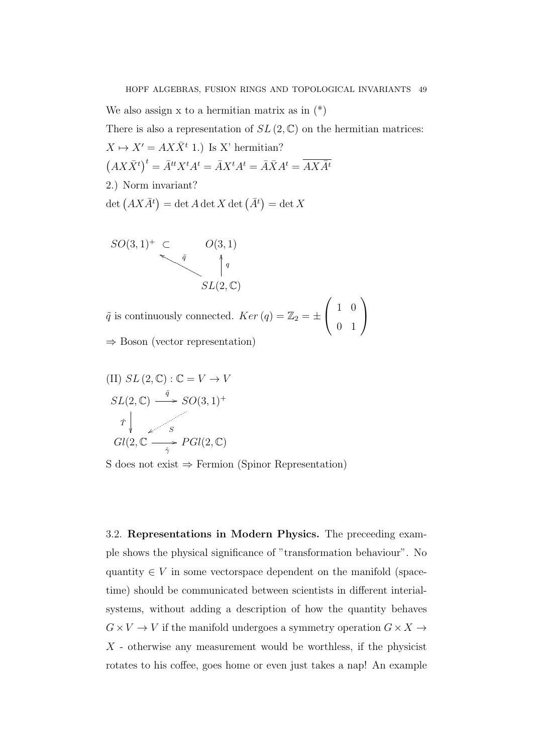We also assign x to a hermitian matrix as in  $(*)$ There is also a representation of  $SL(2,\mathbb{C})$  on the hermitian matrices:  $X \mapsto X' = AX\bar{X}^t$  1.) Is X' hermitian?  $\left(AX\bar{X}^t\right)^t = \bar{A}^{tt}X^tA^t = \bar{A}X^tA^t = \bar{A}\bar{X}A^t = \overline{AX}\bar{A}^t$ 2.) Norm invariant?  $\det (AX \overline{A}^t) = \det A \det X \det (\overline{A}^t) = \det X$ 

$$
SO(3,1)^{+} \subset \qquad O(3,1)
$$
  
\n
$$
\downarrow^{q}
$$
  
\n
$$
SL(2,\mathbb{C})
$$

 $\tilde{q}$  is continuously connected.  $Ker (q) = \mathbb{Z}_2 = \pm$  $\sqrt{ }$  $\overline{1}$ 1 0 0 1  $\setminus$  $\overline{1}$ ⇒ Boson (vector representation)

(II) 
$$
SL(2, \mathbb{C}) : \mathbb{C} = V \rightarrow V
$$
  
\n $SL(2, \mathbb{C}) \xrightarrow{\tilde{q}} SO(3, 1)^{+}$   
\n $\hat{T} \downarrow \qquad S$   
\n $Gl(2, \mathbb{C}) \xrightarrow{\hat{\gamma}} PGl(2, \mathbb{C})$ 

S does not exist  $\Rightarrow$  Fermion (Spinor Representation)

3.2. Representations in Modern Physics. The preceeding example shows the physical significance of "transformation behaviour". No quantity  $\in V$  in some vectorspace dependent on the manifold (spacetime) should be communicated between scientists in different interialsystems, without adding a description of how the quantity behaves  $G\times V\to V$  if the manifold undergoes a symmetry operation  $G\times X\to$  $X$  - otherwise any measurement would be worthless, if the physicist rotates to his coffee, goes home or even just takes a nap! An example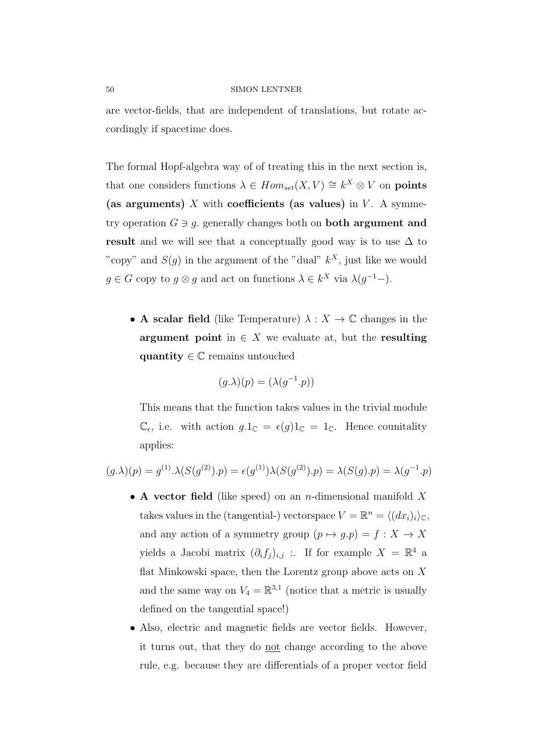are vector-fields, that are independent of translations, but rotate accordingly if spacetime does.

The formal Hopf-algebra way of of treating this in the next section is, that one considers functions  $\lambda \in Hom_{set}(X, V) \cong k^X \otimes V$  on **points** (as arguments) X with coefficients (as values) in  $V$ . A symmetry operation  $G \ni q$ , generally changes both on **both argument and** result and we will see that a conceptually good way is to use  $\Delta$  to "copy" and  $S(g)$  in the argument of the "dual"  $k^X$ , just like we would  $g \in G$  copy to  $g \otimes g$  and act on functions  $\lambda \in k^X$  via  $\lambda(g^{-1})$ .

• A scalar field (like Temperature)  $\lambda : X \to \mathbb{C}$  changes in the argument point in  $\in X$  we evaluate at, but the resulting quantity  $\in \mathbb{C}$  remains untouched

$$
(g.\lambda)(p) = (\lambda(g^{-1}.p))
$$

This means that the function takes values in the trivial module  $\mathbb{C}_{\epsilon}$ , i.e. with action  $g.\mathbb{1}_{\mathbb{C}} = \epsilon(g)\mathbb{1}_{\mathbb{C}} = \mathbb{1}_{\mathbb{C}}$ . Hence counitality applies:

$$
(g.\lambda)(p) = g^{(1)}.\lambda(S(g^{(2)}).p) = \epsilon(g^{(1)})\lambda(S(g^{(2)}).p) = \lambda(S(g).p) = \lambda(g^{-1}.p)
$$

- A vector field (like speed) on an *n*-dimensional manifold X takes values in the (tangential-) vectorspace  $V = \mathbb{R}^n = \langle (dx_i)_i \rangle_{\mathbb{C}},$ and any action of a symmetry group  $(p \mapsto g.p) = f : X \to X$ yields a Jacobi matrix  $(\partial_i f_j)_{i,j}$  :. If for example  $X = \mathbb{R}^4$  a flat Minkowski space, then the Lorentz group above acts on  $X$ and the same way on  $V_4 = \mathbb{R}^{3,1}$  (notice that a metric is usually defined on the tangential space!)
- Also, electric and magnetic fields are vector fields. However, it turns out, that they do not change according to the above rule, e.g. because they are differentials of a proper vector field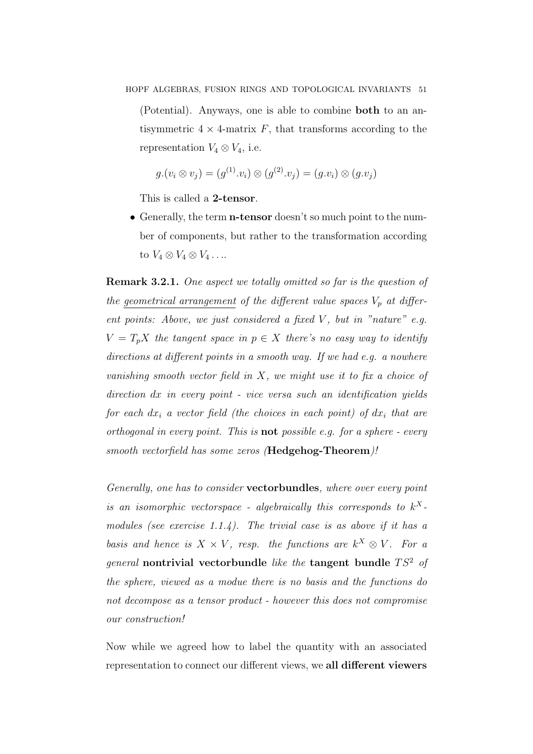(Potential). Anyways, one is able to combine both to an antisymmetric  $4 \times 4$ -matrix F, that transforms according to the representation  $V_4 \otimes V_4$ , i.e.

$$
g.(v_i \otimes v_j) = (g^{(1)} . v_i) \otimes (g^{(2)} . v_j) = (g . v_i) \otimes (g . v_j)
$$

This is called a 2-tensor.

• Generally, the term **n-tensor** doesn't so much point to the number of components, but rather to the transformation according to  $V_4 \otimes V_4 \otimes V_4 \ldots$ 

**Remark 3.2.1.** One aspect we totally omitted so far is the question of the geometrical arrangement of the different value spaces  $V_p$  at different points: Above, we just considered a fixed  $V$ , but in "nature" e.g.  $V = T_p X$  the tangent space in  $p \in X$  there's no easy way to identify directions at different points in a smooth way. If we had e.g. a nowhere vanishing smooth vector field in X, we might use it to fix a choice of direction dx in every point - vice versa such an identification yields for each  $dx_i$  a vector field (the choices in each point) of  $dx_i$  that are orthogonal in every point. This is **not** possible e.g. for a sphere - every smooth vectorfield has some zeros (Hedgehog-Theorem)!

Generally, one has to consider vectorbundles, where over every point is an isomorphic vectorspace - algebraically this corresponds to  $k^X$ modules (see exercise 1.1.4). The trivial case is as above if it has a basis and hence is  $X \times V$ , resp. the functions are  $k^X \otimes V$ . For a general nontrivial vectorbundle like the tangent bundle  $TS^2$  of the sphere, viewed as a modue there is no basis and the functions do not decompose as a tensor product - however this does not compromise our construction!

Now while we agreed how to label the quantity with an associated representation to connect our different views, we all different viewers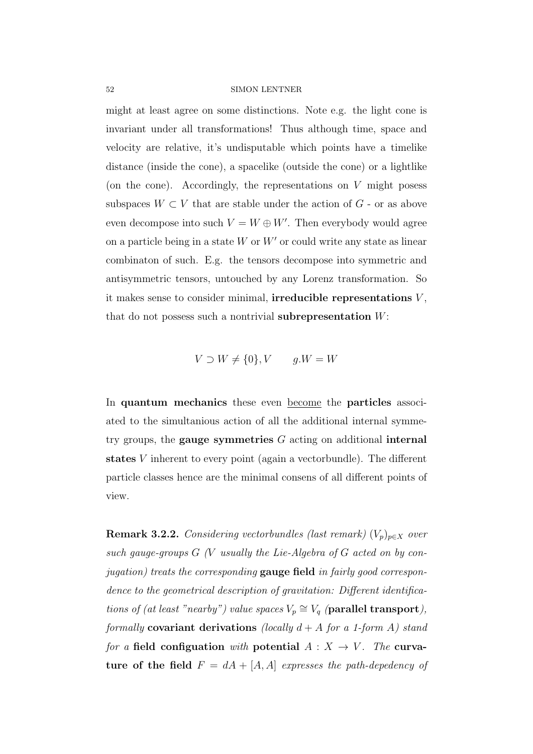might at least agree on some distinctions. Note e.g. the light cone is invariant under all transformations! Thus although time, space and velocity are relative, it's undisputable which points have a timelike distance (inside the cone), a spacelike (outside the cone) or a lightlike (on the cone). Accordingly, the representations on  $V$  might posess subspaces  $W \subset V$  that are stable under the action of  $G$  - or as above even decompose into such  $V = W \oplus W'$ . Then everybody would agree on a particle being in a state  $W$  or  $W'$  or could write any state as linear combinaton of such. E.g. the tensors decompose into symmetric and antisymmetric tensors, untouched by any Lorenz transformation. So it makes sense to consider minimal, irreducible representations  $V$ , that do not possess such a nontrivial **subrepresentation**  $W$ :

 $V \supset W \neq \{0\}$ ,  $V \qquad a.W = W$ 

In quantum mechanics these even become the particles associated to the simultanious action of all the additional internal symmetry groups, the **gauge symmetries**  $G$  acting on additional internal states V inherent to every point (again a vectorbundle). The different particle classes hence are the minimal consens of all different points of view.

**Remark 3.2.2.** Considering vectorbundles (last remark)  $(V_p)_{p \in X}$  over such gauge-groups  $G$  (V usually the Lie-Algebra of  $G$  acted on by conjugation) treats the corresponding gauge field in fairly good correspondence to the geometrical description of gravitation: Different identifications of (at least "nearby") value spaces  $V_p \cong V_q$  (parallel transport), formally covariant derivations (locally  $d + A$  for a 1-form A) stand for a field configuation with potential  $A: X \rightarrow V$ . The curvature of the field  $F = dA + [A, A]$  expresses the path-depedency of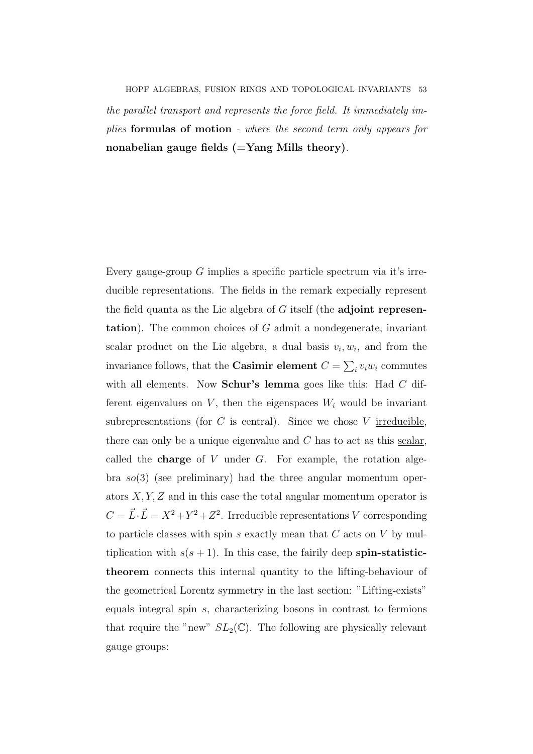HOPF ALGEBRAS, FUSION RINGS AND TOPOLOGICAL INVARIANTS 53 the parallel transport and represents the force field. It immediately implies formulas of motion - where the second term only appears for nonabelian gauge fields  $(=\text{Yang Mills theory}).$ 

Every gauge-group  $G$  implies a specific particle spectrum via it's irreducible representations. The fields in the remark expecially represent the field quanta as the Lie algebra of  $G$  itself (the adjoint representation). The common choices of G admit a nondegenerate, invariant scalar product on the Lie algebra, a dual basis  $v_i, w_i$ , and from the invariance follows, that the **Casimir element**  $C = \sum_i v_i w_i$  commutes with all elements. Now **Schur's lemma** goes like this: Had  $C$  different eigenvalues on  $V$ , then the eigenspaces  $W_i$  would be invariant subrepresentations (for  $C$  is central). Since we chose  $V$  irreducible. there can only be a unique eigenvalue and  $C$  has to act as this scalar, called the **charge** of V under  $G$ . For example, the rotation algebra  $so(3)$  (see preliminary) had the three angular momentum operators  $X, Y, Z$  and in this case the total angular momentum operator is  $C = \vec{L} \cdot \vec{L} = X^2 + Y^2 + Z^2$ . Irreducible representations V corresponding to particle classes with spin  $s$  exactly mean that  $C$  acts on  $V$  by multiplication with  $s(s + 1)$ . In this case, the fairily deep spin-statistictheorem connects this internal quantity to the lifting-behaviour of the geometrical Lorentz symmetry in the last section: "Lifting-exists" equals integral spin s, characterizing bosons in contrast to fermions that require the "new"  $SL_2(\mathbb{C})$ . The following are physically relevant gauge groups: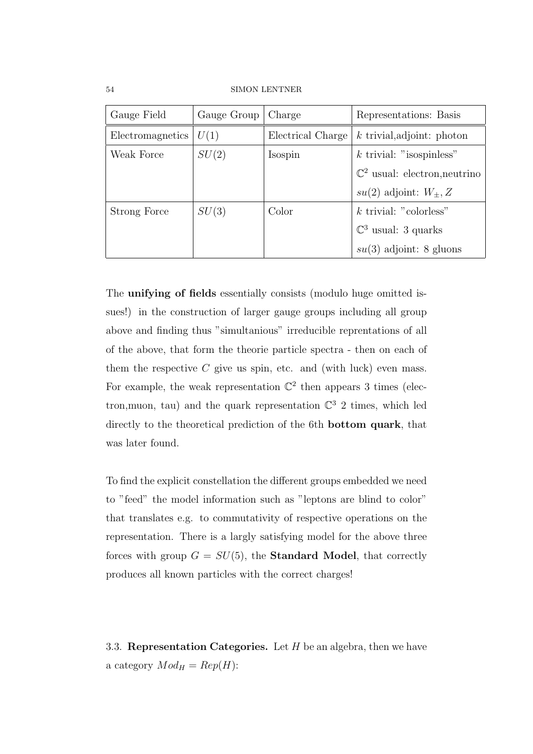54 SIMON LENTNER

| Gauge Field      | Gauge Group | Charge            | Representations: Basis                   |
|------------------|-------------|-------------------|------------------------------------------|
| Electromagnetics | U(1)        | Electrical Charge | $k$ trivial, adjoint: photon             |
| Weak Force       | SU(2)       | Isospin           | $k$ trivial: "isospinless"               |
|                  |             |                   | $\mathbb{C}^2$ usual: electron, neutrino |
|                  |             |                   | $su(2)$ adjoint: $W_{\pm}, Z$            |
| Strong Force     | SU(3)       | Color             | $k$ trivial: "colorless" $\,$            |
|                  |             |                   | $\mathbb{C}^3$ usual: 3 quarks           |
|                  |             |                   | $su(3)$ adjoint: 8 gluons                |

The unifying of fields essentially consists (modulo huge omitted issues!) in the construction of larger gauge groups including all group above and finding thus "simultanious" irreducible reprentations of all of the above, that form the theorie particle spectra - then on each of them the respective  $C$  give us spin, etc. and (with luck) even mass. For example, the weak representation  $\mathbb{C}^2$  then appears 3 times (electron, muon, tau) and the quark representation  $\mathbb{C}^3$  2 times, which led directly to the theoretical prediction of the 6th bottom quark, that was later found.

To find the explicit constellation the different groups embedded we need to "feed" the model information such as "leptons are blind to color" that translates e.g. to commutativity of respective operations on the representation. There is a largly satisfying model for the above three forces with group  $G = SU(5)$ , the **Standard Model**, that correctly produces all known particles with the correct charges!

3.3. Representation Categories. Let  $H$  be an algebra, then we have a category  $Mod_H = Rep(H)$ :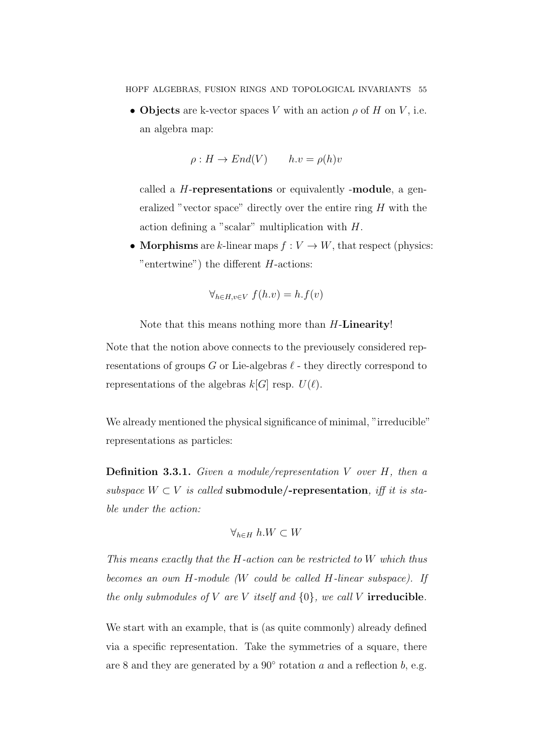• Objects are k-vector spaces V with an action  $\rho$  of H on V, i.e. an algebra map:

$$
\rho: H \to End(V) \qquad h.v = \rho(h)v
$$

called a H-representations or equivalently -module, a generalized "vector space" directly over the entire ring  $H$  with the action defining a "scalar" multiplication with H.

• Morphisms are k-linear maps  $f: V \to W$ , that respect (physics: "entertwine") the different  $H$ -actions:

$$
\forall_{h \in H, v \in V} f(h.v) = h.f(v)
$$

Note that this means nothing more than H-Linearity!

Note that the notion above connects to the previousely considered representations of groups G or Lie-algebras  $\ell$  - they directly correspond to representations of the algebras  $k[G]$  resp.  $U(\ell)$ .

We already mentioned the physical significance of minimal, "irreducible" representations as particles:

**Definition 3.3.1.** Given a module/representation V over  $H$ , then a subspace  $W \subset V$  is called **submodule/-representation**, iff it is stable under the action:

$$
\forall_{h\in H}\ h.W\subset W
$$

This means exactly that the H-action can be restricted to W which thus becomes an own H-module (W could be called H-linear subspace). If the only submodules of V are V itself and  $\{0\}$ , we call V irreducible.

We start with an example, that is (as quite commonly) already defined via a specific representation. Take the symmetries of a square, there are 8 and they are generated by a  $90^{\circ}$  rotation a and a reflection b, e.g.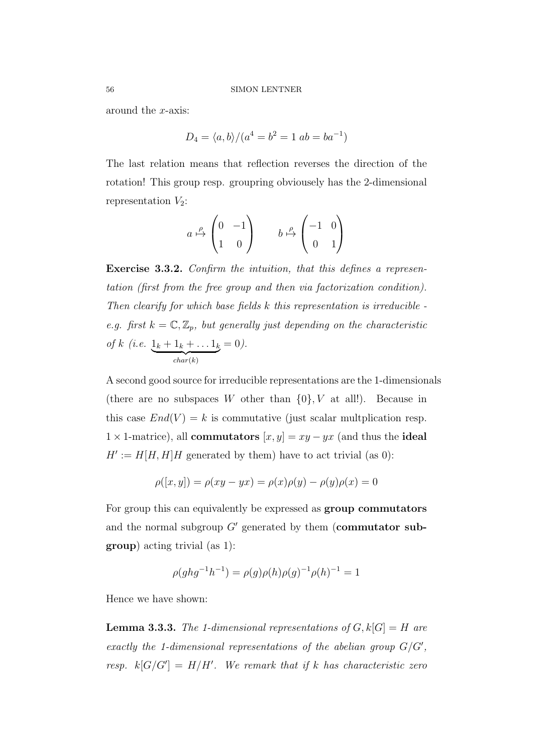around the x-axis:

$$
D_4 = \langle a, b \rangle / (a^4 = b^2 = 1 \ ab = ba^{-1})
$$

The last relation means that reflection reverses the direction of the rotation! This group resp. groupring obviousely has the 2-dimensional representation  $V_2$ :

$$
a \stackrel{\rho}{\mapsto} \begin{pmatrix} 0 & -1 \\ 1 & 0 \end{pmatrix} \qquad b \stackrel{\rho}{\mapsto} \begin{pmatrix} -1 & 0 \\ 0 & 1 \end{pmatrix}
$$

Exercise 3.3.2. Confirm the intuition, that this defines a representation (first from the free group and then via factorization condition). Then clearify for which base fields k this representation is irreducible e.g. first  $k = \mathbb{C}, \mathbb{Z}_p$ , but generally just depending on the characteristic of k (i.e.  $1_k + 1_k + ... 1_k$  $char(k)$  $= 0$ ).

A second good source for irreducible representations are the 1-dimensionals (there are no subspaces W other than  $\{0\}$ , V at all!). Because in this case  $End(V) = k$  is commutative (just scalar multplication resp.  $1 \times 1$ -matrice), all **commutators**  $[x, y] = xy - yx$  (and thus the **ideal**  $H' := H[H, H]H$  generated by them) have to act trivial (as 0):

$$
\rho([x, y]) = \rho(xy - yx) = \rho(x)\rho(y) - \rho(y)\rho(x) = 0
$$

For group this can equivalently be expressed as group commutators and the normal subgroup  $G'$  generated by them (commutator subgroup) acting trivial (as 1):

$$
\rho(ghg^{-1}h^{-1}) = \rho(g)\rho(h)\rho(g)^{-1}\rho(h)^{-1} = 1
$$

Hence we have shown:

**Lemma 3.3.3.** The 1-dimensional representations of  $G, k[G] = H$  are exactly the 1-dimensional representations of the abelian group  $G/G'$ , resp.  $k[G/G'] = H/H'$ . We remark that if k has characteristic zero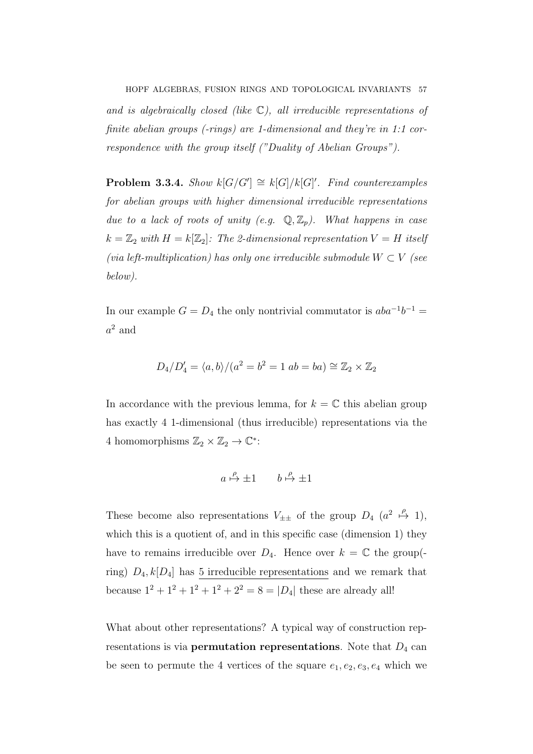and is algebraically closed (like  $\mathbb{C}$ ), all irreducible representations of finite abelian groups (-rings) are 1-dimensional and they're in 1:1 correspondence with the group itself ("Duality of Abelian Groups").

**Problem 3.3.4.** Show  $k[G/G'] \cong k[G]/k[G]'$ . Find counterexamples for abelian groups with higher dimensional irreducible representations due to a lack of roots of unity (e.g.  $\mathbb{Q}, \mathbb{Z}_p$ ). What happens in case  $k = \mathbb{Z}_2$  with  $H = k[\mathbb{Z}_2]$ : The 2-dimensional representation  $V = H$  itself (via left-multiplication) has only one irreducible submodule  $W \subset V$  (see below).

In our example  $G = D_4$  the only nontrivial commutator is  $aba^{-1}b^{-1} =$  $a^2$  and

$$
D_4/D_4' = \langle a, b \rangle / (a^2 = b^2 = 1 \ ab = ba) \cong \mathbb{Z}_2 \times \mathbb{Z}_2
$$

In accordance with the previous lemma, for  $k = \mathbb{C}$  this abelian group has exactly 4 1-dimensional (thus irreducible) representations via the 4 homomorphisms  $\mathbb{Z}_2 \times \mathbb{Z}_2 \to \mathbb{C}^*$ :

$$
a \stackrel{\rho}{\mapsto} \pm 1 \qquad b \stackrel{\rho}{\mapsto} \pm 1
$$

These become also representations  $V_{\pm\pm}$  of the group  $D_4$   $(a^2 \stackrel{\rho}{\mapsto} 1)$ , which this is a quotient of, and in this specific case (dimension 1) they have to remains irreducible over  $D_4$ . Hence over  $k = \mathbb{C}$  the group(ring)  $D_4, k[D_4]$  has 5 irreducible representations and we remark that because  $1^2 + 1^2 + 1^2 + 1^2 + 2^2 = 8 = |D_4|$  these are already all!

What about other representations? A typical way of construction representations is via **permutation representations**. Note that  $D_4$  can be seen to permute the 4 vertices of the square  $e_1, e_2, e_3, e_4$  which we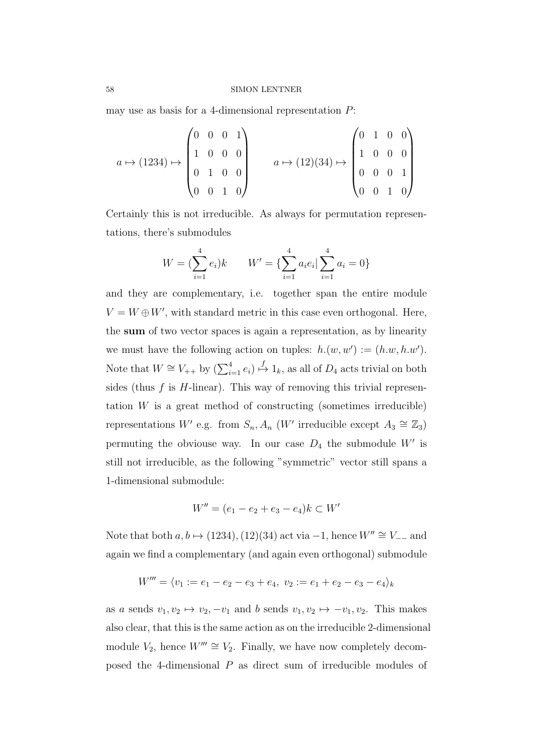may use as basis for a 4-dimensional representation  $P$ :

$$
a \mapsto (1234) \mapsto \begin{pmatrix} 0 & 0 & 0 & 1 \\ 1 & 0 & 0 & 0 \\ 0 & 1 & 0 & 0 \\ 0 & 0 & 1 & 0 \end{pmatrix} \qquad a \mapsto (12)(34) \mapsto \begin{pmatrix} 0 & 1 & 0 & 0 \\ 1 & 0 & 0 & 0 \\ 0 & 0 & 0 & 1 \\ 0 & 0 & 1 & 0 \end{pmatrix}
$$

Certainly this is not irreducible. As always for permutation representations, there's submodules

$$
W = \left(\sum_{i=1}^{4} e_i\right)k \qquad W' = \left\{\sum_{i=1}^{4} a_i e_i \mid \sum_{i=1}^{4} a_i = 0\right\}
$$

and they are complementary, i.e. together span the entire module  $V = W \oplus W'$ , with standard metric in this case even orthogonal. Here, the sum of two vector spaces is again a representation, as by linearity we must have the following action on tuples:  $h.(w, w') := (h.w, h.w')$ . Note that  $W \cong V_{++}$  by  $(\sum_{i=1}^4 e_i) \stackrel{f}{\mapsto} 1_k$ , as all of  $D_4$  acts trivial on both sides (thus  $f$  is  $H$ -linear). This way of removing this trivial representation  $W$  is a great method of constructing (sometimes irreducible) representations W' e.g. from  $S_n$ ,  $A_n$  (W' irreducible except  $A_3 \cong \mathbb{Z}_3$ ) permuting the obviouse way. In our case  $D_4$  the submodule W' is still not irreducible, as the following "symmetric" vector still spans a 1-dimensional submodule:

$$
W'' = (e_1 - e_2 + e_3 - e_4)k \subset W'
$$

Note that both  $a, b \mapsto (1234), (12)(34)$  act via  $-1$ , hence  $W'' \cong V_{-}$  and again we find a complementary (and again even orthogonal) submodule

$$
W''' = \langle v_1 := e_1 - e_2 - e_3 + e_4, v_2 := e_1 + e_2 - e_3 - e_4 \rangle_k
$$

as a sends  $v_1, v_2 \mapsto v_2, -v_1$  and b sends  $v_1, v_2 \mapsto -v_1, v_2$ . This makes also clear, that this is the same action as on the irreducible 2-dimensional module  $V_2$ , hence  $W''' \cong V_2$ . Finally, we have now completely decomposed the 4-dimensional P as direct sum of irreducible modules of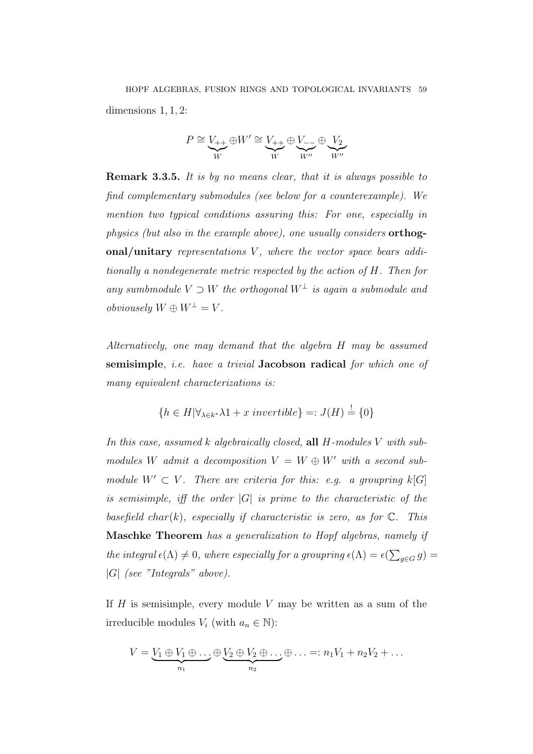$$
P\cong \underbrace{V_{++}}_{W}\oplus W'\cong \underbrace{V_{++}}_{W}\oplus \underbrace{V_{--}}_{W''}\oplus \underbrace{V_2}_{W''}
$$

Remark 3.3.5. It is by no means clear, that it is always possible to find complementary submodules (see below for a counterexample). We mention two typical conditions assuring this: For one, especially in physics (but also in the example above), one usually considers orthogonal/unitary representations  $V$ , where the vector space bears additionally a nondegenerate metric respected by the action of H. Then for any sumbmodule  $V \supset W$  the orthogonal  $W^{\perp}$  is again a submodule and obviousely  $W \oplus W^{\perp} = V$ .

Alternatively, one may demand that the algebra H may be assumed semisimple, *i.e.* have a trivial Jacobson radical for which one of many equivalent characterizations is:

$$
\{h \in H | \forall_{\lambda \in k^*} \lambda \mathbf{1} + x \text{ invertible}\} =: J(H) \stackrel{!}{=} \{0\}
$$

In this case, assumed k algebraically closed, all H-modules V with submodules W admit a decomposition  $V = W \oplus W'$  with a second submodule  $W' \subset V$ . There are criteria for this: e.g. a groupring  $k[G]$ is semisimple, iff the order  $|G|$  is prime to the characteristic of the basefield char(k), especially if characteristic is zero, as for  $\mathbb{C}$ . This Maschke Theorem has a generalization to Hopf algebras, namely if the integral  $\epsilon(\Lambda) \neq 0$ , where especially for a groupring  $\epsilon(\Lambda) = \epsilon(\sum_{g \in G} g)$  $|G|$  (see "Integrals" above).

If  $H$  is semisimple, every module  $V$  may be written as a sum of the irreducible modules  $V_i$  (with  $a_n \in \mathbb{N}$ ):

$$
V = \underbrace{V_1 \oplus V_1 \oplus \ldots \oplus V_2 \oplus V_2 \oplus \ldots \oplus \ldots}_{n_2} =: n_1V_1 + n_2V_2 + \ldots
$$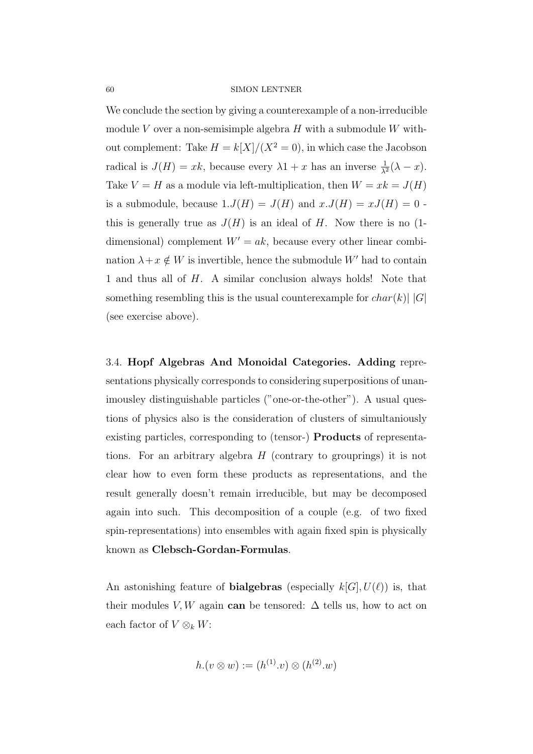We conclude the section by giving a counterexample of a non-irreducible module V over a non-semisimple algebra  $H$  with a submodule W without complement: Take  $H = k[X]/(X^2 = 0)$ , in which case the Jacobson radical is  $J(H) = xk$ , because every  $\lambda 1 + x$  has an inverse  $\frac{1}{\lambda^2}(\lambda - x)$ . Take  $V = H$  as a module via left-multiplication, then  $W = xk = J(H)$ is a submodule, because  $1.J(H) = J(H)$  and  $x.J(H) = xJ(H) = 0$ . this is generally true as  $J(H)$  is an ideal of H. Now there is no (1dimensional) complement  $W' = ak$ , because every other linear combination  $\lambda + x \notin W$  is invertible, hence the submodule  $W'$  had to contain 1 and thus all of H. A similar conclusion always holds! Note that something resembling this is the usual counterexample for  $char(k)$  | G| (see exercise above).

3.4. Hopf Algebras And Monoidal Categories. Adding representations physically corresponds to considering superpositions of unanimousley distinguishable particles ("one-or-the-other"). A usual questions of physics also is the consideration of clusters of simultaniously existing particles, corresponding to (tensor-) Products of representations. For an arbitrary algebra  $H$  (contrary to grouprings) it is not clear how to even form these products as representations, and the result generally doesn't remain irreducible, but may be decomposed again into such. This decomposition of a couple (e.g. of two fixed spin-representations) into ensembles with again fixed spin is physically known as Clebsch-Gordan-Formulas.

An astonishing feature of **bialgebras** (especially  $k[G], U(\ell)$ ) is, that their modules V, W again can be tensored:  $\Delta$  tells us, how to act on each factor of  $V \otimes_k W$ :

$$
h.(v \otimes w) := (h^{(1)} . v) \otimes (h^{(2)} . w)
$$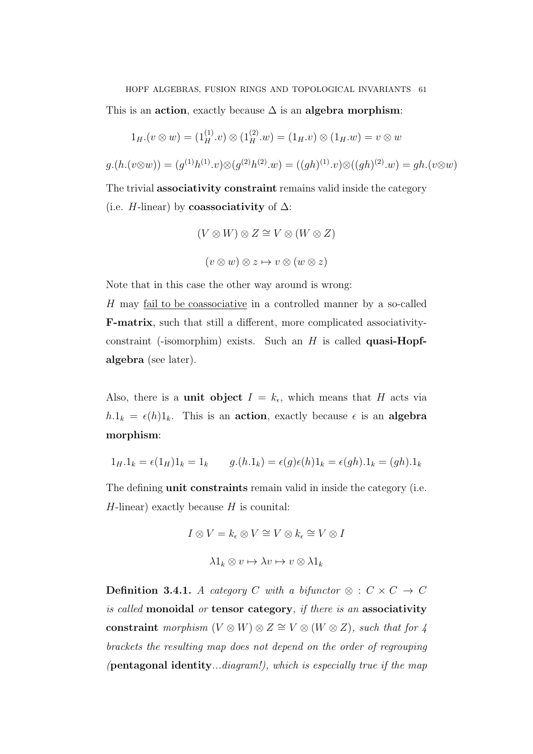This is an action, exactly because  $\Delta$  is an algebra morphism:

$$
1_{H}.(v \otimes w) = (1_{H}^{(1)} . v) \otimes (1_{H}^{(2)} . w) = (1_{H} . v) \otimes (1_{H} . w) = v \otimes w
$$

$$
g.(h.(v \otimes w)) = (g^{(1)}h^{(1)}.v) \otimes (g^{(2)}h^{(2)}.w) = ((gh)^{(1)}.v) \otimes ((gh)^{(2)}.w) = gh.(v \otimes w)
$$

The trivial **associativity constraint** remains valid inside the category (i.e. H-linear) by **coassociativity** of  $\Delta$ :

> $(V \otimes W) \otimes Z \cong V \otimes (W \otimes Z)$  $(v \otimes w) \otimes z \mapsto v \otimes (w \otimes z)$

Note that in this case the other way around is wrong:

H may fail to be coassociative in a controlled manner by a so-called F-matrix, such that still a different, more complicated associativityconstraint (-isomorphim) exists. Such an  $H$  is called **quasi-Hopf**algebra (see later).

Also, there is a **unit object**  $I = k_{\epsilon}$ , which means that H acts via  $h.1_k = \epsilon(h)1_k$ . This is an action, exactly because  $\epsilon$  is an algebra morphism:

$$
1_H.1_k = \epsilon(1_H)1_k = 1_k \qquad g.(h.1_k) = \epsilon(g)\epsilon(h)1_k = \epsilon(gh).1_k = (gh).1_k
$$

The defining **unit constraints** remain valid in inside the category (i.e.  $H$ -linear) exactly because  $H$  is counital:

$$
I \otimes V = k_{\epsilon} \otimes V \cong V \otimes k_{\epsilon} \cong V \otimes I
$$

$$
\lambda 1_{k} \otimes v \mapsto \lambda v \mapsto v \otimes \lambda 1_{k}
$$

Definition 3.4.1. A category C with a bifunctor  $\otimes : C \times C \rightarrow C$ is called monoidal or tensor category, if there is an associativity constraint morphism  $(V \otimes W) \otimes Z \cong V \otimes (W \otimes Z)$ , such that for 4 brackets the resulting map does not depend on the order of regrouping (**pentagonal identity**...diagram!), which is especially true if the map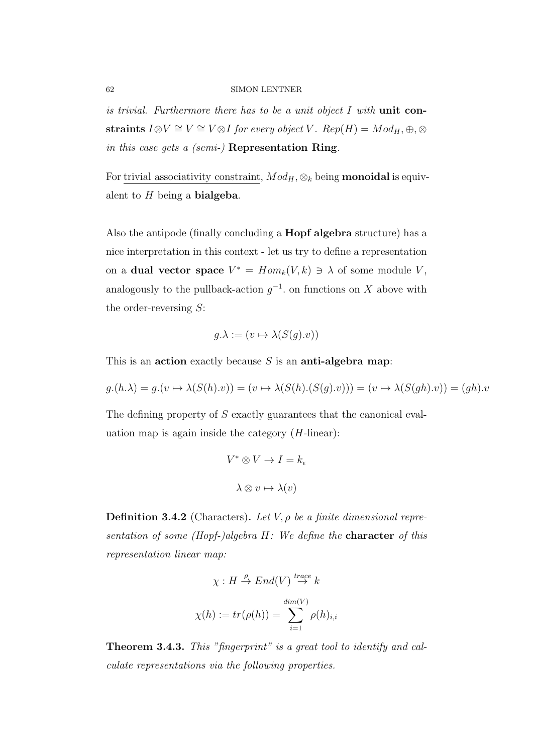is trivial. Furthermore there has to be a unit object  $I$  with unit constraints  $I \otimes V \cong V \cong V \otimes I$  for every object V.  $Rep(H) = Mod_H, \oplus, \otimes$ in this case gets a (semi-) Representation Ring.

For trivial associativity constraint,  $Mod_H$ ,  $\otimes_k$  being **monoidal** is equivalent to  $H$  being a **bialgeba**.

Also the antipode (finally concluding a Hopf algebra structure) has a nice interpretation in this context - let us try to define a representation on a **dual vector space**  $V^* = Hom_k(V, k) \ni \lambda$  of some module V, analogously to the pullback-action  $g^{-1}$ , on functions on X above with the order-reversing S:

$$
g.\lambda := (v \mapsto \lambda(S(g).v))
$$

This is an action exactly because  $S$  is an anti-algebra map:

$$
g.(h.\lambda) = g.(v \mapsto \lambda(S(h).v)) = (v \mapsto \lambda(S(h).(S(g).v))) = (v \mapsto \lambda(S(gh).v)) = (gh).v
$$

The defining property of S exactly guarantees that the canonical evaluation map is again inside the category  $(H\text{-linear})$ :

$$
V^* \otimes V \to I = k_{\epsilon}
$$

$$
\lambda \otimes v \mapsto \lambda(v)
$$

**Definition 3.4.2** (Characters). Let  $V, \rho$  be a finite dimensional representation of some (Hopf-)algebra  $H$ : We define the **character** of this representation linear map:

$$
\chi: H \stackrel{\rho}{\to} End(V) \stackrel{trace}{\to} k
$$

$$
\chi(h) := tr(\rho(h)) = \sum_{i=1}^{dim(V)} \rho(h)_{i,i}
$$

Theorem 3.4.3. This "fingerprint" is a great tool to identify and calculate representations via the following properties.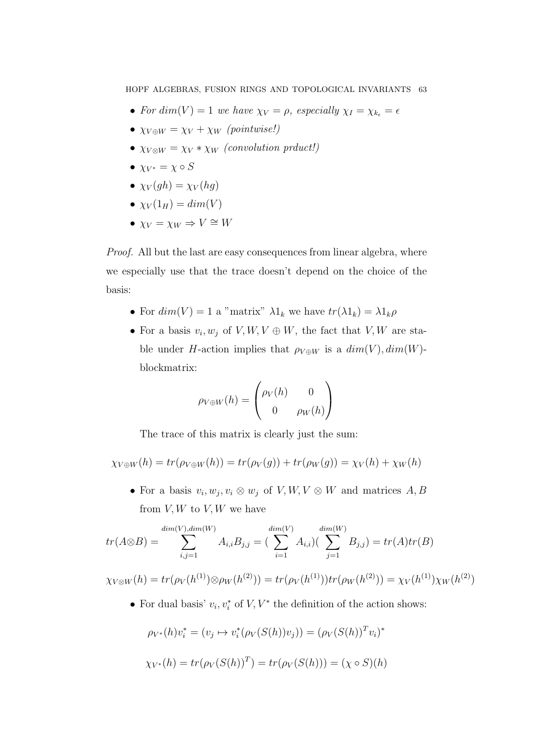HOPF ALGEBRAS, FUSION RINGS AND TOPOLOGICAL INVARIANTS 63

- For dim(V) = 1 we have  $\chi_V = \rho$ , especially  $\chi_I = \chi_{k_{\epsilon}} = \epsilon$
- $\chi_{V \oplus W} = \chi_{V} + \chi_{W}$  (pointwise!)
- $\chi_{V\otimes W} = \chi_{V} * \chi_{W}$  (convolution prduct!)
- $\chi_{V^*} = \chi \circ S$
- $\chi_V(qh) = \chi_V(hq)$
- $\chi_V(1_H) = dim(V)$
- $\chi_V = \chi_W \Rightarrow V \cong W$

Proof. All but the last are easy consequences from linear algebra, where we especially use that the trace doesn't depend on the choice of the basis:

- For  $dim(V) = 1$  a "matrix"  $\lambda 1_k$  we have  $tr(\lambda 1_k) = \lambda 1_k \rho$
- For a basis  $v_i, w_j$  of  $V, W, V \oplus W$ , the fact that  $V, W$  are stable under H-action implies that  $\rho_{V \oplus W}$  is a  $dim(V)$ ,  $dim(W)$ blockmatrix:

$$
\rho_{V \oplus W}(h) = \begin{pmatrix} \rho_V(h) & 0 \\ 0 & \rho_W(h) \end{pmatrix}
$$

The trace of this matrix is clearly just the sum:

$$
\chi_{V \oplus W}(h) = tr(\rho_{V \oplus W}(h)) = tr(\rho_V(g)) + tr(\rho_W(g)) = \chi_V(h) + \chi_W(h)
$$

• For a basis  $v_i, w_j, v_i \otimes w_j$  of  $V, W, V \otimes W$  and matrices  $A, B$ from  $V, W$  to  $V, W$  we have

$$
tr(A \otimes B) = \sum_{i,j=1}^{\dim(V),\dim(W)} A_{i,i} B_{j,j} = \left(\sum_{i=1}^{\dim(V)} A_{i,i}\right) \left(\sum_{j=1}^{\dim(W)} B_{j,j}\right) = tr(A) tr(B)
$$

 $\chi_{V\otimes W}(h)=tr(\rho_{V}(h^{(1)})\otimes \rho_{W}(h^{(2)}))=tr(\rho_{V}(h^{(1)}))tr(\rho_{W}(h^{(2)}))=\chi_{V}(h^{(1)})\chi_{W}(h^{(2)})$ 

• For dual basis'  $v_i, v_i^*$  of  $V, V^*$  the definition of the action shows:

$$
\rho_{V^*}(h)v_i^* = (v_j \mapsto v_i^*(\rho_V(S(h))v_j)) = (\rho_V(S(h))^T v_i)^*
$$
  

$$
\chi_{V^*}(h) = tr(\rho_V(S(h))^T) = tr(\rho_V(S(h))) = (\chi \circ S)(h)
$$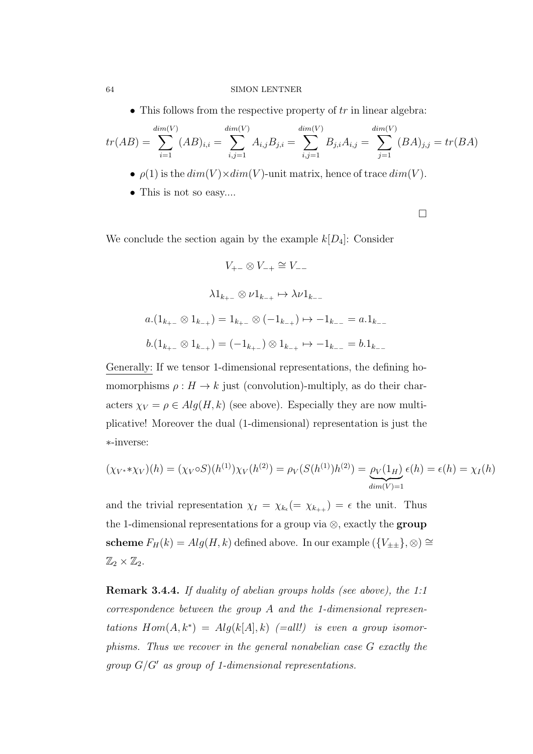• This follows from the respective property of  $tr$  in linear algebra:

$$
tr(AB) = \sum_{i=1}^{\dim(V)} (AB)_{i,i} = \sum_{i,j=1}^{\dim(V)} A_{i,j}B_{j,i} = \sum_{i,j=1}^{\dim(V)} B_{j,i}A_{i,j} = \sum_{j=1}^{\dim(V)} (BA)_{j,j} = tr(BA)
$$

- $\rho(1)$  is the  $dim(V) \times dim(V)$ -unit matrix, hence of trace  $dim(V)$ .
- This is not so easy....

 $\Box$ 

We conclude the section again by the example  $k[D_4]$ : Consider

$$
V_{+-} \otimes V_{-+} \cong V_{--}
$$
  

$$
\lambda 1_{k_{+-}} \otimes \nu 1_{k_{-+}} \mapsto \lambda \nu 1_{k_{--}}
$$
  

$$
a.(1_{k_{+-}} \otimes 1_{k_{-+}}) = 1_{k_{+-}} \otimes (-1_{k_{-+}}) \mapsto -1_{k_{--}} = a.1_{k_{--}}
$$
  

$$
b.(1_{k_{+-}} \otimes 1_{k_{-+}}) = (-1_{k_{+-}}) \otimes 1_{k_{-+}} \mapsto -1_{k_{--}} = b.1_{k_{--}}
$$

Generally: If we tensor 1-dimensional representations, the defining homomorphisms  $\rho: H \to k$  just (convolution)-multiply, as do their characters  $\chi_V = \rho \in Alg(H, k)$  (see above). Especially they are now multiplicative! Moreover the dual (1-dimensional) representation is just the ∗-inverse:

$$
(\chi_{V^*} * \chi_V)(h) = (\chi_V \circ S)(h^{(1)})\chi_V(h^{(2)}) = \rho_V(S(h^{(1)})h^{(2)}) = \underbrace{\rho_V(1_H)}_{\dim(V)=1} \epsilon(h) = \epsilon(h) = \chi_I(h)
$$

and the trivial representation  $\chi_I = \chi_{k_{\epsilon}} (= \chi_{k_{++}}) = \epsilon$  the unit. Thus the 1-dimensional representations for a group via  $\otimes$ , exactly the group scheme  $F_H(k) = Alg(H, k)$  defined above. In our example  $({V_{\pm \pm}}), \otimes$ ) ≅  $\mathbb{Z}_2\times\mathbb{Z}_2$ .

Remark 3.4.4. If duality of abelian groups holds (see above), the 1:1 correspondence between the group A and the 1-dimensional representations  $Hom(A, k^*) = Alg(k[A], k)$  (=all!) is even a group isomorphisms. Thus we recover in the general nonabelian case G exactly the group  $G/G'$  as group of 1-dimensional representations.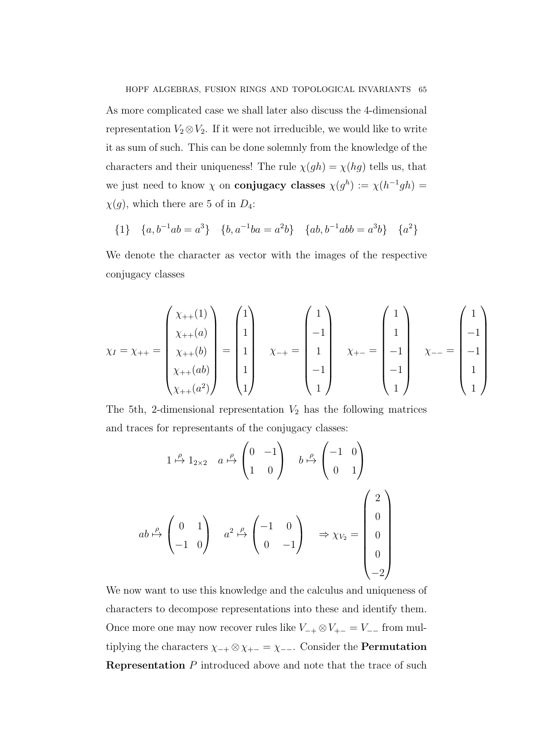HOPF ALGEBRAS, FUSION RINGS AND TOPOLOGICAL INVARIANTS 65 As more complicated case we shall later also discuss the 4-dimensional representation  $V_2 \otimes V_2$ . If it were not irreducible, we would like to write it as sum of such. This can be done solemnly from the knowledge of the characters and their uniqueness! The rule  $\chi(gh) = \chi(hg)$  tells us, that we just need to know  $\chi$  on **conjugacy classes**  $\chi(g^h) := \chi(h^{-1}gh)$  $\chi(g)$ , which there are 5 of in  $D_4$ :

$$
\{1\} \quad \{a, b^{-1}ab = a^3\} \quad \{b, a^{-1}ba = a^2b\} \quad \{ab, b^{-1}abb = a^3b\} \quad \{a^2\}
$$

We denote the character as vector with the images of the respective conjugacy classes

$$
\chi_I = \chi_{++} = \begin{pmatrix} \chi_{++}(1) \\ \chi_{++}(a) \\ \chi_{++}(ab) \\ \chi_{++}(a^2) \end{pmatrix} = \begin{pmatrix} 1 \\ 1 \\ 1 \\ 1 \\ 1 \end{pmatrix} \qquad \chi_{-+} = \begin{pmatrix} 1 \\ -1 \\ 1 \\ -1 \\ 1 \end{pmatrix} \qquad \chi_{+-} = \begin{pmatrix} 1 \\ 1 \\ -1 \\ -1 \\ 1 \end{pmatrix} \qquad \chi_{--} = \begin{pmatrix} 1 \\ -1 \\ -1 \\ 1 \\ 1 \end{pmatrix}
$$

The 5th, 2-dimensional representation  $V_2$  has the following matrices and traces for representants of the conjugacy classes:

$$
1 \xrightarrow{\rho} 1_{2 \times 2} \quad a \xrightarrow{\rho} \begin{pmatrix} 0 & -1 \\ 1 & 0 \end{pmatrix} \quad b \xrightarrow{\rho} \begin{pmatrix} -1 & 0 \\ 0 & 1 \end{pmatrix}
$$

$$
ab \xrightarrow{\rho} \begin{pmatrix} 0 & 1 \\ -1 & 0 \end{pmatrix} \quad a^2 \xrightarrow{\rho} \begin{pmatrix} -1 & 0 \\ 0 & -1 \end{pmatrix} \quad \Rightarrow \chi_{V_2} = \begin{pmatrix} 2 \\ 0 \\ 0 \\ 0 \\ -2 \end{pmatrix}
$$

We now want to use this knowledge and the calculus and uniqueness of characters to decompose representations into these and identify them. Once more one may now recover rules like  $V_{-+} \otimes V_{+-} = V_{--}$  from multiplying the characters  $\chi_{-+} \otimes \chi_{+-} = \chi_{--}$ . Consider the **Permutation Representation**  $P$  introduced above and note that the trace of such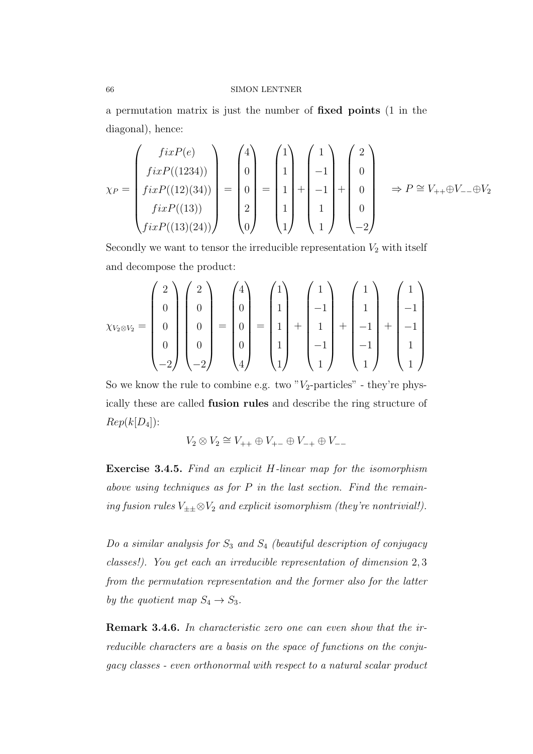a permutation matrix is just the number of fixed points (1 in the diagonal), hence:

$$
\chi_P = \begin{pmatrix} fixP(e) \\ fixP((1234)) \\ fixP((12)(34)) \\ fixP((13)) \\ fixP((13)(24)) \end{pmatrix} = \begin{pmatrix} 4 \\ 0 \\ 0 \\ 2 \\ 0 \end{pmatrix} = \begin{pmatrix} 1 \\ 1 \\ 1 \\ 1 \end{pmatrix} + \begin{pmatrix} 1 \\ -1 \\ -1 \\ 1 \\ 1 \end{pmatrix} + \begin{pmatrix} 2 \\ 0 \\ 0 \\ 0 \\ -2 \end{pmatrix} \Rightarrow P \cong V_{++} \oplus V_{--} \oplus V_2
$$

Secondly we want to tensor the irreducible representation  $V_2$  with itself and decompose the product:

$$
\chi_{V_2 \otimes V_2} = \begin{pmatrix} 2 \\ 0 \\ 0 \\ 0 \\ -2 \end{pmatrix} \begin{pmatrix} 2 \\ 0 \\ 0 \\ 0 \\ -2 \end{pmatrix} = \begin{pmatrix} 4 \\ 0 \\ 0 \\ 0 \\ 0 \\ 4 \end{pmatrix} = \begin{pmatrix} 1 \\ 1 \\ 1 \\ 1 \\ 1 \end{pmatrix} + \begin{pmatrix} 1 \\ -1 \\ 1 \\ -1 \\ 1 \end{pmatrix} + \begin{pmatrix} 1 \\ 1 \\ -1 \\ -1 \\ 1 \end{pmatrix} + \begin{pmatrix} 1 \\ -1 \\ -1 \\ 1 \\ 1 \end{pmatrix}
$$

So we know the rule to combine e.g. two " $V_2$ -particles" - they're physically these are called fusion rules and describe the ring structure of  $Rep(k[D_4])$ :

 $V_2 \otimes V_2 \cong V_{++} \oplus V_{+-} \oplus V_{-+} \oplus V_{--}$ 

Exercise 3.4.5. Find an explicit H-linear map for the isomorphism above using techniques as for  $P$  in the last section. Find the remaining fusion rules  $V_{\pm\pm}\otimes V_2$  and explicit isomorphism (they're nontrivial!).

Do a similar analysis for  $S_3$  and  $S_4$  (beautiful description of conjugacy classes!). You get each an irreducible representation of dimension 2, 3 from the permutation representation and the former also for the latter by the quotient map  $S_4 \rightarrow S_3$ .

Remark 3.4.6. In characteristic zero one can even show that the irreducible characters are a basis on the space of functions on the conjugacy classes - even orthonormal with respect to a natural scalar product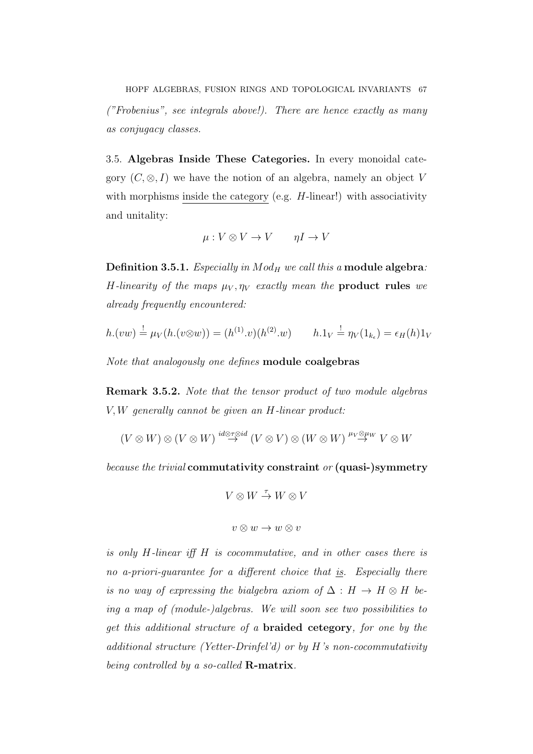HOPF ALGEBRAS, FUSION RINGS AND TOPOLOGICAL INVARIANTS 67 ("Frobenius", see integrals above!). There are hence exactly as many as conjugacy classes.

3.5. Algebras Inside These Categories. In every monoidal category  $(C, \otimes, I)$  we have the notion of an algebra, namely an object V with morphisms inside the category (e.g.  $H$ -linear!) with associativity and unitality:

$$
\mu: V \otimes V \to V \qquad \eta I \to V
$$

Definition 3.5.1. Especially in  $Mod_H$  we call this a module algebra: H-linearity of the maps  $\mu_V$ ,  $\eta_V$  exactly mean the **product rules** we already frequently encountered:

$$
h.(vw) \stackrel{!}{=} \mu_V(h.(v \otimes w)) = (h^{(1)} \cdot v)(h^{(2)} \cdot w) \qquad h.1_V \stackrel{!}{=} \eta_V(1_{k_{\epsilon}}) = \epsilon_H(h)1_V
$$

Note that analogously one defines module coalgebras

Remark 3.5.2. Note that the tensor product of two module algebras V, W generally cannot be given an H-linear product:

$$
(V \otimes W) \otimes (V \otimes W) \stackrel{id \otimes \tau \otimes id}{\rightarrow} (V \otimes V) \otimes (W \otimes W) \stackrel{\mu_V \otimes \mu_W}{\rightarrow} V \otimes W
$$

because the trivial commutativity constraint or (quasi-)symmetry

$$
V\otimes W\stackrel{\tau}{\to} W\otimes V
$$

$$
v\otimes w\to w\otimes v
$$

is only H-linear iff H is cocommutative, and in other cases there is no a-priori-guarantee for a different choice that is. Especially there is no way of expressing the bialgebra axiom of  $\Delta : H \to H \otimes H$  being a map of (module-)algebras. We will soon see two possibilities to get this additional structure of a braided cetegory, for one by the additional structure (Yetter-Drinfel'd) or by H's non-cocommutativity being controlled by a so-called  $\mathbf{R}\text{-matrix}$ .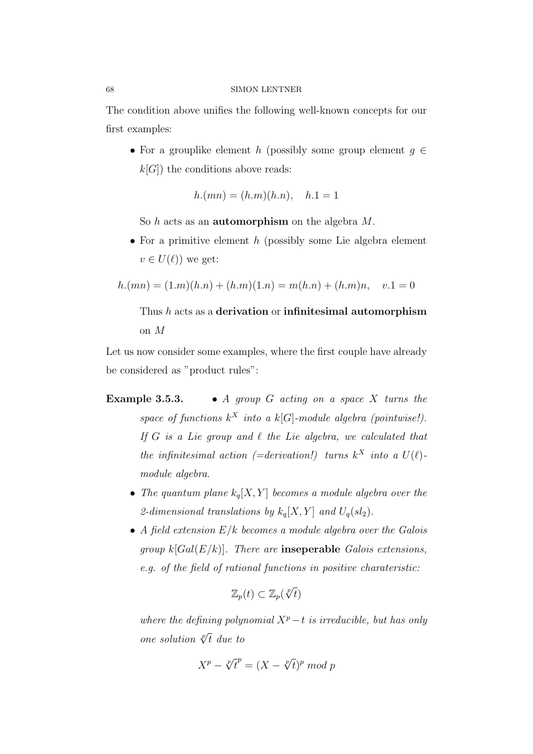The condition above unifies the following well-known concepts for our first examples:

• For a grouplike element h (possibly some group element  $q \in$  $k[G]$ ) the conditions above reads:

$$
h.(mn) = (h.m)(h.n), \quad h.1 = 1
$$

So  $h$  acts as an **automorphism** on the algebra  $M$ .

• For a primitive element  $h$  (possibly some Lie algebra element  $v \in U(\ell)$ ) we get:

$$
h.(mn) = (1.m)(h.n) + (h.m)(1.n) = m(h.n) + (h.m)n, \quad v.1 = 0
$$

# Thus h acts as a derivation or infinitesimal automorphism on M

Let us now consider some examples, where the first couple have already be considered as "product rules":

- **Example 3.5.3.** A group G acting on a space X turns the space of functions  $k^X$  into a  $k[G]$ -module algebra (pointwise!). If G is a Lie group and  $\ell$  the Lie algebra, we calculated that the infinitesimal action (=derivation!) turns  $k^X$  into a  $U(\ell)$ module algebra.
	- The quantum plane  $k_q[X, Y]$  becomes a module algebra over the 2-dimensional translations by  $k_q[X, Y]$  and  $U_q(sl_2)$ .
	- A field extension  $E/k$  becomes a module algebra over the Galois group  $k[Gal(E/k)]$ . There are **inseperable** Galois extensions, e.g. of the field of rational functions in positive charateristic:

$$
\mathbb{Z}_p(t) \subset \mathbb{Z}_p(\sqrt[p]{t})
$$

where the defining polynomial  $X^p-t$  is irreducible, but has only one solution  $\sqrt[p]{t}$  due to

$$
X^p - \sqrt[p]{t}^p = (X - \sqrt[p]{t})^p \mod p
$$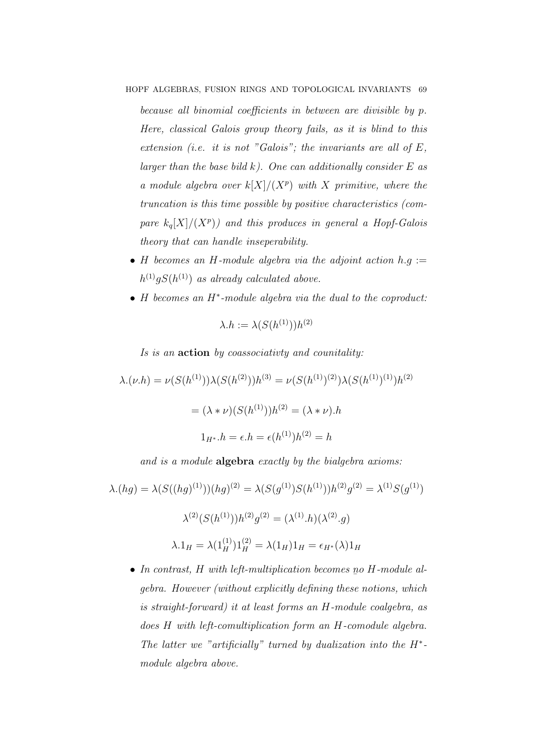because all binomial coefficients in between are divisible by p. Here, classical Galois group theory fails, as it is blind to this extension (i.e. it is not "Galois"; the invariants are all of  $E$ , larger than the base bild  $k$ ). One can additionally consider  $E$  as a module algebra over  $k[X]/(X^p)$  with X primitive, where the truncation is this time possible by positive characteristics (compare  $k_q[X]/(X^p)$  and this produces in general a Hopf-Galois theory that can handle inseperability.

- H becomes an H-module algebra via the adjoint action  $h.g :=$  $h^{(1)}gS(h^{(1)})$  as already calculated above.
- H becomes an H<sup>∗</sup> -module algebra via the dual to the coproduct:

$$
\lambda.h := \lambda(S(h^{(1)}))h^{(2)}
$$

Is is an action by coassociativty and counitality:

 $\lambda.(\nu.h) = \nu(S(h^{(1)}))\lambda(S(h^{(2)}))h^{(3)} = \nu(S(h^{(1)})^{(2)})\lambda(S(h^{(1)})^{(1)})h^{(2)}$  $= (\lambda * \nu)(S(h^{(1)}))h^{(2)} = (\lambda * \nu).h$  $1_{H^*}.h = \epsilon.h = \epsilon(h^{(1)})h^{(2)} = h$ 

and is a module **algebra** exactly by the bialgebra axioms:

$$
\lambda.(hg) = \lambda(S((hg)^{(1)}))(hg)^{(2)} = \lambda(S(g^{(1)})S(h^{(1)}))h^{(2)}g^{(2)} = \lambda^{(1)}S(g^{(1)})
$$

$$
\lambda^{(2)}(S(h^{(1)}))h^{(2)}g^{(2)} = (\lambda^{(1)}.h)(\lambda^{(2)}.g)
$$

$$
\lambda.1_H = \lambda(1_H^{(1)})1_H^{(2)} = \lambda(1_H)1_H = \epsilon_{H^*}(\lambda)1_H
$$

• In contrast,  $H$  with left-multiplication becomes  $p$  $\overline{a}$ o H-module algebra. However (without explicitly defining these notions, which is straight-forward) it at least forms an H-module coalgebra, as does H with left-comultiplication form an H-comodule algebra. The latter we "artificially" turned by dualization into the  $H^*$ module algebra above.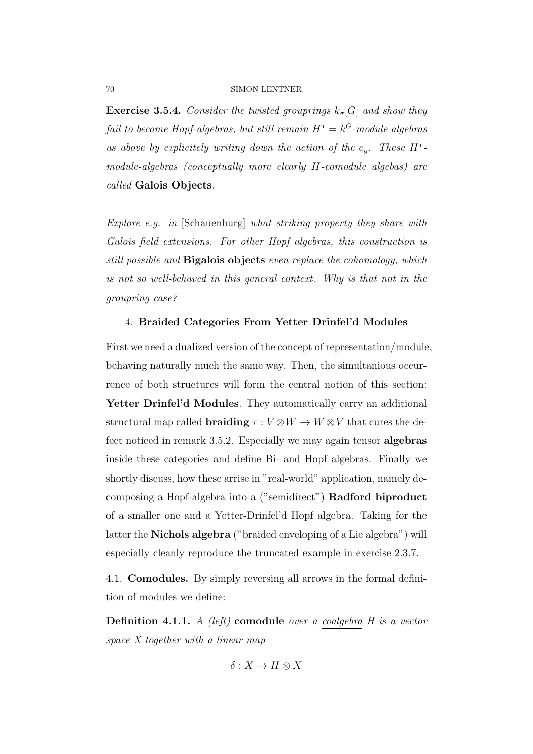**Exercise 3.5.4.** Consider the twisted grouprings  $k_{\sigma}[G]$  and show they fail to become Hopf-algebras, but still remain  $H^* = k^G$ -module algebras as above by explicitely writing down the action of the  $e_g$ . These  $H^*$ module-algebras (conceptually more clearly H-comodule algebas) are called Galois Objects.

Explore e.g. in [Schauenburg] what striking property they share with Galois field extensions. For other Hopf algebras, this construction is still possible and **Bigalois objects** even replace the cohomology, which is not so well-behaved in this general context. Why is that not in the groupring case?

# 4. Braided Categories From Yetter Drinfel'd Modules

First we need a dualized version of the concept of representation/module, behaving naturally much the same way. Then, the simultanious occurrence of both structures will form the central notion of this section: Yetter Drinfel'd Modules. They automatically carry an additional structural map called  $\textbf{braiding}~\tau: V \otimes W \rightarrow W \otimes V$  that cures the defect noticed in remark 3.5.2. Especially we may again tensor **algebras** inside these categories and define Bi- and Hopf algebras. Finally we shortly discuss, how these arrise in "real-world" application, namely decomposing a Hopf-algebra into a ("semidirect") Radford biproduct of a smaller one and a Yetter-Drinfel'd Hopf algebra. Taking for the latter the Nichols algebra ("braided enveloping of a Lie algebra") will especially cleanly reproduce the truncated example in exercise 2.3.7.

4.1. Comodules. By simply reversing all arrows in the formal definition of modules we define:

**Definition 4.1.1.** A (left) **comodule** over a coalgebra  $H$  is a vector space X together with a linear map

 $\delta: X \to H \otimes X$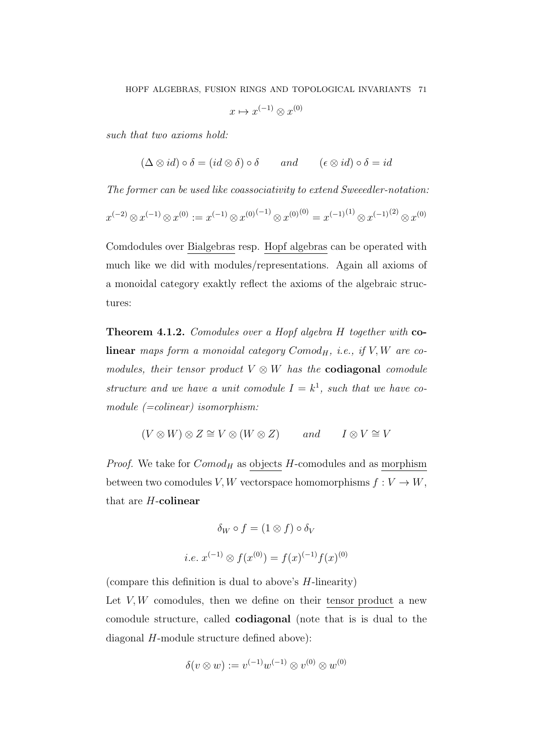$x \mapsto x^{(-1)} \otimes x^{(0)}$ 

such that two axioms hold:

 $(\Delta \otimes id) \circ \delta = (id \otimes \delta) \circ \delta$  and  $(\epsilon \otimes id) \circ \delta = id$ 

The former can be used like coassociativity to extend Sweeedler-notation:  $x^{(-2)} \otimes x^{(-1)} \otimes x^{(0)} := x^{(-1)} \otimes x^{(0)(-1)} \otimes x^{(0)(0)} = x^{(-1)^{(1)}} \otimes x^{(-1)^{(2)}} \otimes x^{(0)}$ 

Comdodules over Bialgebras resp. Hopf algebras can be operated with much like we did with modules/representations. Again all axioms of a monoidal category exaktly reflect the axioms of the algebraic structures:

**Theorem 4.1.2.** Comodules over a Hopf algebra H together with colinear maps form a monoidal category  $Comod_H$ , i.e., if  $V, W$  are comodules, their tensor product  $V \otimes W$  has the **codiagonal** comodule structure and we have a unit comodule  $I = k^1$ , such that we have comodule  $(=colinear)$  isomorphism:

 $(V \otimes W) \otimes Z \cong V \otimes (W \otimes Z)$  and  $I \otimes V \cong V$ 

*Proof.* We take for  $Comod<sub>H</sub>$  as objects H-comodules and as morphism between two comodules V, W vectorspace homomorphisms  $f: V \to W$ , that are H-colinear

$$
\delta_W \circ f = (1 \otimes f) \circ \delta_V
$$
  
*i.e.*  $x^{(-1)} \otimes f(x^{(0)}) = f(x)^{(-1)} f(x)^{(0)}$ 

(compare this definition is dual to above's  $H$ -linearity)

Let  $V, W$  comodules, then we define on their tensor product a new comodule structure, called codiagonal (note that is is dual to the diagonal H-module structure defined above):

$$
\delta(v \otimes w) := v^{(-1)}w^{(-1)} \otimes v^{(0)} \otimes w^{(0)}
$$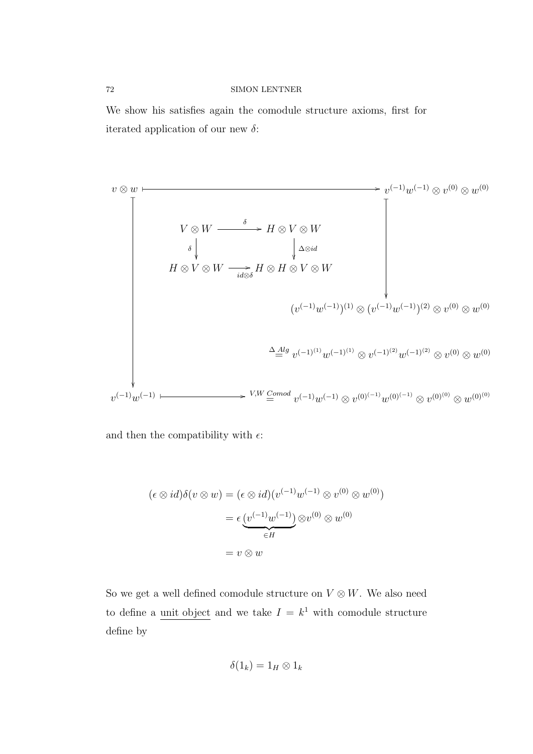We show his satisfies again the comodule structure axioms, first for iterated application of our new  $\delta$ :

v ⊗ w / \_ v (−1)w (−1) ⊗ v (0) ⊗ w (0) \_ V ⊗ W δ / δ H ⊗ V ⊗ W ∆⊗id H ⊗ V ⊗ W id⊗δ /H ⊗ H ⊗ V ⊗ W (v (−1)w (−1)) (1) ⊗ (v (−1)w (−1)) (2) ⊗ v (0) ⊗ w (0) ∆ Alg = v (−1)(1) w (−1)(1) ⊗ v (−1)(2) w (−1)(2) ⊗ v (0) ⊗ w (0) v (−1)w (−1) /V,W Comod = v (−1)w (−1) ⊗ v (0)(−1) w (0)(−1) ⊗ v (0)(0) ⊗ w (0)(0)

and then the compatibility with  $\epsilon$ :

$$
(\epsilon \otimes id)\delta(v \otimes w) = (\epsilon \otimes id)(v^{(-1)}w^{(-1)} \otimes v^{(0)} \otimes w^{(0)})
$$

$$
= \epsilon \underbrace{(v^{(-1)}w^{(-1)})}_{\in H} \otimes v^{(0)} \otimes w^{(0)}
$$

$$
= v \otimes w
$$

So we get a well defined comodule structure on  $V \otimes W$ . We also need to define a unit object and we take  $I = k^1$  with comodule structure define by

$$
\delta(1_k)=1_H\otimes 1_k
$$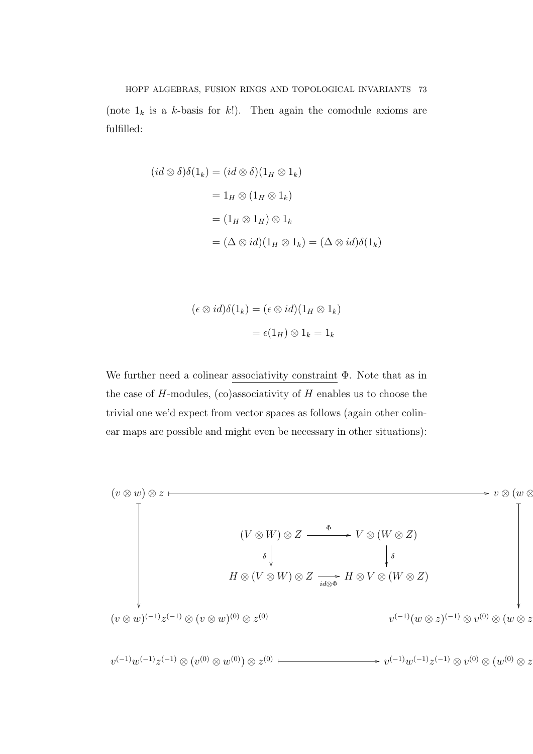(note  $1_k$  is a k-basis for k!). Then again the comodule axioms are fulfilled:

$$
(id \otimes \delta)\delta(1_k) = (id \otimes \delta)(1_H \otimes 1_k)
$$
  
= 1<sub>H</sub>  $\otimes$  (1<sub>H</sub>  $\otimes$  1<sub>k</sub>)  
= (1<sub>H</sub>  $\otimes$  1<sub>H</sub>)  $\otimes$  1<sub>k</sub>  
= ( $\Delta \otimes id$ )(1<sub>H</sub>  $\otimes$  1<sub>k</sub>) = ( $\Delta \otimes id$ ) $\delta(1_k)$ 

$$
(\epsilon \otimes id)\delta(1_k) = (\epsilon \otimes id)(1_H \otimes 1_k)
$$

$$
= \epsilon(1_H) \otimes 1_k = 1_k
$$

We further need a colinear associativity constraint Φ. Note that as in the case of  $H$ -modules, (co)associativity of  $H$  enables us to choose the trivial one we'd expect from vector spaces as follows (again other colinear maps are possible and might even be necessary in other situations):

$$
(v \otimes w) \otimes z \longmapsto v \otimes (w \otimes w)
$$
  
\n
$$
\downarrow \qquad (V \otimes W) \otimes Z \longrightarrow V \otimes (W \otimes Z)
$$
  
\n
$$
\downarrow \qquad \qquad \downarrow \qquad \qquad \downarrow \qquad \qquad \downarrow \qquad \qquad \downarrow \qquad \qquad \downarrow \qquad \qquad \downarrow \qquad \qquad \downarrow \qquad \downarrow \qquad \downarrow \qquad \downarrow \qquad \downarrow \qquad \downarrow \qquad \downarrow \qquad \downarrow \qquad \downarrow \qquad \downarrow \qquad \downarrow \qquad \downarrow \qquad \downarrow \qquad \downarrow \qquad \downarrow \qquad \downarrow \qquad \downarrow \qquad \downarrow \qquad \downarrow \qquad \downarrow \qquad \downarrow \qquad \downarrow \qquad \downarrow \qquad \downarrow \qquad \downarrow \qquad \downarrow \qquad \downarrow \qquad \downarrow \qquad \downarrow \qquad \downarrow \qquad \downarrow \qquad \downarrow \qquad \downarrow \qquad \downarrow \qquad \downarrow \qquad \downarrow \qquad \downarrow \qquad \downarrow \qquad \downarrow \qquad \downarrow \qquad \downarrow \qquad \downarrow \qquad \downarrow \qquad \downarrow \qquad \downarrow \qquad \downarrow \qquad \downarrow \qquad \downarrow \qquad \downarrow \qquad \downarrow \qquad \downarrow \qquad \downarrow \qquad \downarrow \qquad \downarrow \qquad \downarrow \qquad \downarrow \qquad \downarrow \qquad \downarrow \qquad \downarrow \qquad \downarrow \qquad \downarrow \qquad \downarrow \qquad \downarrow \qquad \downarrow \qquad \downarrow \qquad \downarrow \qquad \downarrow \qquad \downarrow \qquad \downarrow \qquad \downarrow \qquad \downarrow \qquad \downarrow \qquad \downarrow \qquad \downarrow \qquad \downarrow \qquad \downarrow \qquad \downarrow \qquad \downarrow \qquad \downarrow \qquad \downarrow \qquad \downarrow \qquad \downarrow \qquad \downarrow \qquad \downarrow \qquad \downarrow \qquad \downarrow \qquad \downarrow \qquad \downarrow \qquad \downarrow \qquad \downarrow \qquad \downarrow \qquad \downarrow \qquad \downarrow \qquad \downarrow \qquad \downarrow \qquad \downarrow \qquad \downarrow \qquad \downarrow \qquad \downarrow \qquad \downarrow \qquad \downarrow \qquad \downarrow \qquad \downarrow \qquad \downarrow
$$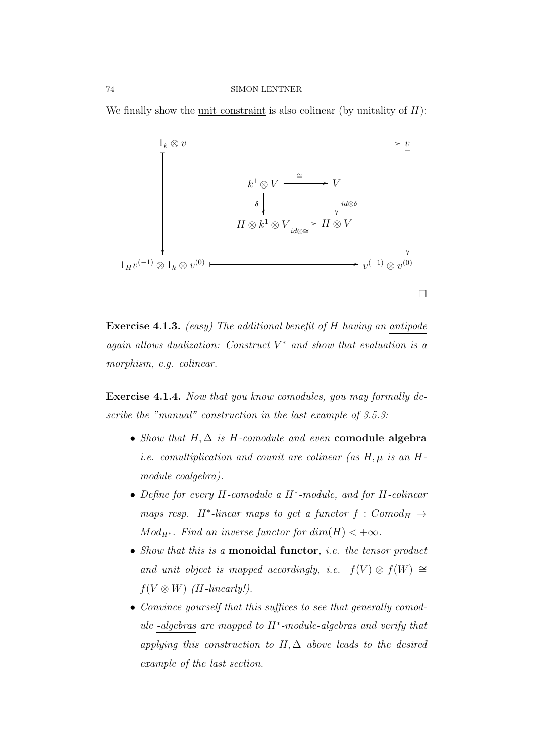We finally show the unit constraint is also colinear (by unitality of  $H$ ):



Exercise 4.1.3. (easy) The additional benefit of H having an antipode again allows dualization: Construct  $V^*$  and show that evaluation is a morphism, e.g. colinear.

Exercise 4.1.4. Now that you know comodules, you may formally describe the "manual" construction in the last example of 3.5.3:

- Show that  $H, \Delta$  is H-comodule and even comodule algebra *i.e.* comultiplication and counit are colinear (as  $H$ ,  $\mu$  is an  $H$ module coalgebra).
- Define for every H-comodule a H<sup>∗</sup> -module, and for H-colinear maps resp. H<sup>\*</sup>-linear maps to get a functor  $f : Comod_H \rightarrow$  $Mod_{H^*}$ . Find an inverse functor for  $dim(H) < +\infty$ .
- Show that this is a **monoidal functor**, *i.e.* the tensor product and unit object is mapped accordingly, i.e.  $f(V) \otimes f(W) \cong$  $f(V \otimes W)$  (H-linearly!).
- Convince yourself that this suffices to see that generally comodule -algebras are mapped to H<sup>∗</sup> -module-algebras and verify that applying this construction to  $H, \Delta$  above leads to the desired example of the last section.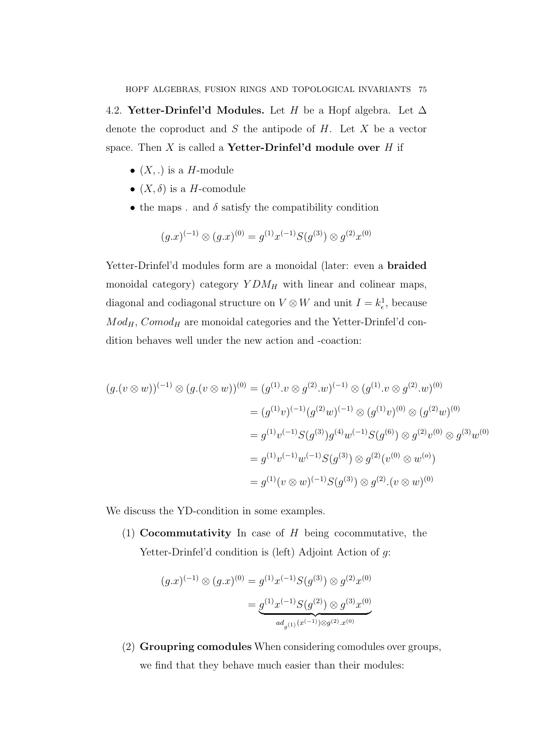4.2. **Yetter-Drinfel'd Modules.** Let H be a Hopf algebra. Let  $\Delta$ denote the coproduct and  $S$  the antipode of  $H$ . Let  $X$  be a vector space. Then  $X$  is called a **Yetter-Drinfel'd module over**  $H$  if

- $(X,.)$  is a H-module
- $(X, \delta)$  is a H-comodule
- the maps . and  $\delta$  satisfy the compatibility condition

$$
(g.x)^{(-1)} \otimes (g.x)^{(0)} = g^{(1)}x^{(-1)}S(g^{(3)}) \otimes g^{(2)}x^{(0)}
$$

Yetter-Drinfel'd modules form are a monoidal (later: even a **braided** monoidal category) category  $YDM_H$  with linear and colinear maps, diagonal and codiagonal structure on  $V \otimes W$  and unit  $I = k_{\epsilon}^1$ , because  $Mod_H$ ,  $Comod_H$  are monoidal categories and the Yetter-Drinfel'd condition behaves well under the new action and -coaction:

$$
(g.(v \otimes w))^{(-1)} \otimes (g.(v \otimes w))^{(0)} = (g^{(1)}.v \otimes g^{(2)}.w)^{(-1)} \otimes (g^{(1)}.v \otimes g^{(2)}.w)^{(0)}
$$
  

$$
= (g^{(1)}v)^{(-1)}(g^{(2)}w)^{(-1)} \otimes (g^{(1)}v)^{(0)} \otimes (g^{(2)}w)^{(0)}
$$
  

$$
= g^{(1)}v^{(-1)}S(g^{(3)})g^{(4)}w^{(-1)}S(g^{(6)}) \otimes g^{(2)}v^{(0)} \otimes g^{(3)}w^{(0)}
$$
  

$$
= g^{(1)}v^{(-1)}w^{(-1)}S(g^{(3)}) \otimes g^{(2)}(v^{(0)} \otimes w^{(0)})
$$
  

$$
= g^{(1)}(v \otimes w)^{(-1)}S(g^{(3)}) \otimes g^{(2)}.(v \otimes w)^{(0)}
$$

We discuss the YD-condition in some examples.

(1) Cocommutativity In case of  $H$  being cocommutative, the Yetter-Drinfel'd condition is (left) Adjoint Action of g:

$$
(g.x)^{(-1)} \otimes (g.x)^{(0)} = g^{(1)}x^{(-1)}S(g^{(3)}) \otimes g^{(2)}x^{(0)}
$$

$$
= g^{(1)}x^{(-1)}S(g^{(2)}) \otimes g^{(3)}x^{(0)}
$$

$$
= g^{(1)}x^{(-1)}S(g^{(2)}) \otimes g^{(3)}x^{(0)}
$$

(2) Groupring comodules When considering comodules over groups, we find that they behave much easier than their modules: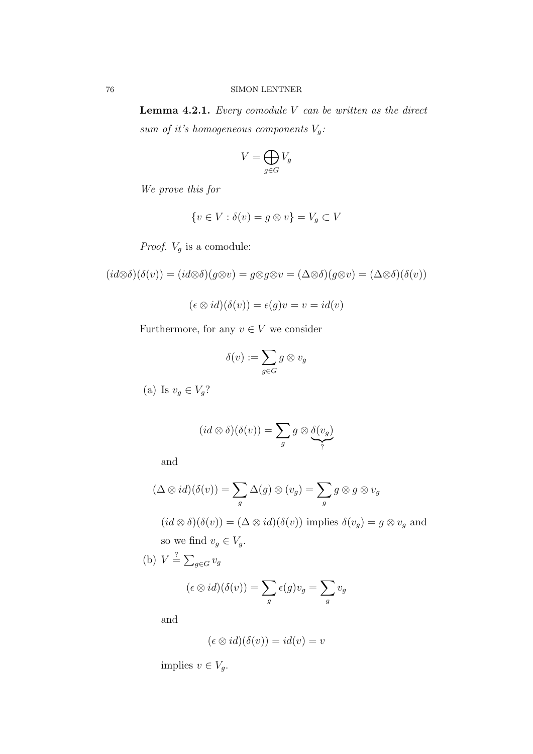**Lemma 4.2.1.** Every comodule  $V$  can be written as the direct sum of it's homogeneous components  $V_g$ :

$$
V=\bigoplus_{g\in G}V_g
$$

We prove this for

$$
\{v \in V : \delta(v) = g \otimes v\} = V_g \subset V
$$

*Proof.*  $V_g$  is a comodule:

 $(id \otimes \delta)(\delta(v)) = (id \otimes \delta)(g \otimes v) = g \otimes g \otimes v = (\Delta \otimes \delta)(g \otimes v) = (\Delta \otimes \delta)(\delta(v))$ 

$$
(\epsilon \otimes id)(\delta(v)) = \epsilon(g)v = v = id(v)
$$

Furthermore, for any  $v \in V$  we consider

$$
\delta(v) := \sum_{g \in G} g \otimes v_g
$$

(a) Is  $v_g \in V_g$ ?

$$
(id \otimes \delta)(\delta(v)) = \sum_{g} g \otimes \underbrace{\delta(v_g)}_{?}
$$

and

$$
(\Delta \otimes id)(\delta(v)) = \sum_{g} \Delta(g) \otimes (v_g) = \sum_{g} g \otimes g \otimes v_g
$$

 $(id \otimes \delta)(\delta(v)) = (\Delta \otimes id)(\delta(v))$  implies  $\delta(v_g) = g \otimes v_g$  and so we find  $v_g \in V_g$ .

(b)  $V \stackrel{?}{=} \sum_{g \in G} v_g$ 

$$
(\epsilon \otimes id)(\delta(v)) = \sum_g \epsilon(g)v_g = \sum_g v_g
$$

and

$$
(\epsilon \otimes id)(\delta(v)) = id(v) = v
$$

implies  $v \in V_q$ .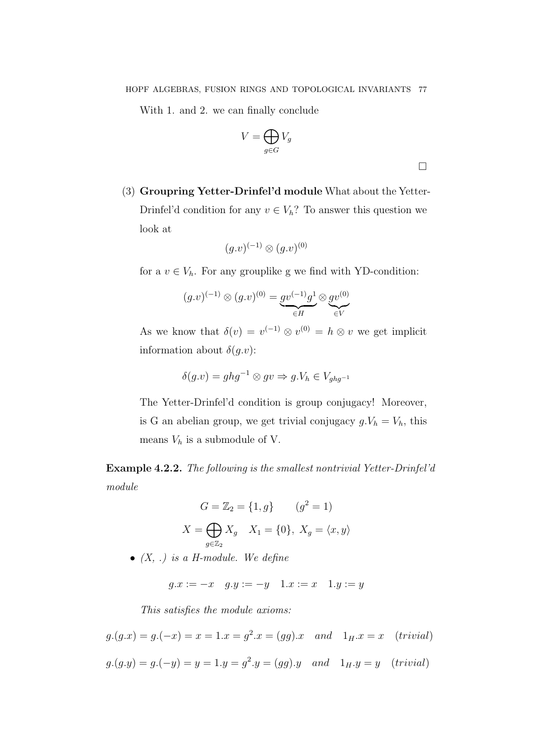With 1. and 2. we can finally conclude

$$
V = \bigoplus_{g \in G} V_g
$$

 $\Box$ 

(3) Groupring Yetter-Drinfel'd module What about the Yetter-Drinfel'd condition for any  $v \in V_h$ ? To answer this question we look at

$$
(g.v)^{(-1)}\otimes (g.v)^{(0)}
$$

for a  $v \in V_h$ . For any grouplike g we find with YD-condition:

$$
(g.v)^{(-1)} \otimes (g.v)^{(0)} = \underbrace{gv^{(-1)}g^{1}}_{\in H} \otimes \underbrace{gv^{(0)}}_{\in V}
$$

As we know that  $\delta(v) = v^{(-1)} \otimes v^{(0)} = h \otimes v$  we get implicit information about  $\delta(g.v)$ :

$$
\delta(g.v) = ghg^{-1} \otimes gv \Rightarrow g.V_h \in V_{ghg^{-1}}
$$

The Yetter-Drinfel'd condition is group conjugacy! Moreover, is G an abelian group, we get trivial conjugacy  $g.V_h = V_h$ , this means  $V_h$  is a submodule of V.

Example 4.2.2. The following is the smallest nontrivial Yetter-Drinfel'd module

$$
G = \mathbb{Z}_2 = \{1, g\} \qquad (g^2 = 1)
$$

$$
X = \bigoplus_{g \in \mathbb{Z}_2} X_g \quad X_1 = \{0\}, \ X_g = \langle x, y \rangle
$$

•  $(X, .)$  is a H-module. We define

 $g.x := -x \quad g.y := -y \quad 1.x := x \quad 1.y := y$ 

This satisfies the module axioms:

$$
g.(g.x) = g.(-x) = x = 1.x = g^2.x = (gg).x
$$
 and  $1_H.x = x$  (trivial)  
 $g.(g.y) = g.(-y) = y = 1.y = g^2.y = (gg).y$  and  $1_H.y = y$  (trivial)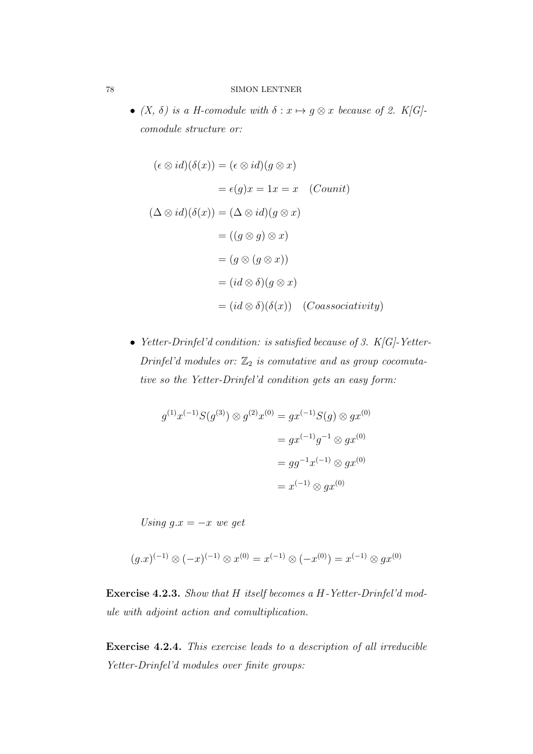•  $(X, \delta)$  is a H-comodule with  $\delta: x \mapsto g \otimes x$  because of 2. K[G]comodule structure or:

$$
(\epsilon \otimes id)(\delta(x)) = (\epsilon \otimes id)(g \otimes x)
$$
  

$$
= \epsilon(g)x = 1x = x \quad (Counti)
$$
  

$$
(\Delta \otimes id)(\delta(x)) = (\Delta \otimes id)(g \otimes x)
$$
  

$$
= ((g \otimes g) \otimes x)
$$
  

$$
= (g \otimes (g \otimes x))
$$
  

$$
= (id \otimes \delta)(g \otimes x)
$$
  

$$
= (id \otimes \delta)(\delta(x)) \quad (Coassociativity)
$$

• Yetter-Drinfel'd condition: is satisfied because of 3. K[G]-Yetter-Drinfel'd modules or:  $\mathbb{Z}_2$  is comutative and as group cocomutative so the Yetter-Drinfel'd condition gets an easy form:

$$
g^{(1)}x^{(-1)}S(g^{(3)}) \otimes g^{(2)}x^{(0)} = gx^{(-1)}S(g) \otimes gx^{(0)}
$$
  
=  $gx^{(-1)}g^{-1} \otimes gx^{(0)}$   
=  $gg^{-1}x^{(-1)} \otimes gx^{(0)}$   
=  $x^{(-1)} \otimes gx^{(0)}$ 

Using  $g.x = -x$  we get

$$
(g.x)^{(-1)} \otimes (-x)^{(-1)} \otimes x^{(0)} = x^{(-1)} \otimes (-x^{(0)}) = x^{(-1)} \otimes gx^{(0)}
$$

Exercise 4.2.3. Show that H itself becomes a H-Yetter-Drinfel'd module with adjoint action and comultiplication.

Exercise 4.2.4. This exercise leads to a description of all irreducible Yetter-Drinfel'd modules over finite groups: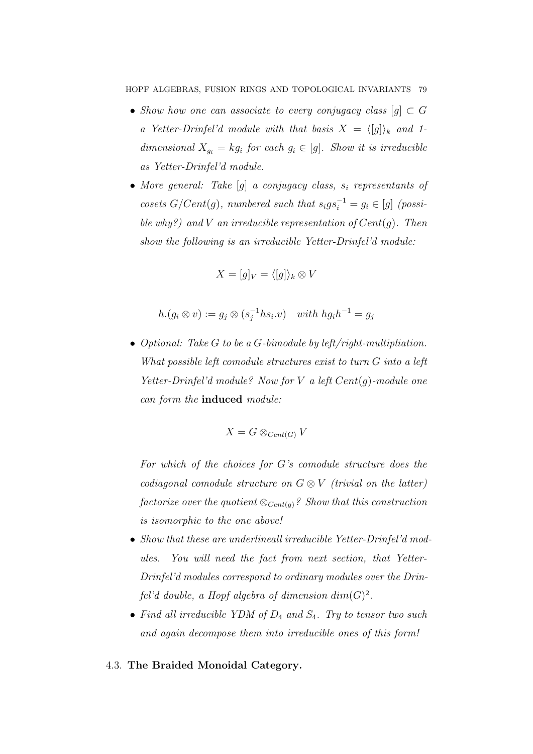- Show how one can associate to every conjugacy class  $[g] \subset G$ a Yetter-Drinfel'd module with that basis  $X = \langle g \rangle_k$  and 1dimensional  $X_{g_i} = kg_i$  for each  $g_i \in [g]$ . Show it is irreducible as Yetter-Drinfel'd module.
- More general: Take  $[q]$  a conjugacy class,  $s_i$  representants of cosets  $G/Cent(g)$ , numbered such that  $s_i g s_i^{-1} = g_i \in [g]$  (possible why?) and V an irreducible representation of  $Cent(q)$ . Then show the following is an irreducible Yetter-Drinfel'd module:

$$
X = [g]_V = \langle [g] \rangle_k \otimes V
$$

$$
h.(g_i \otimes v) := g_j \otimes (s_j^{-1} h s_i.v) \quad with \ h g_i h^{-1} = g_j
$$

• Optional: Take  $G$  to be a  $G$ -bimodule by left/right-multipliation. What possible left comodule structures exist to turn G into a left Yetter-Drinfel'd module? Now for  $V$  a left  $Cent(g)$ -module one can form the induced module:

$$
X = G \otimes_{Cent(G)} V
$$

For which of the choices for G's comodule structure does the codiagonal comodule structure on  $G \otimes V$  (trivial on the latter) factorize over the quotient  $\otimes_{Cent(g)}$ ? Show that this construction is isomorphic to the one above!

- Show that these are underlineall irreducible Yetter-Drinfel'd modules. You will need the fact from next section, that Yetter-Drinfel'd modules correspond to ordinary modules over the Drinfel'd double, a Hopf algebra of dimension  $dim(G)^2$ .
- Find all irreducible YDM of  $D_4$  and  $S_4$ . Try to tensor two such and again decompose them into irreducible ones of this form!

# 4.3. The Braided Monoidal Category.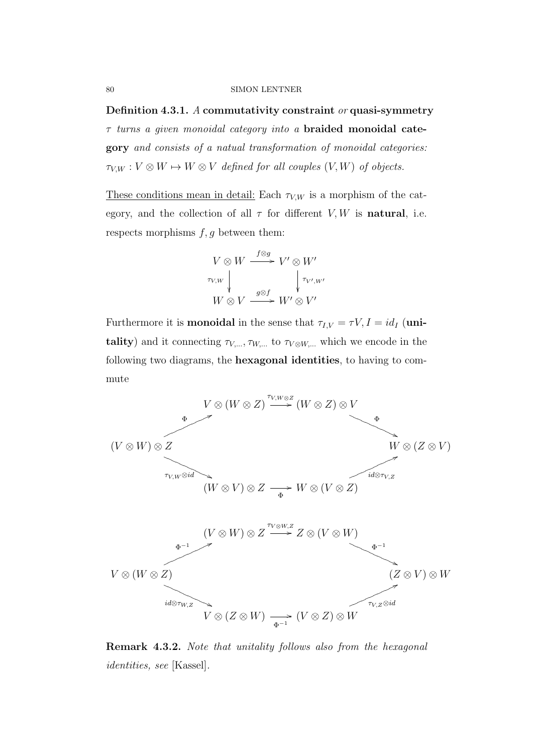Definition 4.3.1. A commutativity constraint  $\alpha r$  quasi-symmetry  $\tau$  turns a given monoidal category into a **braided monoidal cate**gory and consists of a natual transformation of monoidal categories:  $\tau_{V,W}: V \otimes W \mapsto W \otimes V$  defined for all couples  $(V, W)$  of objects.

These conditions mean in detail: Each  $\tau_{V,W}$  is a morphism of the category, and the collection of all  $\tau$  for different V, W is natural, i.e. respects morphisms  $f, g$  between them:

$$
V \otimes W \xrightarrow{f \otimes g} V' \otimes W'
$$
  

$$
\tau_{V,W} \downarrow \qquad \qquad \downarrow \tau_{V',W'}
$$
  

$$
W \otimes V \xrightarrow{g \otimes f} W' \otimes V'
$$

Furthermore it is **monoidal** in the sense that  $\tau_{I,V} = \tau V, I = id_I$  (unitality) and it connecting  $\tau_{V,...}, \tau_{W,...}$  to  $\tau_{V\otimes W,...}$  which we encode in the following two diagrams, the hexagonal identities, to having to commute



Remark 4.3.2. Note that unitality follows also from the hexagonal identities, see [Kassel].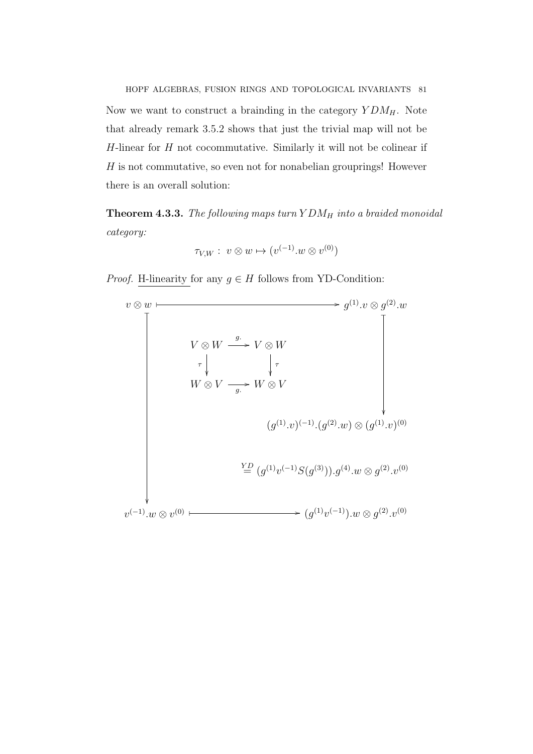HOPF ALGEBRAS, FUSION RINGS AND TOPOLOGICAL INVARIANTS 81 Now we want to construct a brainding in the category  $YDM_H$ . Note that already remark 3.5.2 shows that just the trivial map will not be  $H$ -linear for  $H$  not cocommutative. Similarly it will not be colinear if  $H$  is not commutative, so even not for nonabelian grouprings! However there is an overall solution:

**Theorem 4.3.3.** The following maps turn  $YDM_H$  into a braided monoidal category:

$$
\tau_{V,W}: v \otimes w \mapsto (v^{(-1)}.w \otimes v^{(0)})
$$

*Proof.* H-linearity for any  $g \in H$  follows from YD-Condition:

$$
v \otimes w
$$
\n
$$
V \otimes W \xrightarrow{g} V \otimes W
$$
\n
$$
V \otimes V \xrightarrow{\sigma} V \otimes W
$$
\n
$$
W \otimes V \xrightarrow{g} W \otimes V
$$
\n
$$
(g^{(1)} \cdot v)^{(-1)} \cdot (g^{(2)} \cdot w) \otimes (g^{(1)} \cdot v)^{(0)}
$$
\n
$$
\xrightarrow{\text{YD}} (g^{(1)} v^{(-1)} S(g^{(3)})) \cdot g^{(4)} \cdot w \otimes g^{(2)} \cdot v^{(0)}
$$
\n
$$
v^{(-1)} \cdot w \otimes v^{(0)}
$$
\n
$$
\xrightarrow{\text{YD}} (g^{(1)} v^{(-1)}) \cdot w \otimes g^{(2)} \cdot v^{(0)}
$$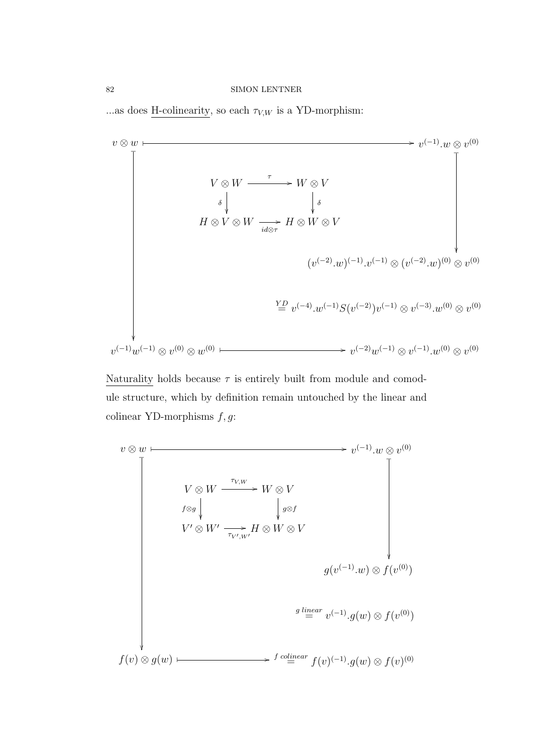...as does H-colinearity, so each  $\tau_{V,W}$  is a YD-morphism:



Naturality holds because  $\tau$  is entirely built from module and comodule structure, which by definition remain untouched by the linear and colinear YD-morphisms  $f, g$ :

$$
v \otimes w \longmapsto v^{(-1)} \cdot w \otimes v^{(0)}
$$
\n
$$
V \otimes W \xrightarrow{\tau_{V,W}} W \otimes V
$$
\n
$$
f \otimes g \downarrow \qquad \qquad \downarrow g \otimes f
$$
\n
$$
V' \otimes W' \xrightarrow{\tau_{V',W'}} H \otimes W \otimes V
$$
\n
$$
g(v^{(-1)} \cdot w) \otimes f(v^{(0)})
$$
\n
$$
g \xrightarrow{linear} v^{(-1)} \cdot g(w) \otimes f(v^{(0)})
$$
\n
$$
f(v) \otimes g(w) \longmapsto f \xrightarrow{cilinear} f(v)^{(-1)} \cdot g(w) \otimes f(v)^{(0)}
$$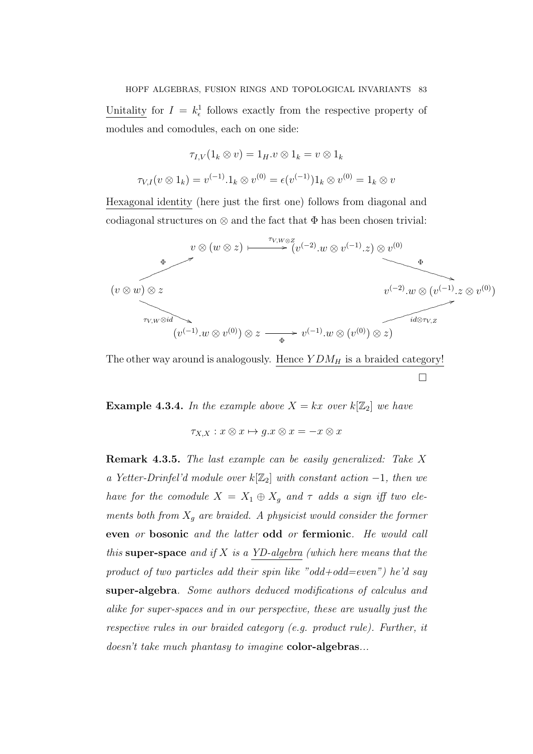HOPF ALGEBRAS, FUSION RINGS AND TOPOLOGICAL INVARIANTS 83

Unitality for  $I = k_{\epsilon}^1$  follows exactly from the respective property of modules and comodules, each on one side:

$$
\tau_{I,V}(1_k \otimes v) = 1_H \cdot v \otimes 1_k = v \otimes 1_k
$$

$$
\tau_{V,I}(v \otimes 1_k) = v^{(-1)} \cdot 1_k \otimes v^{(0)} = \epsilon(v^{(-1)}) 1_k \otimes v^{(0)} = 1_k \otimes v
$$

Hexagonal identity (here just the first one) follows from diagonal and codiagonal structures on  $\otimes$  and the fact that  $\Phi$  has been chosen trivial:



The other way around is analogously. Hence  $YDM_H$  is a braided category!  $\Box$ 

**Example 4.3.4.** In the example above  $X = kx$  over  $k[\mathbb{Z}_2]$  we have

 $\tau_{X,X}: x \otimes x \mapsto q.x \otimes x = -x \otimes x$ 

Remark 4.3.5. The last example can be easily generalized: Take X a Yetter-Drinfel'd module over  $k[\mathbb{Z}_2]$  with constant action  $-1$ , then we have for the comodule  $X = X_1 \oplus X_g$  and  $\tau$  adds a sign iff two elements both from  $X_g$  are braided. A physicist would consider the former even or bosonic and the latter odd or fermionic. He would call this super-space and if  $X$  is a YD-algebra (which here means that the product of two particles add their spin like "odd+odd=even") he'd say super-algebra. Some authors deduced modifications of calculus and alike for super-spaces and in our perspective, these are usually just the respective rules in our braided category (e.g. product rule). Further, it doesn't take much phantasy to imagine color-algebras...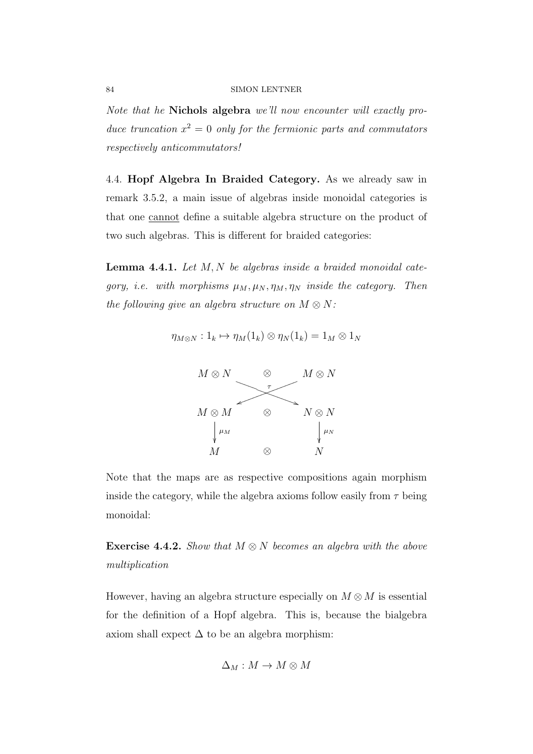Note that he Nichols algebra we'll now encounter will exactly produce truncation  $x^2 = 0$  only for the fermionic parts and commutators respectively anticommutators!

4.4. Hopf Algebra In Braided Category. As we already saw in remark 3.5.2, a main issue of algebras inside monoidal categories is that one cannot define a suitable algebra structure on the product of two such algebras. This is different for braided categories:

**Lemma 4.4.1.** Let  $M, N$  be algebras inside a braided monoidal category, i.e. with morphisms  $\mu_M$ ,  $\mu_N$ ,  $\eta_M$ ,  $\eta_N$  inside the category. Then the following give an algebra structure on  $M \otimes N$ :

$$
\eta_{M\otimes N}:1_k\mapsto \eta_M(1_k)\otimes \eta_N(1_k)=1_M\otimes 1_N
$$



Note that the maps are as respective compositions again morphism inside the category, while the algebra axioms follow easily from  $\tau$  being monoidal:

**Exercise 4.4.2.** Show that  $M \otimes N$  becomes an algebra with the above multiplication

However, having an algebra structure especially on  $M \otimes M$  is essential for the definition of a Hopf algebra. This is, because the bialgebra axiom shall expect  $\Delta$  to be an algebra morphism:

$$
\Delta_M: M \to M \otimes M
$$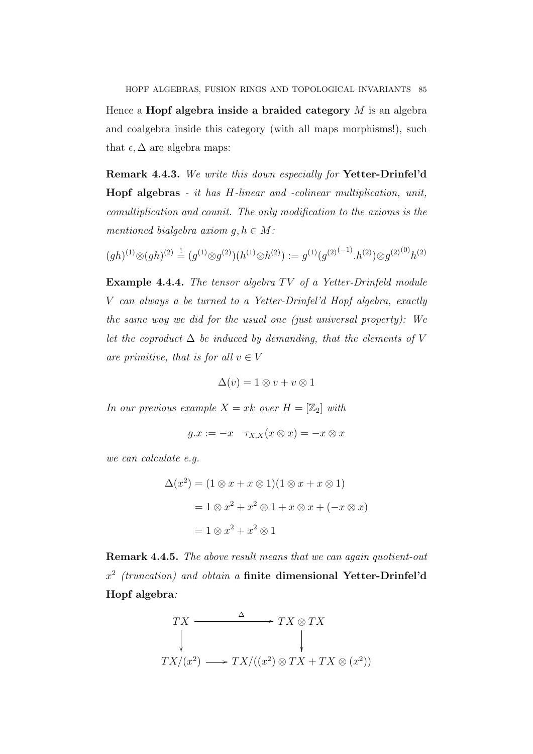HOPF ALGEBRAS, FUSION RINGS AND TOPOLOGICAL INVARIANTS 85 Hence a **Hopf algebra inside a braided category**  $M$  is an algebra and coalgebra inside this category (with all maps morphisms!), such that  $\epsilon, \Delta$  are algebra maps:

Remark 4.4.3. We write this down especially for Yetter-Drinfel'd Hopf algebras - it has H-linear and -colinear multiplication, unit, comultiplication and counit. The only modification to the axioms is the mentioned bialgebra axiom  $q, h \in M$ :

$$
(gh)^{(1)} \otimes (gh)^{(2)} \stackrel{!}{=} (g^{(1)} \otimes g^{(2)})(h^{(1)} \otimes h^{(2)}) := g^{(1)}(g^{(2)}^{(-1)} \cdot h^{(2)}) \otimes g^{(2)}^{(0)}h^{(2)}
$$

Example 4.4.4. The tensor algebra  $TV$  of a Yetter-Drinfeld module V can always a be turned to a Yetter-Drinfel'd Hopf algebra, exactly the same way we did for the usual one (just universal property): We let the coproduct  $\Delta$  be induced by demanding, that the elements of V are primitive, that is for all  $v \in V$ 

$$
\Delta(v) = 1 \otimes v + v \otimes 1
$$

In our previous example  $X = xk$  over  $H = [\mathbb{Z}_2]$  with

$$
g.x := -x \quad \tau_{X,X}(x \otimes x) = -x \otimes x
$$

we can calculate e.g.

$$
\Delta(x^2) = (1 \otimes x + x \otimes 1)(1 \otimes x + x \otimes 1)
$$

$$
= 1 \otimes x^2 + x^2 \otimes 1 + x \otimes x + (-x \otimes x)
$$

$$
= 1 \otimes x^2 + x^2 \otimes 1
$$

Remark 4.4.5. The above result means that we can again quotient-out  $x^2$  (truncation) and obtain a finite dimensional Yetter-Drinfel'd Hopf algebra:

$$
TX \xrightarrow{\Delta} TX \otimes TX
$$
  
\n
$$
TX/(x^2) \longrightarrow TX/((x^2) \otimes TX + TX \otimes (x^2))
$$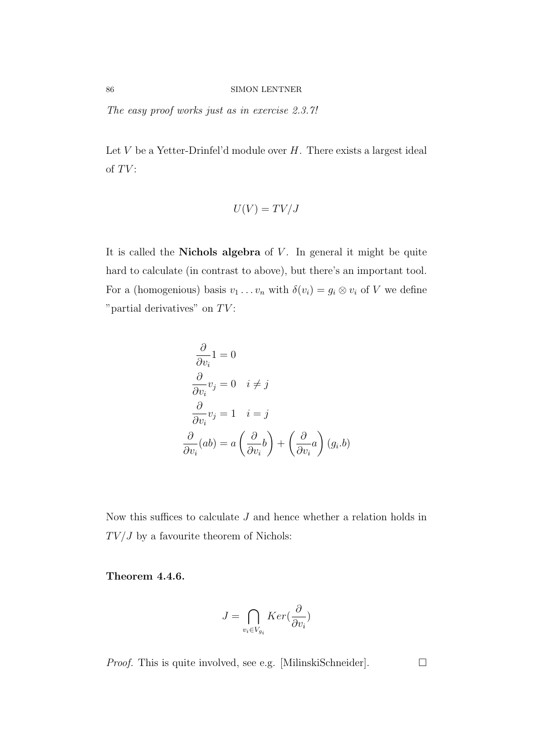The easy proof works just as in exercise 2.3.7!

Let  $V$  be a Yetter-Drinfel'd module over  $H$ . There exists a largest ideal of  $TV$ :

$$
U(V) = TV/J
$$

It is called the **Nichols algebra** of  $V$ . In general it might be quite hard to calculate (in contrast to above), but there's an important tool. For a (homogenious) basis  $v_1 \ldots v_n$  with  $\delta(v_i) = g_i \otimes v_i$  of V we define "partial derivatives" on  $TV$ :

$$
\frac{\partial}{\partial v_i} 1 = 0
$$
  
\n
$$
\frac{\partial}{\partial v_i} v_j = 0 \quad i \neq j
$$
  
\n
$$
\frac{\partial}{\partial v_i} v_j = 1 \quad i = j
$$
  
\n
$$
\frac{\partial}{\partial v_i} (ab) = a \left( \frac{\partial}{\partial v_i} b \right) + \left( \frac{\partial}{\partial v_i} a \right) (g_i.b)
$$

Now this suffices to calculate J and hence whether a relation holds in  $TV/J$  by a favourite theorem of Nichols:

Theorem 4.4.6.

$$
J = \bigcap_{v_i \in V_{g_i}} Ker(\frac{\partial}{\partial v_i})
$$

*Proof.* This is quite involved, see e.g. [MilinskiSchneider].  $\Box$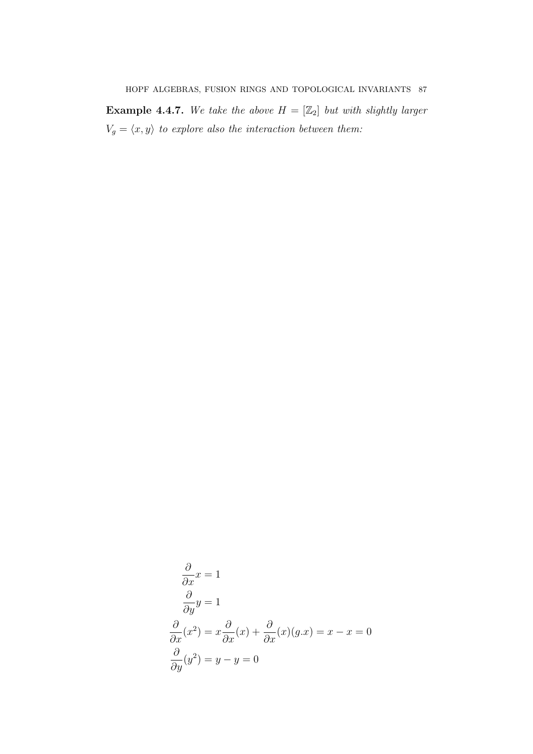**Example 4.4.7.** We take the above  $H = [\mathbb{Z}_2]$  but with slightly larger  $V_g = \langle x, y \rangle$  to explore also the interaction between them:

$$
\frac{\partial}{\partial x}x = 1
$$
  

$$
\frac{\partial}{\partial y}y = 1
$$
  

$$
\frac{\partial}{\partial x}(x^2) = x\frac{\partial}{\partial x}(x) + \frac{\partial}{\partial x}(x)(g.x) = x - x = 0
$$
  

$$
\frac{\partial}{\partial y}(y^2) = y - y = 0
$$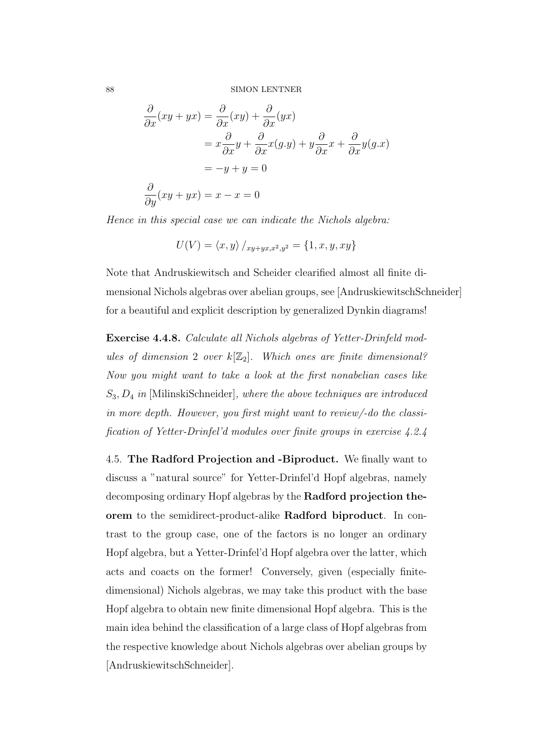$$
\frac{\partial}{\partial x}(xy + yx) = \frac{\partial}{\partial x}(xy) + \frac{\partial}{\partial x}(yx)
$$
  
\n
$$
= x\frac{\partial}{\partial x}y + \frac{\partial}{\partial x}x(g.y) + y\frac{\partial}{\partial x}x + \frac{\partial}{\partial x}y(g.x)
$$
  
\n
$$
= -y + y = 0
$$
  
\n
$$
\frac{\partial}{\partial y}(xy + yx) = x - x = 0
$$

Hence in this special case we can indicate the Nichols algebra:

$$
U(V) = \langle x, y \rangle /_{xy+yx,x^2,y^2} = \{1, x, y, xy\}
$$

Note that Andruskiewitsch and Scheider clearified almost all finite dimensional Nichols algebras over abelian groups, see [AndruskiewitschSchneider] for a beautiful and explicit description by generalized Dynkin diagrams!

Exercise 4.4.8. Calculate all Nichols algebras of Yetter-Drinfeld modules of dimension 2 over  $k[\mathbb{Z}_2]$ . Which ones are finite dimensional? Now you might want to take a look at the first nonabelian cases like  $S_3, D_4$  in [MilinskiSchneider], where the above techniques are introduced in more depth. However, you first might want to review/-do the classification of Yetter-Drinfel'd modules over finite groups in exercise 4.2.4

4.5. The Radford Projection and -Biproduct. We finally want to discuss a "natural source" for Yetter-Drinfel'd Hopf algebras, namely decomposing ordinary Hopf algebras by the Radford projection theorem to the semidirect-product-alike Radford biproduct. In contrast to the group case, one of the factors is no longer an ordinary Hopf algebra, but a Yetter-Drinfel'd Hopf algebra over the latter, which acts and coacts on the former! Conversely, given (especially finitedimensional) Nichols algebras, we may take this product with the base Hopf algebra to obtain new finite dimensional Hopf algebra. This is the main idea behind the classification of a large class of Hopf algebras from the respective knowledge about Nichols algebras over abelian groups by [AndruskiewitschSchneider].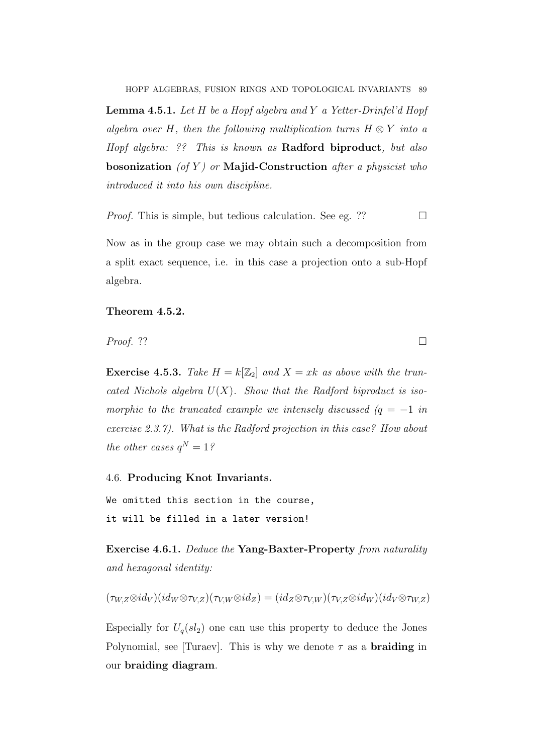**Lemma 4.5.1.** Let  $H$  be a Hopf algebra and  $Y$  a Yetter-Drinfel'd Hopf algebra over H, then the following multiplication turns  $H \otimes Y$  into a Hopf algebra: ?? This is known as Radford biproduct, but also bosonization (of Y) or Majid-Construction after a physicist who introduced it into his own discipline.

*Proof.* This is simple, but tedious calculation. See eg. ??

Now as in the group case we may obtain such a decomposition from a split exact sequence, i.e. in this case a projection onto a sub-Hopf algebra.

# Theorem 4.5.2.

*Proof.* ??

**Exercise 4.5.3.** Take  $H = k[\mathbb{Z}_2]$  and  $X = xk$  as above with the truncated Nichols algebra  $U(X)$ . Show that the Radford biproduct is isomorphic to the truncated example we intensely discussed  $(q = -1)$  in exercise 2.3.7). What is the Radford projection in this case? How about the other cases  $q^N = 1$ ?

4.6. Producing Knot Invariants.

We omitted this section in the course, it will be filled in a later version!

Exercise 4.6.1. Deduce the Yang-Baxter-Property from naturality and hexagonal identity:

$$
(\tau_{W,Z} \otimes id_V)(id_W \otimes \tau_{V,Z})(\tau_{V,W} \otimes id_Z) = (id_Z \otimes \tau_{V,W})(\tau_{V,Z} \otimes id_W)(id_V \otimes \tau_{W,Z})
$$

Especially for  $U_q(sl_2)$  one can use this property to deduce the Jones Polynomial, see [Turaev]. This is why we denote  $\tau$  as a **braiding** in our braiding diagram.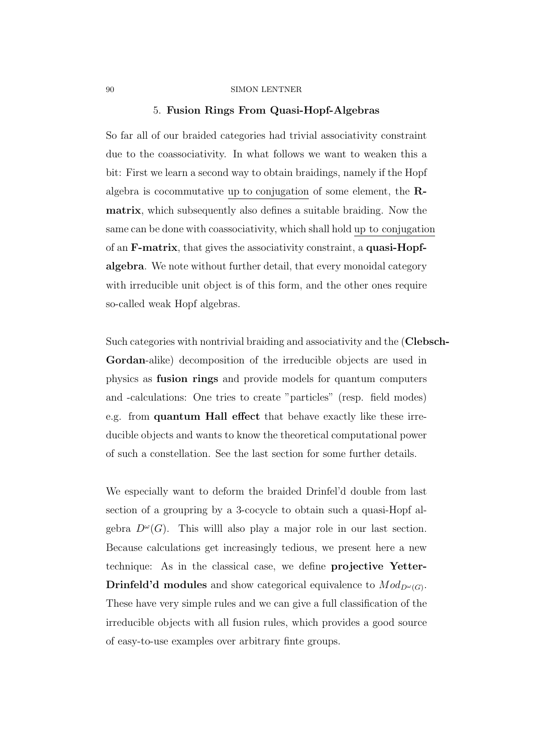### 5. Fusion Rings From Quasi-Hopf-Algebras

So far all of our braided categories had trivial associativity constraint due to the coassociativity. In what follows we want to weaken this a bit: First we learn a second way to obtain braidings, namely if the Hopf algebra is cocommutative up to conjugation of some element, the Rmatrix, which subsequently also defines a suitable braiding. Now the same can be done with coassociativity, which shall hold up to conjugation of an F-matrix, that gives the associativity constraint, a quasi-Hopfalgebra. We note without further detail, that every monoidal category with irreducible unit object is of this form, and the other ones require so-called weak Hopf algebras.

Such categories with nontrivial braiding and associativity and the (Clebsch-Gordan-alike) decomposition of the irreducible objects are used in physics as fusion rings and provide models for quantum computers and -calculations: One tries to create "particles" (resp. field modes) e.g. from quantum Hall effect that behave exactly like these irreducible objects and wants to know the theoretical computational power of such a constellation. See the last section for some further details.

We especially want to deform the braided Drinfel'd double from last section of a groupring by a 3-cocycle to obtain such a quasi-Hopf algebra  $D^{\omega}(G)$ . This will also play a major role in our last section. Because calculations get increasingly tedious, we present here a new technique: As in the classical case, we define projective Yetter-**Drinfeld'd modules** and show categorical equivalence to  $Mod_{D^{\omega}(G)}$ . These have very simple rules and we can give a full classification of the irreducible objects with all fusion rules, which provides a good source of easy-to-use examples over arbitrary finte groups.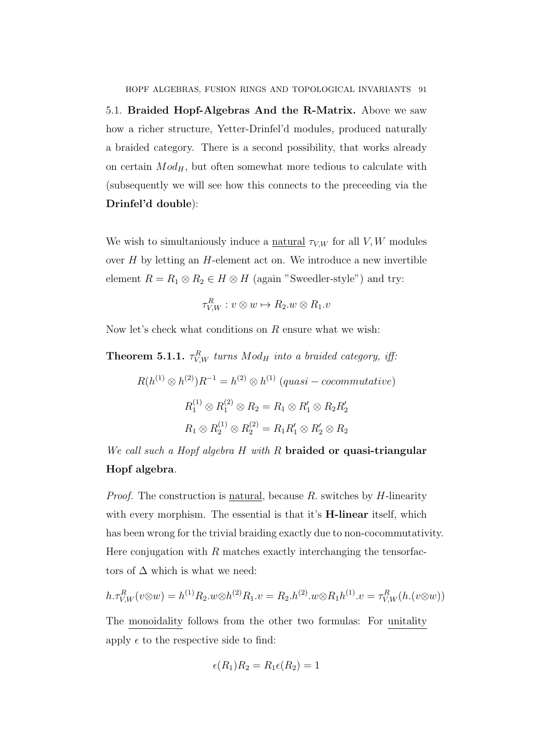5.1. Braided Hopf-Algebras And the R-Matrix. Above we saw how a richer structure, Yetter-Drinfel'd modules, produced naturally a braided category. There is a second possibility, that works already on certain  $Mod_H$ , but often somewhat more tedious to calculate with (subsequently we will see how this connects to the preceeding via the Drinfel'd double):

We wish to simultaniously induce a <u>natural</u>  $\tau_{V,W}$  for all V, W modules over  $H$  by letting an  $H$ -element act on. We introduce a new invertible element  $R = R_1 \otimes R_2 \in H \otimes H$  (again "Sweedler-style") and try:

$$
\tau_{V,W}^R : v \otimes w \mapsto R_2.w \otimes R_1.v
$$

Now let's check what conditions on  $R$  ensure what we wish:

**Theorem 5.1.1.**  $\tau_{V,W}^R$  turns  $Mod_H$  into a braided category, iff.

$$
R(h^{(1)} \otimes h^{(2)})R^{-1} = h^{(2)} \otimes h^{(1)} \ (quasi - cocommutative)
$$

$$
R_1^{(1)} \otimes R_1^{(2)} \otimes R_2 = R_1 \otimes R_1' \otimes R_2 R_2'
$$

$$
R_1 \otimes R_2^{(1)} \otimes R_2^{(2)} = R_1 R_1' \otimes R_2' \otimes R_2
$$

We call such a Hopf algebra H with R braided or quasi-triangular Hopf algebra.

*Proof.* The construction is natural, because  $R$ , switches by  $H$ -linearity with every morphism. The essential is that it's **H-linear** itself, which has been wrong for the trivial braiding exactly due to non-cocommutativity. Here conjugation with  $R$  matches exactly interchanging the tensorfactors of  $\Delta$  which is what we need:

$$
h.\tau_{V,W}^R(v \otimes w) = h^{(1)}R_2.w \otimes h^{(2)}R_1.v = R_2.h^{(2)}.w \otimes R_1 h^{(1)}.v = \tau_{V,W}^R(h.(v \otimes w))
$$

The monoidality follows from the other two formulas: For unitality apply  $\epsilon$  to the respective side to find:

$$
\epsilon(R_1)R_2 = R_1 \epsilon(R_2) = 1
$$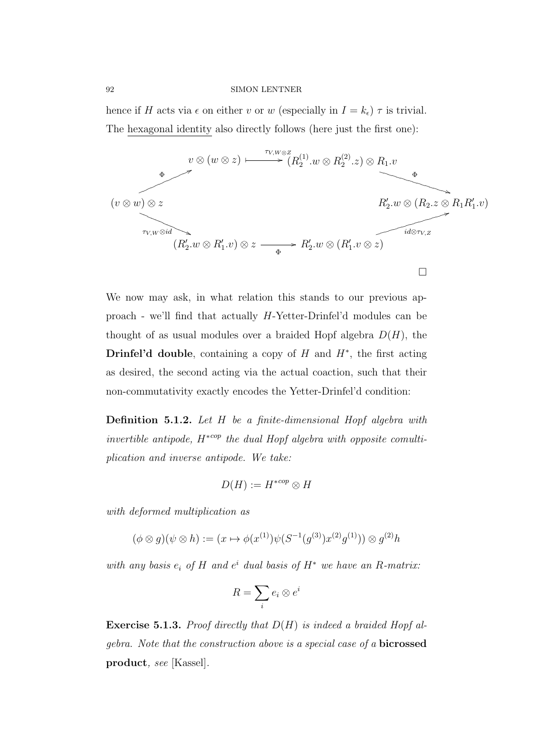hence if H acts via  $\epsilon$  on either v or w (especially in  $I = k_{\epsilon}$ )  $\tau$  is trivial. The hexagonal identity also directly follows (here just the first one):



We now may ask, in what relation this stands to our previous approach - we'll find that actually H-Yetter-Drinfel'd modules can be thought of as usual modules over a braided Hopf algebra  $D(H)$ , the Drinfel'd double, containing a copy of  $H$  and  $H^*$ , the first acting as desired, the second acting via the actual coaction, such that their non-commutativity exactly encodes the Yetter-Drinfel'd condition:

Definition 5.1.2. Let H be a finite-dimensional Hopf algebra with invertible antipode,  $H^{*cop}$  the dual Hopf algebra with opposite comultiplication and inverse antipode. We take:

$$
D(H) := H^{*cop} \otimes H
$$

with deformed multiplication as

$$
(\phi \otimes g)(\psi \otimes h) := (x \mapsto \phi(x^{(1)})\psi(S^{-1}(g^{(3)})x^{(2)}g^{(1)})) \otimes g^{(2)}h
$$

with any basis  $e_i$  of H and  $e^i$  dual basis of  $H^*$  we have an R-matrix:

$$
R = \sum_{i} e_i \otimes e^i
$$

**Exercise 5.1.3.** Proof directly that  $D(H)$  is indeed a braided Hopf algebra. Note that the construction above is a special case of a bicrossed product, see [Kassel].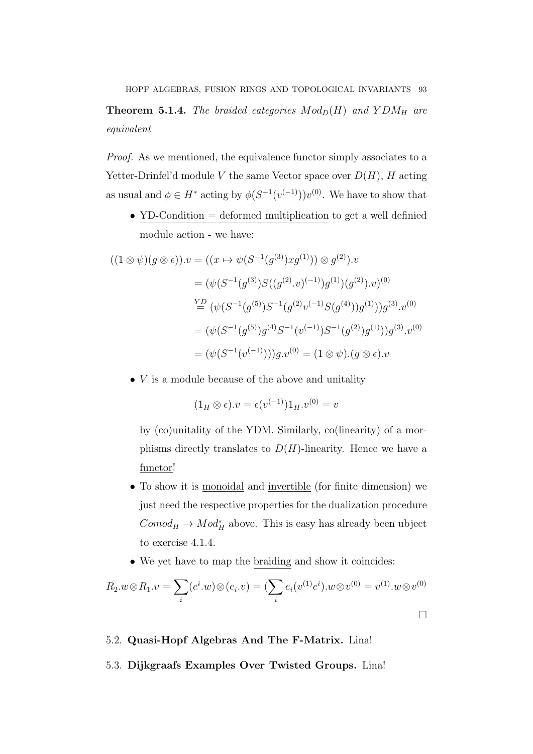# **Theorem 5.1.4.** The braided categories  $Mod_D(H)$  and  $YDM_H$  are equivalent

Proof. As we mentioned, the equivalence functor simply associates to a Yetter-Drinfel'd module V the same Vector space over  $D(H)$ , H acting as usual and  $\phi \in H^*$  acting by  $\phi(S^{-1}(v^{(-1)}))v^{(0)}$ . We have to show that

• YD-Condition = deformed multiplication to get a well definied module action - we have:

$$
((1 \otimes \psi)(g \otimes \epsilon)).v = ((x \mapsto \psi(S^{-1}(g^{(3)})xg^{(1)})) \otimes g^{(2)}).v
$$
  
\n
$$
= (\psi(S^{-1}(g^{(3)})S((g^{(2)}.v)^{(-1)})g^{(1)})(g^{(2)}).v)^{(0)}
$$
  
\n
$$
\stackrel{YD}{=} (\psi(S^{-1}(g^{(5)})S^{-1}(g^{(2)}v^{(-1)}S(g^{(4)}))g^{(1)}))g^{(3)}.v^{(0)}
$$
  
\n
$$
= (\psi(S^{-1}(g^{(5)})g^{(4)}S^{-1}(v^{(-1)})S^{-1}(g^{(2)})g^{(1)}))g^{(3)}.v^{(0)}
$$
  
\n
$$
= (\psi(S^{-1}(v^{(-1)})))g.v^{(0)} = (1 \otimes \psi).(g \otimes \epsilon).v
$$

 $\bullet$  V is a module because of the above and unitality

$$
(1_H \otimes \epsilon).v = \epsilon(v^{(-1)})1_H.v^{(0)} = v
$$

by (co)unitality of the YDM. Similarly, co(linearity) of a morphisms directly translates to  $D(H)$ -linearity. Hence we have a functor!

- To show it is monoidal and invertible (for finite dimension) we just need the respective properties for the dualization procedure  $Comod_H \to Mod_H^*$  above. This is easy has already been ubject to exercise 4.1.4.
- We yet have to map the braiding and show it coincides:

$$
R_2.w \otimes R_1.v = \sum_i (e^i.w) \otimes (e_i.v) = (\sum_i e_i(v^{(1)}e^i).w \otimes v^{(0)} = v^{(1)}.w \otimes v^{(0)}
$$

# 5.2. Quasi-Hopf Algebras And The F-Matrix. Lina!

# 5.3. Dijkgraafs Examples Over Twisted Groups. Lina!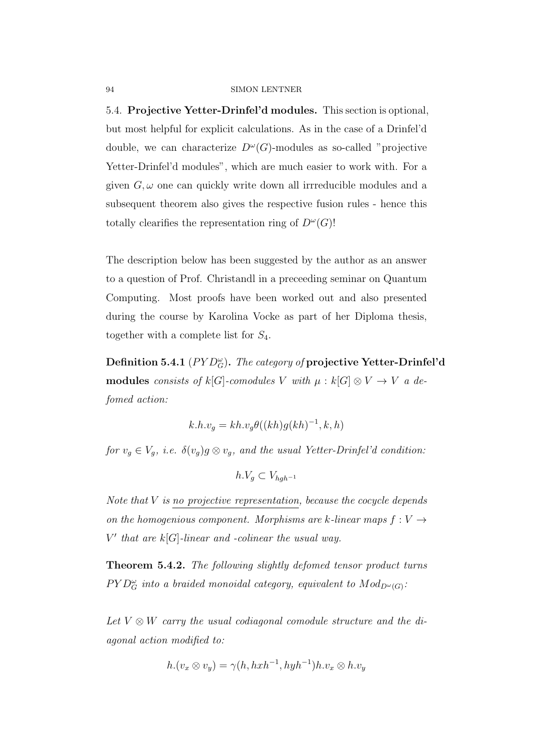5.4. Projective Yetter-Drinfel'd modules. This section is optional, but most helpful for explicit calculations. As in the case of a Drinfel'd double, we can characterize  $D^{\omega}(G)$ -modules as so-called "projective Yetter-Drinfel'd modules", which are much easier to work with. For a given  $G, \omega$  one can quickly write down all irrreducible modules and a subsequent theorem also gives the respective fusion rules - hence this totally clearifies the representation ring of  $D^{\omega}(G)$ !

The description below has been suggested by the author as an answer to a question of Prof. Christandl in a preceeding seminar on Quantum Computing. Most proofs have been worked out and also presented during the course by Karolina Vocke as part of her Diploma thesis, together with a complete list for  $S_4$ .

Definition 5.4.1  $(PYD_{G}^{\omega})$ . The category of projective Yetter-Drinfel'd modules consists of  $k[G]$ -comodules V with  $\mu : k[G] \otimes V \rightarrow V$  a defomed action:

$$
k.h.v_g = kh.v_g\theta((kh)g(kh)^{-1}, k, h)
$$

for  $v_g \in V_g$ , i.e.  $\delta(v_g)g \otimes v_g$ , and the usual Yetter-Drinfel'd condition:

$$
h.V_g \subset V_{hgh^{-1}}
$$

Note that  $V$  is no projective representation, because the cocycle depends on the homogenious component. Morphisms are k-linear maps  $f: V \rightarrow$  $V'$  that are  $k[G]$ -linear and -colinear the usual way.

Theorem 5.4.2. The following slightly defomed tensor product turns  $P Y D_G^{\omega}$  into a braided monoidal category, equivalent to  $Mod_{D^{\omega}(G)}$ .

Let  $V \otimes W$  carry the usual codiagonal comodule structure and the diagonal action modified to:

$$
h.(v_x \otimes v_y) = \gamma(h, h x h^{-1}, h y h^{-1}) h.v_x \otimes h.v_y
$$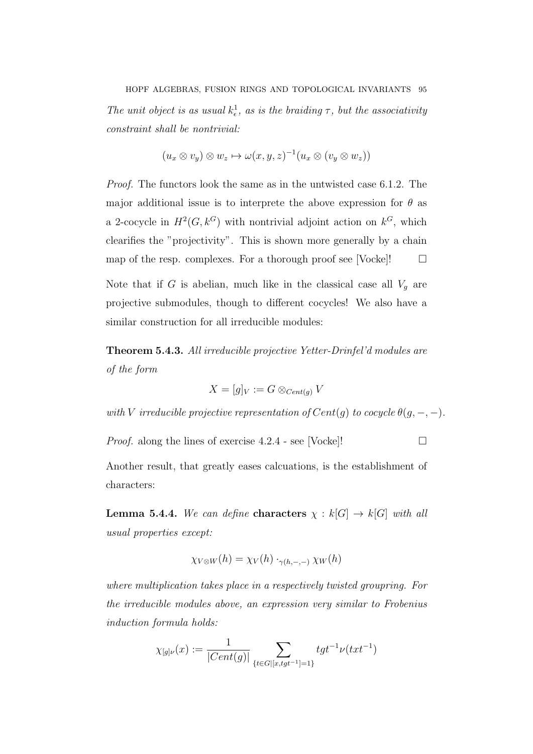The unit object is as usual  $k_{\epsilon}^1$ , as is the braiding  $\tau$ , but the associativity constraint shall be nontrivial:

$$
(u_x \otimes v_y) \otimes w_z \mapsto \omega(x, y, z)^{-1} (u_x \otimes (v_y \otimes w_z))
$$

Proof. The functors look the same as in the untwisted case 6.1.2. The major additional issue is to interprete the above expression for  $\theta$  as a 2-cocycle in  $H^2(G, k^G)$  with nontrivial adjoint action on  $k^G$ , which clearifies the "projectivity". This is shown more generally by a chain map of the resp. complexes. For a thorough proof see [Vocke]! $\Box$ 

Note that if G is abelian, much like in the classical case all  $V_g$  are projective submodules, though to different cocycles! We also have a similar construction for all irreducible modules:

Theorem 5.4.3. All irreducible projective Yetter-Drinfel'd modules are of the form

$$
X = [g]_V := G \otimes_{Cent(g)} V
$$

with V irreducible projective representation of  $Cent(g)$  to cocycle  $\theta(g, -, -)$ .

*Proof.* along the lines of exercise  $4.2.4$  - see [Vocke]!

Another result, that greatly eases calcuations, is the establishment of characters:

**Lemma 5.4.4.** We can define **characters**  $\chi : k[G] \to k[G]$  with all usual properties except:

$$
\chi_{V\otimes W}(h) = \chi_V(h) \cdot_{\gamma(h,-,-)} \chi_W(h)
$$

where multiplication takes place in a respectively twisted groupring. For the irreducible modules above, an expression very similar to Frobenius induction formula holds:

$$
\chi_{[g]\nu}(x):=\frac{1}{|Cent(g)|}\sum_{\{t\in G|[x,tgt^{-1}]=1\}}tgt^{-1}\nu (txt^{-1})
$$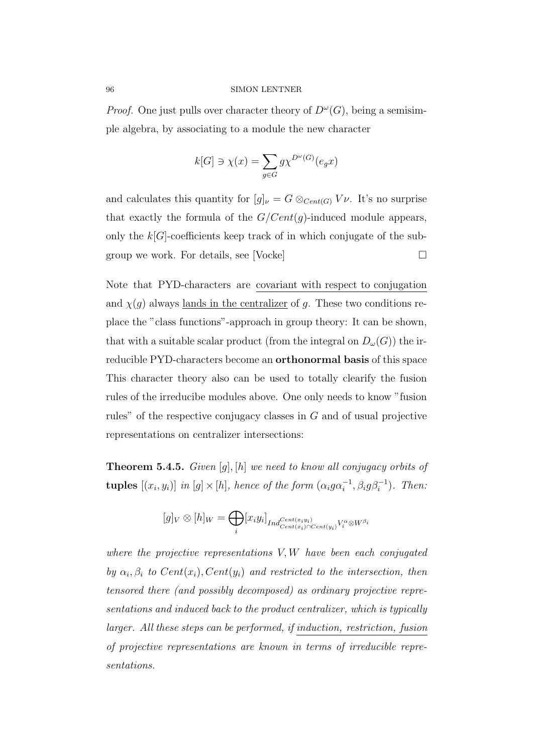*Proof.* One just pulls over character theory of  $D^{\omega}(G)$ , being a semisimple algebra, by associating to a module the new character

$$
k[G] \ni \chi(x) = \sum_{g \in G} g \chi^{D^{\omega}(G)}(e_g x)
$$

and calculates this quantity for  $[g]_{\nu} = G \otimes_{Cent(G)} V_{\nu}$ . It's no surprise that exactly the formula of the  $G/Cent(g)$ -induced module appears, only the  $k[G]$ -coefficients keep track of in which conjugate of the subgroup we work. For details, see [Vocke]  $\Box$ 

Note that PYD-characters are covariant with respect to conjugation and  $\chi(g)$  always <u>lands in the centralizer</u> of g. These two conditions replace the "class functions"-approach in group theory: It can be shown, that with a suitable scalar product (from the integral on  $D_{\omega}(G)$ ) the irreducible PYD-characters become an orthonormal basis of this space This character theory also can be used to totally clearify the fusion rules of the irreducibe modules above. One only needs to know "fusion rules" of the respective conjugacy classes in G and of usual projective representations on centralizer intersections:

**Theorem 5.4.5.** Given  $[g]$ ,  $[h]$  we need to know all conjugacy orbits of **tuples**  $[(x_i, y_i)]$  in  $[g] \times [h]$ , hence of the form  $(\alpha_i g \alpha_i^{-1}, \beta_i g \beta_i^{-1})$ . Then:

$$
[g]_V \otimes [h]_W = \bigoplus_i [x_i y_i]_{Ind_{Cent(x_i)\cap Cent(y_i)}^{Cent(x_i y_i)} V_i^{\alpha} \otimes W^{\beta_i}}
$$

where the projective representations  $V, W$  have been each conjugated by  $\alpha_i, \beta_i$  to  $Cent(x_i), Cent(y_i)$  and restricted to the intersection, then tensored there (and possibly decomposed) as ordinary projective representations and induced back to the product centralizer, which is typically larger. All these steps can be performed, if induction, restriction, fusion of projective representations are known in terms of irreducible representations.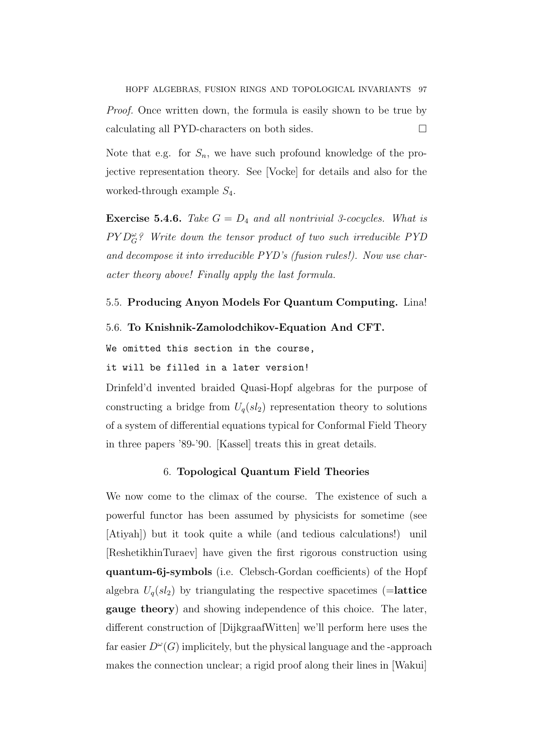Note that e.g. for  $S_n$ , we have such profound knowledge of the projective representation theory. See [Vocke] for details and also for the worked-through example  $S_4$ .

**Exercise 5.4.6.** Take  $G = D_4$  and all nontrivial 3-cocycles. What is  $P Y D_G^{\omega}$ ? Write down the tensor product of two such irreducible PYD and decompose it into irreducible PYD's (fusion rules!). Now use character theory above! Finally apply the last formula.

# 5.5. Producing Anyon Models For Quantum Computing. Lina!

### 5.6. To Knishnik-Zamolodchikov-Equation And CFT.

We omitted this section in the course,

it will be filled in a later version!

Drinfeld'd invented braided Quasi-Hopf algebras for the purpose of constructing a bridge from  $U_q(sl_2)$  representation theory to solutions of a system of differential equations typical for Conformal Field Theory in three papers '89-'90. [Kassel] treats this in great details.

### 6. Topological Quantum Field Theories

We now come to the climax of the course. The existence of such a powerful functor has been assumed by physicists for sometime (see [Atiyah]) but it took quite a while (and tedious calculations!) unil [ReshetikhinTuraev] have given the first rigorous construction using quantum-6j-symbols (i.e. Clebsch-Gordan coefficients) of the Hopf algebra  $U_q(sl_2)$  by triangulating the respective spacetimes (=lattice gauge theory) and showing independence of this choice. The later, different construction of [DijkgraafWitten] we'll perform here uses the far easier  $D^{\omega}(G)$  implicitely, but the physical language and the -approach makes the connection unclear; a rigid proof along their lines in [Wakui]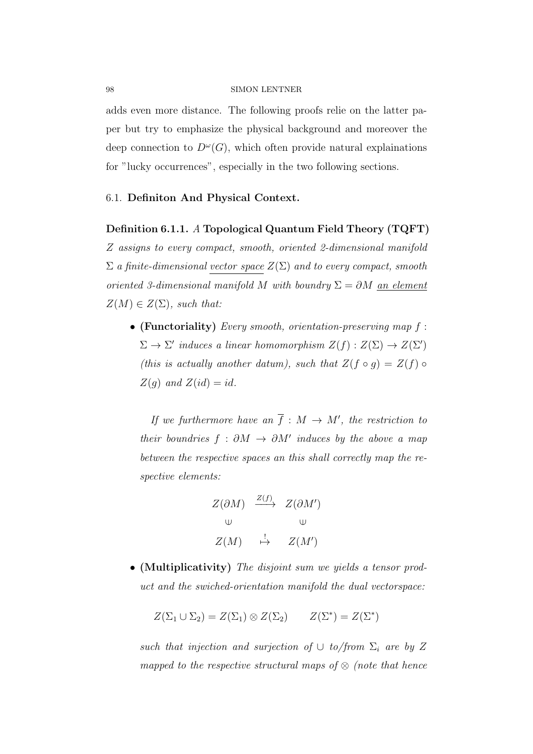adds even more distance. The following proofs relie on the latter paper but try to emphasize the physical background and moreover the deep connection to  $D^{\omega}(G)$ , which often provide natural explainations for "lucky occurrences", especially in the two following sections.

### 6.1. Definiton And Physical Context.

### Definition 6.1.1. A Topological Quantum Field Theory (TQFT)

Z assigns to every compact, smooth, oriented 2-dimensional manifold  $\Sigma$  a finite-dimensional vector space  $Z(\Sigma)$  and to every compact, smooth oriented 3-dimensional manifold M with boundry  $\Sigma = \partial M$  an element  $Z(M) \in Z(\Sigma)$ , such that:

• (Functoriality) Every smooth, orientation-preserving map  $f$ :  $\Sigma \to \Sigma'$  induces a linear homomorphism  $Z(f) : Z(\Sigma) \to Z(\Sigma')$ (this is actually another datum), such that  $Z(f \circ g) = Z(f) \circ g$  $Z(g)$  and  $Z(id) = id$ .

If we furthermore have an  $\overline{f}: M \to M'$ , the restriction to their boundries  $f : \partial M \to \partial M'$  induces by the above a map between the respective spaces an this shall correctly map the respective elements:

$$
Z(\partial M) \xrightarrow{Z(f)} Z(\partial M')
$$
  
\n
$$
\cup \qquad \qquad \cup
$$
  
\n
$$
Z(M) \xrightarrow{\downarrow} Z(M')
$$

• (Multiplicativity) The disjoint sum we yields a tensor product and the swiched-orientation manifold the dual vectorspace:

$$
Z(\Sigma_1 \cup \Sigma_2) = Z(\Sigma_1) \otimes Z(\Sigma_2) \qquad Z(\Sigma^*) = Z(\Sigma^*)
$$

such that injection and surjection of  $\cup$  to/from  $\Sigma_i$  are by Z mapped to the respective structural maps of  $\otimes$  (note that hence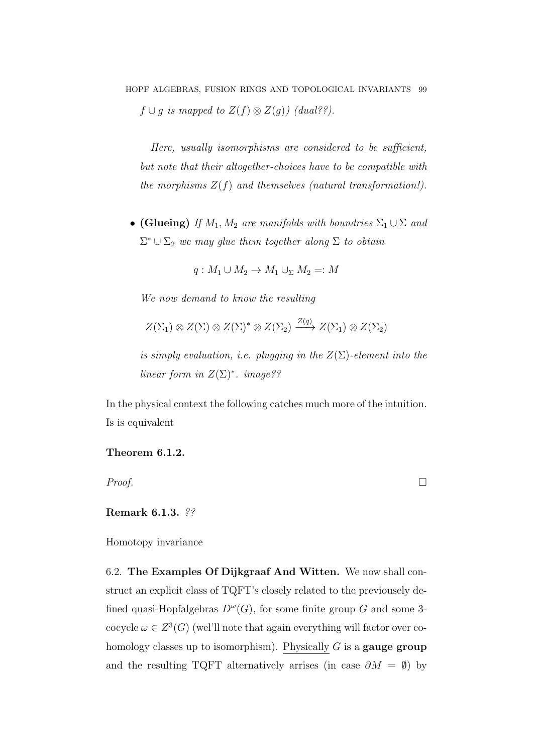Here, usually isomorphisms are considered to be sufficient, but note that their altogether-choices have to be compatible with the morphisms  $Z(f)$  and themselves (natural transformation!).

• (Glueing) If  $M_1, M_2$  are manifolds with boundries  $\Sigma_1 \cup \Sigma$  and  $\Sigma^* \cup \Sigma_2$  we may glue them together along  $\Sigma$  to obtain

$$
q: M_1 \cup M_2 \to M_1 \cup_{\Sigma} M_2 =: M
$$

We now demand to know the resulting

$$
Z(\Sigma_1) \otimes Z(\Sigma) \otimes Z(\Sigma)^* \otimes Z(\Sigma_2) \xrightarrow{Z(q)} Z(\Sigma_1) \otimes Z(\Sigma_2)
$$

is simply evaluation, i.e. plugging in the  $Z(\Sigma)$ -element into the linear form in  $Z(\Sigma)^*$ . image??

In the physical context the following catches much more of the intuition. Is is equivalent

Theorem 6.1.2.

 $Proof.$ 

Remark 6.1.3. ??

Homotopy invariance

6.2. The Examples Of Dijkgraaf And Witten. We now shall construct an explicit class of TQFT's closely related to the previousely defined quasi-Hopfalgebras  $D^{\omega}(G)$ , for some finite group G and some 3cocycle  $\omega \in Z^3(G)$  (wel'll note that again everything will factor over cohomology classes up to isomorphism). Physically  $G$  is a **gauge group** and the resulting TQFT alternatively arrises (in case  $\partial M = \emptyset$ ) by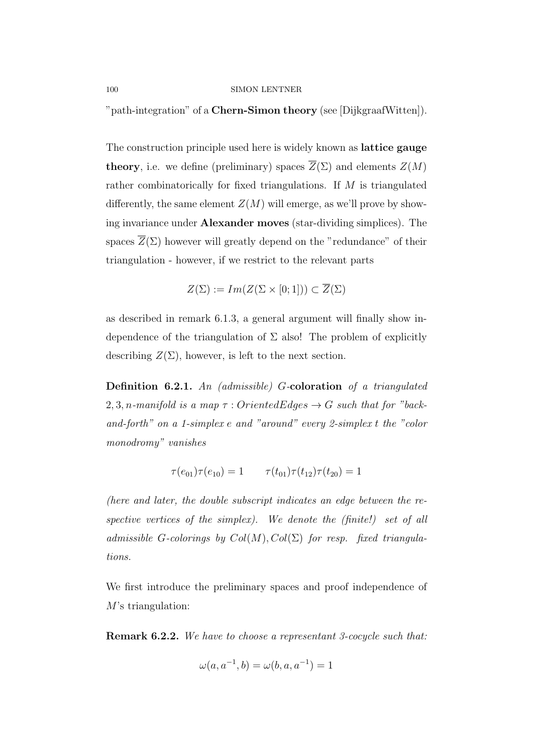"path-integration" of a Chern-Simon theory (see [DijkgraafWitten]).

The construction principle used here is widely known as lattice gauge **theory**, i.e. we define (preliminary) spaces  $\overline{Z}(\Sigma)$  and elements  $Z(M)$ rather combinatorically for fixed triangulations. If M is triangulated differently, the same element  $Z(M)$  will emerge, as we'll prove by showing invariance under Alexander moves (star-dividing simplices). The spaces  $\overline{Z}(\Sigma)$  however will greatly depend on the "redundance" of their triangulation - however, if we restrict to the relevant parts

$$
Z(\Sigma) := Im(Z(\Sigma \times [0;1])) \subset \overline{Z}(\Sigma)
$$

as described in remark 6.1.3, a general argument will finally show independence of the triangulation of  $\Sigma$  also! The problem of explicitly describing  $Z(\Sigma)$ , however, is left to the next section.

Definition 6.2.1. An (admissible) G-coloration of a triangulated 2, 3, n-manifold is a map  $\tau$ : OrientedEdges  $\rightarrow G$  such that for "backand-forth" on a 1-simplex e and "around" every 2-simplex t the "color monodromy" vanishes

$$
\tau(e_{01})\tau(e_{10}) = 1 \qquad \tau(t_{01})\tau(t_{12})\tau(t_{20}) = 1
$$

(here and later, the double subscript indicates an edge between the respective vertices of the simplex). We denote the (finite!) set of all admissible G-colorings by  $Col(M), Col(\Sigma)$  for resp. fixed triangulations.

We first introduce the preliminary spaces and proof independence of M's triangulation:

Remark 6.2.2. We have to choose a representant 3-cocycle such that:

$$
\omega(a, a^{-1}, b) = \omega(b, a, a^{-1}) = 1
$$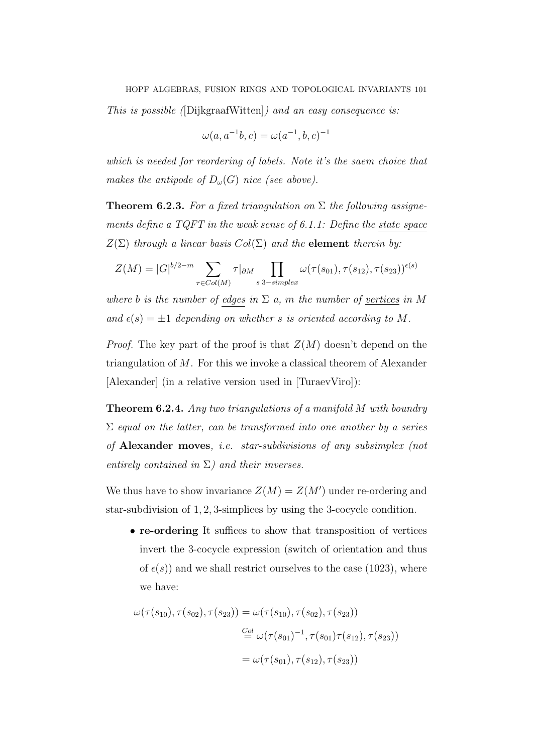This is possible ([DijkgraafWitten]) and an easy consequence is:

$$
\omega(a, a^{-1}b, c) = \omega(a^{-1}, b, c)^{-1}
$$

which is needed for reordering of labels. Note it's the saem choice that makes the antipode of  $D_{\omega}(G)$  nice (see above).

**Theorem 6.2.3.** For a fixed triangulation on  $\Sigma$  the following assignements define a TQFT in the weak sense of 6.1.1: Define the state space  $\overline{Z}(\Sigma)$  through a linear basis  $Col(\Sigma)$  and the element therein by:

$$
Z(M) = |G|^{b/2-m} \sum_{\tau \in Col(M)} \tau|_{\partial M} \prod_{s \text{ 3-simplex}} \omega(\tau(s_{01}), \tau(s_{12}), \tau(s_{23}))^{\epsilon(s)}
$$

where b is the number of edges in  $\Sigma$  a, m the number of vertices in M and  $\epsilon(s) = \pm 1$  depending on whether s is oriented according to M.

*Proof.* The key part of the proof is that  $Z(M)$  doesn't depend on the triangulation of M. For this we invoke a classical theorem of Alexander [Alexander] (in a relative version used in [TuraevViro]):

Theorem 6.2.4. Any two triangulations of a manifold M with boundry  $\Sigma$  equal on the latter, can be transformed into one another by a series of Alexander moves, i.e. star-subdivisions of any subsimplex (not entirely contained in  $\Sigma$ ) and their inverses.

We thus have to show invariance  $Z(M) = Z(M')$  under re-ordering and star-subdivision of 1, 2, 3-simplices by using the 3-cocycle condition.

• re-ordering It suffices to show that transposition of vertices invert the 3-cocycle expression (switch of orientation and thus of  $\epsilon(s)$ ) and we shall restrict ourselves to the case (1023), where we have:

$$
\omega(\tau(s_{10}), \tau(s_{02}), \tau(s_{23})) = \omega(\tau(s_{10}), \tau(s_{02}), \tau(s_{23}))
$$
  

$$
\stackrel{Col}{=} \omega(\tau(s_{01})^{-1}, \tau(s_{01})\tau(s_{12}), \tau(s_{23}))
$$
  

$$
= \omega(\tau(s_{01}), \tau(s_{12}), \tau(s_{23}))
$$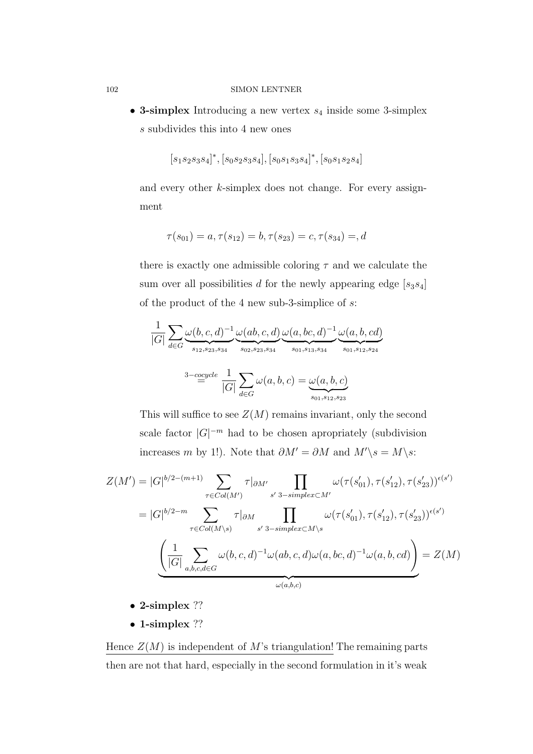• 3-simplex Introducing a new vertex  $s_4$  inside some 3-simplex s subdivides this into 4 new ones

$$
\big[s_1s_2s_3s_4\big]^*, \big[s_0s_2s_3s_4\big], \big[s_0s_1s_3s_4\big]^*, \big[s_0s_1s_2s_4\big]
$$

and every other k-simplex does not change. For every assignment

$$
\tau(s_{01}) = a, \tau(s_{12}) = b, \tau(s_{23}) = c, \tau(s_{34}) = d
$$

there is exactly one admissible coloring  $\tau$  and we calculate the sum over all possibilities d for the newly appearing edge  $[s_3s_4]$ of the product of the 4 new sub-3-simplice of s:

$$
\frac{1}{|G|} \sum_{d \in G} \underbrace{\omega(b, c, d)^{-1}}_{s_{12, s_{23, s_{34}}}} \underbrace{\omega(ab, c, d)}_{s_{02, s_{23, s_{34}}}} \underbrace{\omega(a, bc, d)^{-1}}_{s_{01, s_{13, s_{34}}}} \underbrace{\omega(a, b, cd)}_{s_{01, s_{12, s_{24}}}} \underbrace{\omega(a, b, cd)}_{s_{01, s_{12, s_{24}}}}
$$

This will suffice to see  $Z(M)$  remains invariant, only the second scale factor  $|G|^{-m}$  had to be chosen apropriately (subdivision increases m by 1!). Note that  $\partial M' = \partial M$  and  $M'\gtrsim = M\gtrsim s$ :

$$
Z(M') = |G|^{b/2 - (m+1)} \sum_{\tau \in Col(M')} \tau|_{\partial M'} \prod_{s' \text{ 3-simplex} \subset M'} \omega(\tau(s'_{01}), \tau(s'_{12}), \tau(s'_{23}))^{\epsilon(s')}
$$

$$
= |G|^{b/2 - m} \sum_{\tau \in Col(M \setminus s)} \tau|_{\partial M} \prod_{s' \text{ 3-simplex} \subset M \setminus s} \omega(\tau(s'_{01}), \tau(s'_{12}), \tau(s'_{23}))^{\epsilon(s')}
$$

$$
\underbrace{\left(\frac{1}{|G|} \sum_{a,b,c,d \in G} \omega(b,c,d)^{-1} \omega(ab,c,d) \omega(a,bc,d)^{-1} \omega(a,b,cd)}_{\omega(a,b,c)}\right)}_{\omega(a,b,c)}
$$

- 2-simplex ??
- 1-simplex ??

Hence  $Z(M)$  is independent of M's triangulation! The remaining parts then are not that hard, especially in the second formulation in it's weak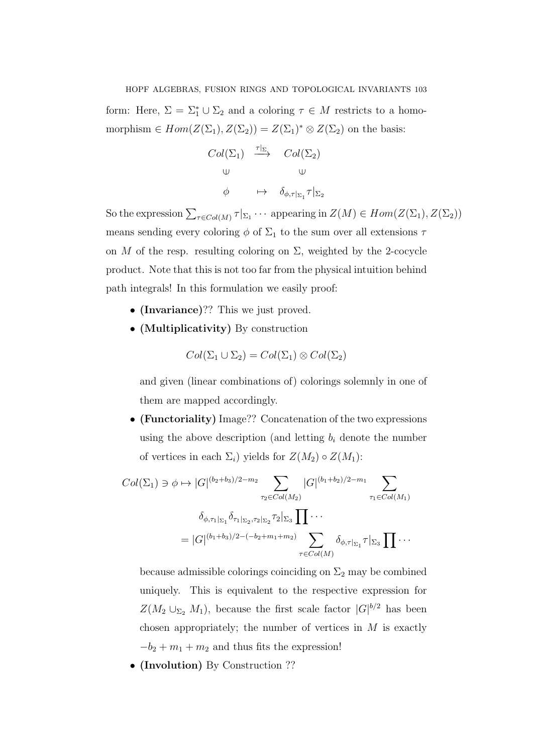form: Here,  $\Sigma = \Sigma_1^* \cup \Sigma_2$  and a coloring  $\tau \in M$  restricts to a homomorphism  $\in Hom(Z(\Sigma_1), Z(\Sigma_2)) = Z(\Sigma_1)^* \otimes Z(\Sigma_2)$  on the basis:

$$
Col(\Sigma_1) \xrightarrow{\tau|_{\Sigma}} Col(\Sigma_2)
$$
  
\n
$$
\cup \qquad \qquad \cup
$$
  
\n
$$
\phi \qquad \mapsto \qquad \delta_{\phi,\tau|_{\Sigma_1}} \tau|_{\Sigma_2}
$$

So the expression  $\sum_{\tau \in Col(M)} \tau |_{\Sigma_1} \cdots$  appearing in  $Z(M) \in Hom(Z(\Sigma_1), Z(\Sigma_2))$ means sending every coloring  $\phi$  of  $\Sigma_1$  to the sum over all extensions  $\tau$ on M of the resp. resulting coloring on  $\Sigma$ , weighted by the 2-cocycle product. Note that this is not too far from the physical intuition behind path integrals! In this formulation we easily proof:

- (Invariance)?? This we just proved.
- (Multiplicativity) By construction

$$
Col(\Sigma_1 \cup \Sigma_2) = Col(\Sigma_1) \otimes Col(\Sigma_2)
$$

and given (linear combinations of) colorings solemnly in one of them are mapped accordingly.

• (Functoriality) Image?? Concatenation of the two expressions using the above description (and letting  $b_i$  denote the number of vertices in each  $\Sigma_i$ ) yields for  $Z(M_2) \circ Z(M_1)$ :

$$
Col(\Sigma_1) \ni \phi \mapsto |G|^{(b_2+b_3)/2-m_2} \sum_{\tau_2 \in Col(M_2)} |G|^{(b_1+b_2)/2-m_1} \sum_{\tau_1 \in Col(M_1)} \n\delta_{\phi, \tau_1|_{\Sigma_1}} \delta_{\tau_1|_{\Sigma_2}, \tau_2|_{\Sigma_2}} \tau_2|_{\Sigma_3} \prod \cdots \n= |G|^{(b_1+b_3)/2 - (-b_2+m_1+m_2)} \sum_{\tau \in Col(M)} \delta_{\phi, \tau|_{\Sigma_1}} \tau|_{\Sigma_3} \prod \cdots
$$

because admissible colorings coinciding on  $\Sigma_2$  may be combined uniquely. This is equivalent to the respective expression for  $Z(M_2 \cup_{\Sigma_2} M_1)$ , because the first scale factor  $|G|^{b/2}$  has been chosen appropriately; the number of vertices in  $M$  is exactly  $-b_2 + m_1 + m_2$  and thus fits the expression!

• (Involution) By Construction ??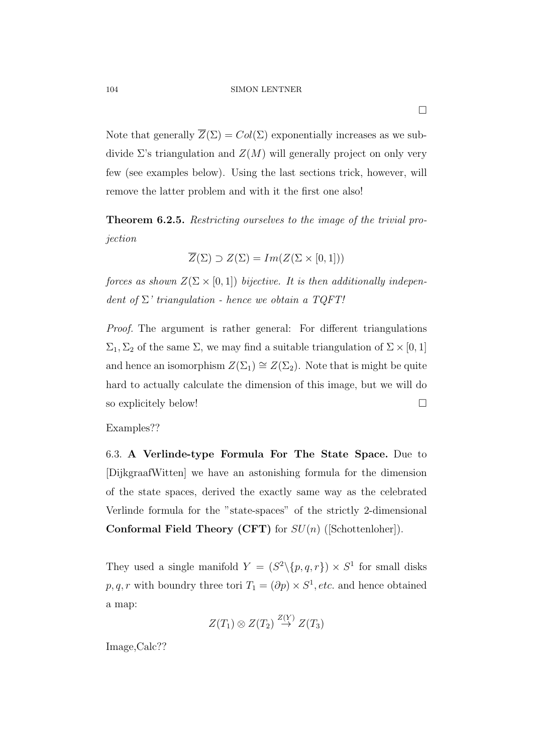Note that generally  $\overline{Z}(\Sigma) = Col(\Sigma)$  exponentially increases as we subdivide  $\Sigma$ 's triangulation and  $Z(M)$  will generally project on only very few (see examples below). Using the last sections trick, however, will remove the latter problem and with it the first one also!

Theorem 6.2.5. Restricting ourselves to the image of the trivial projection

$$
\overline{Z}(\Sigma) \supset Z(\Sigma) = Im(Z(\Sigma \times [0,1]))
$$

forces as shown  $Z(\Sigma \times [0,1])$  bijective. It is then additionally independent of  $\Sigma$ ' triangulation - hence we obtain a TQFT!

Proof. The argument is rather general: For different triangulations  $\Sigma_1, \Sigma_2$  of the same  $\Sigma$ , we may find a suitable triangulation of  $\Sigma \times [0, 1]$ and hence an isomorphism  $Z(\Sigma_1) \cong Z(\Sigma_2)$ . Note that is might be quite hard to actually calculate the dimension of this image, but we will do so explicitely below!

# Examples??

6.3. A Verlinde-type Formula For The State Space. Due to [DijkgraafWitten] we have an astonishing formula for the dimension of the state spaces, derived the exactly same way as the celebrated Verlinde formula for the "state-spaces" of the strictly 2-dimensional **Conformal Field Theory (CFT)** for  $SU(n)$  ([Schottenloher]).

They used a single manifold  $Y = (S^2 \setminus \{p,q,r\}) \times S^1$  for small disks  $p, q, r$  with boundry three tori  $T_1 = (\partial p) \times S^1, etc.$  and hence obtained a map:

$$
Z(T_1) \otimes Z(T_2) \stackrel{Z(Y)}{\rightarrow} Z(T_3)
$$

Image,Calc??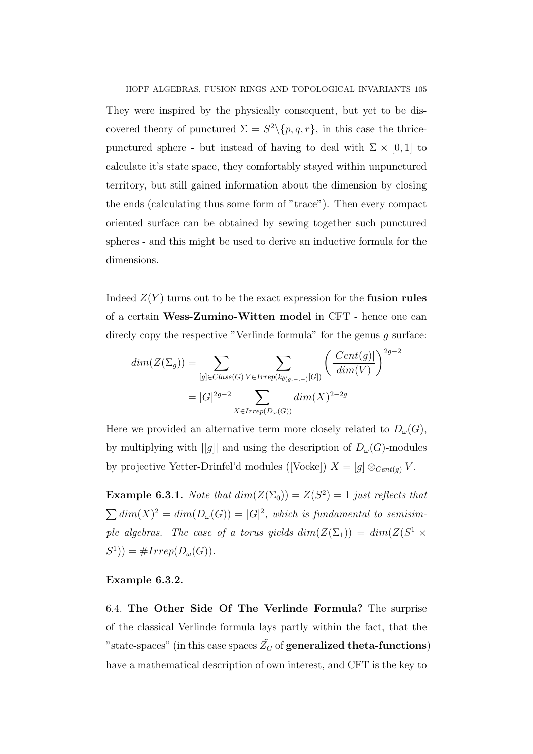HOPF ALGEBRAS, FUSION RINGS AND TOPOLOGICAL INVARIANTS 105 They were inspired by the physically consequent, but yet to be discovered theory of punctured  $\Sigma = S^2 \setminus \{p, q, r\}$ , in this case the thricepunctured sphere - but instead of having to deal with  $\Sigma \times [0, 1]$  to calculate it's state space, they comfortably stayed within unpunctured territory, but still gained information about the dimension by closing the ends (calculating thus some form of "trace"). Then every compact oriented surface can be obtained by sewing together such punctured spheres - and this might be used to derive an inductive formula for the dimensions.

Indeed  $Z(Y)$  turns out to be the exact expression for the **fusion rules** of a certain Wess-Zumino-Witten model in CFT - hence one can direcly copy the respective "Verlinde formula" for the genus g surface:

$$
dim(Z(\Sigma_g)) = \sum_{[g] \in Class(G)} \sum_{V \in Irrep(k_{\theta(g,-,-)}[G])} \left(\frac{|Cent(g)|}{dim(V)}\right)^{2g-2}
$$

$$
= |G|^{2g-2} \sum_{X \in Irrep(D_{\omega}(G))} dim(X)^{2-2g}
$$

Here we provided an alternative term more closely related to  $D_{\omega}(G)$ , by multiplying with  $||g||$  and using the description of  $D_{\omega}(G)$ -modules by projective Yetter-Drinfel'd modules ([Vocke])  $X = [g] \otimes_{Cent(g)} V$ .

**Example 6.3.1.** Note that  $dim(Z(\Sigma_0)) = Z(S^2) = 1$  just reflects that  $\sum dim(X)^2 = dim(D_{\omega}(G)) = |G|^2$ , which is fundamental to semisimple algebras. The case of a torus yields  $dim(Z(\Sigma_1)) = dim(Z(S^1 \times$  $S^1$ ) = #Irrep( $D_\omega(G)$ ).

### Example 6.3.2.

6.4. The Other Side Of The Verlinde Formula? The surprise of the classical Verlinde formula lays partly within the fact, that the "state-spaces" (in this case spaces  $\tilde{Z_G}$  of generalized theta-functions) have a mathematical description of own interest, and CFT is the key to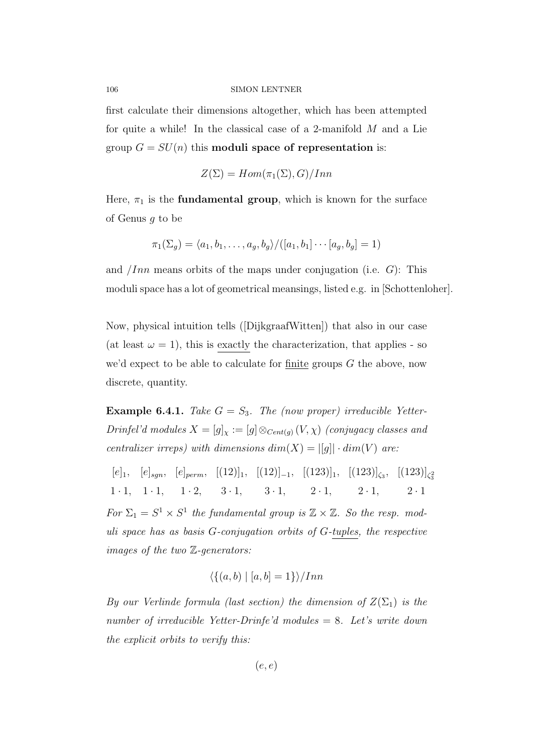first calculate their dimensions altogether, which has been attempted for quite a while! In the classical case of a 2-manifold M and a Lie group  $G = SU(n)$  this moduli space of representation is:

$$
Z(\Sigma) = Hom(\pi_1(\Sigma), G)/Inn
$$

Here,  $\pi_1$  is the **fundamental group**, which is known for the surface of Genus g to be

$$
\pi_1(\Sigma_g) = \langle a_1, b_1, \dots, a_g, b_g \rangle / ([a_1, b_1] \cdots [a_g, b_g] = 1)
$$

and *Inn* means orbits of the maps under conjugation (i.e.  $G$ ): This moduli space has a lot of geometrical meansings, listed e.g. in [Schottenloher].

Now, physical intuition tells ([DijkgraafWitten]) that also in our case (at least  $\omega = 1$ ), this is exactly the characterization, that applies - so we'd expect to be able to calculate for  $\frac{finite}{finite}$  groups  $G$  the above, now discrete, quantity.

**Example 6.4.1.** Take  $G = S_3$ . The (now proper) irreducible Yetter-Drinfel'd modules  $X = [g]_X := [g] \otimes_{Cent(g)} (V, \chi)$  (conjugacy classes and centralizer irreps) with dimensions  $dim(X) = |[g]| \cdot dim(V)$  are:

 $[e]_1, [e]_{sgn}, [e]_{perm}, [(12)]_1, [(12)]_{-1}, [(123)]_1, [(123)]_{\zeta_3}, [(123)]_{\zeta_3^2}$ 1 · 1, 1 · 1, 1 · 2, 3 · 1, 3 · 1, 2 · 1, 2 · 1, 2 · 1 For  $\Sigma_1 = S^1 \times S^1$  the fundamental group is  $\mathbb{Z} \times \mathbb{Z}$ . So the resp. moduli space has as basis G-conjugation orbits of G-tuples, the respective images of the two Z-generators:

$$
\langle \{(a,b) \mid [a,b]=1\} \rangle / Inn
$$

By our Verlinde formula (last section) the dimension of  $Z(\Sigma_1)$  is the number of irreducible Yetter-Drinfe'd modules = 8. Let's write down the explicit orbits to verify this:

 $(e, e)$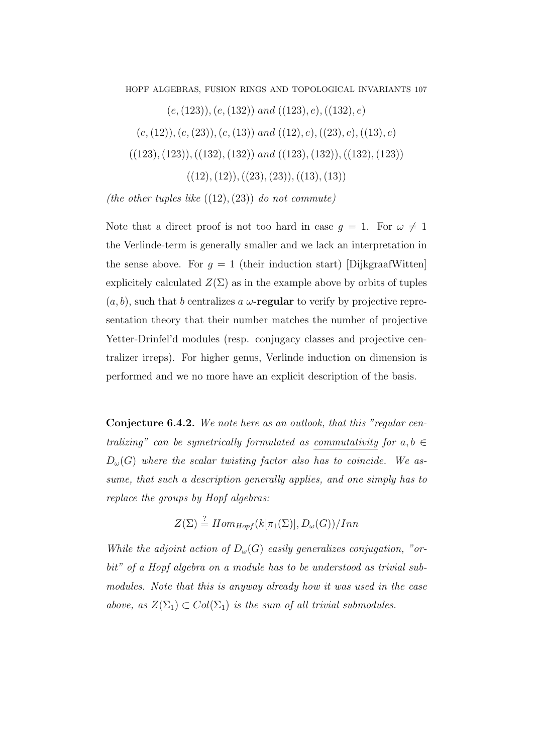HOPF ALGEBRAS, FUSION RINGS AND TOPOLOGICAL INVARIANTS 107 
$$
(e, (123)), (e, (132))
$$
 and  $((123), e), ((132), e)$   $(e, (12)), (e, (23)), (e, (13))$  and  $((12), e), ((23), e), ((13), e)$   $((123), (123)), ((132), (132))$  and  $((123), (132), (132), (132))$   $((12), (12)), ((23), (23)), ((13), (13))$ 

(the other tuples like  $((12),(23))$  do not commute)

Note that a direct proof is not too hard in case  $g = 1$ . For  $\omega \neq 1$ the Verlinde-term is generally smaller and we lack an interpretation in the sense above. For  $g = 1$  (their induction start) [DijkgraafWitten] explicitely calculated  $Z(\Sigma)$  as in the example above by orbits of tuples  $(a, b)$ , such that b centralizes a  $\omega$ -regular to verify by projective representation theory that their number matches the number of projective Yetter-Drinfel'd modules (resp. conjugacy classes and projective centralizer irreps). For higher genus, Verlinde induction on dimension is performed and we no more have an explicit description of the basis.

Conjecture 6.4.2. We note here as an outlook, that this "regular centralizing" can be symetrically formulated as commutativity for  $a, b \in$  $D_{\omega}(G)$  where the scalar twisting factor also has to coincide. We assume, that such a description generally applies, and one simply has to replace the groups by Hopf algebras:

$$
Z(\Sigma) \stackrel{?}{=} Hom_{Hopf}(k[\pi_1(\Sigma)], D_{\omega}(G))/Inn
$$

While the adjoint action of  $D_{\omega}(G)$  easily generalizes conjugation, "orbit" of a Hopf algebra on a module has to be understood as trivial submodules. Note that this is anyway already how it was used in the case above, as  $Z(\Sigma_1) \subset Col(\Sigma_1)$  is the sum of all trivial submodules.